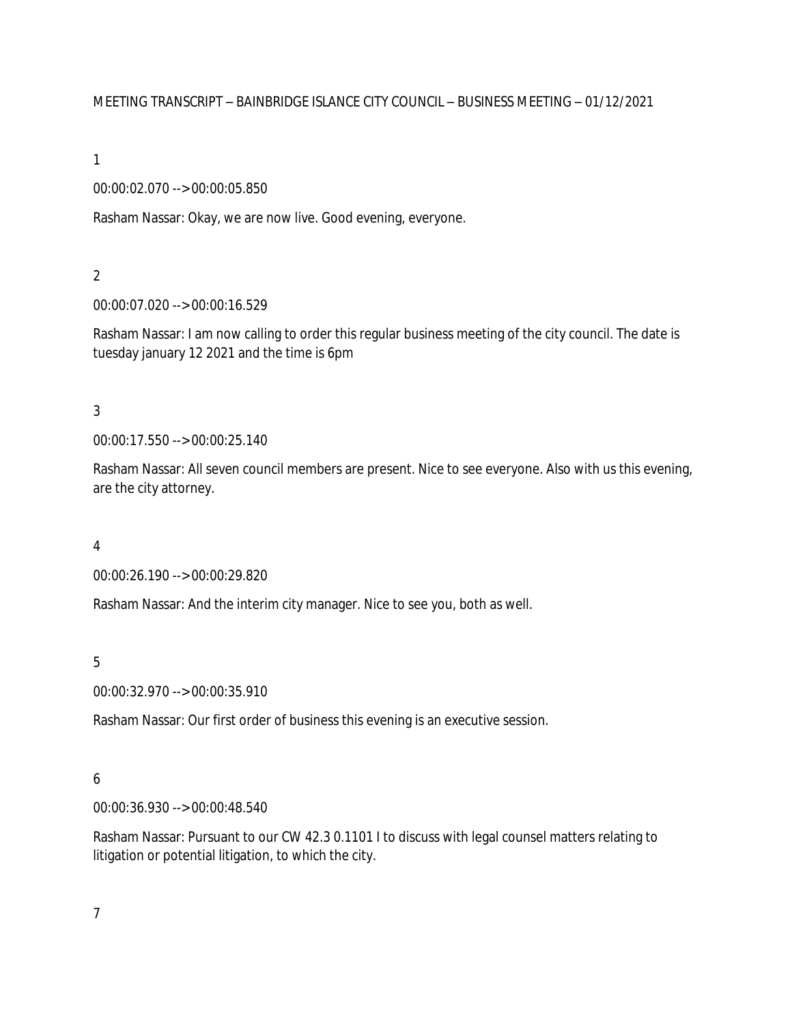### MEETING TRANSCRIPT – BAINBRIDGE ISLANCE CITY COUNCIL – BUSINESS MEETING – 01/12/2021

1

#### 00:00:02.070 --> 00:00:05.850

Rasham Nassar: Okay, we are now live. Good evening, everyone.

#### 2

00:00:07.020 --> 00:00:16.529

Rasham Nassar: I am now calling to order this regular business meeting of the city council. The date is tuesday january 12 2021 and the time is 6pm

#### 3

00:00:17.550 --> 00:00:25.140

Rasham Nassar: All seven council members are present. Nice to see everyone. Also with us this evening, are the city attorney.

#### 4

00:00:26.190 --> 00:00:29.820

Rasham Nassar: And the interim city manager. Nice to see you, both as well.

#### 5

00:00:32.970 --> 00:00:35.910

Rasham Nassar: Our first order of business this evening is an executive session.

### 6

00:00:36.930 --> 00:00:48.540

Rasham Nassar: Pursuant to our CW 42.3 0.1101 I to discuss with legal counsel matters relating to litigation or potential litigation, to which the city.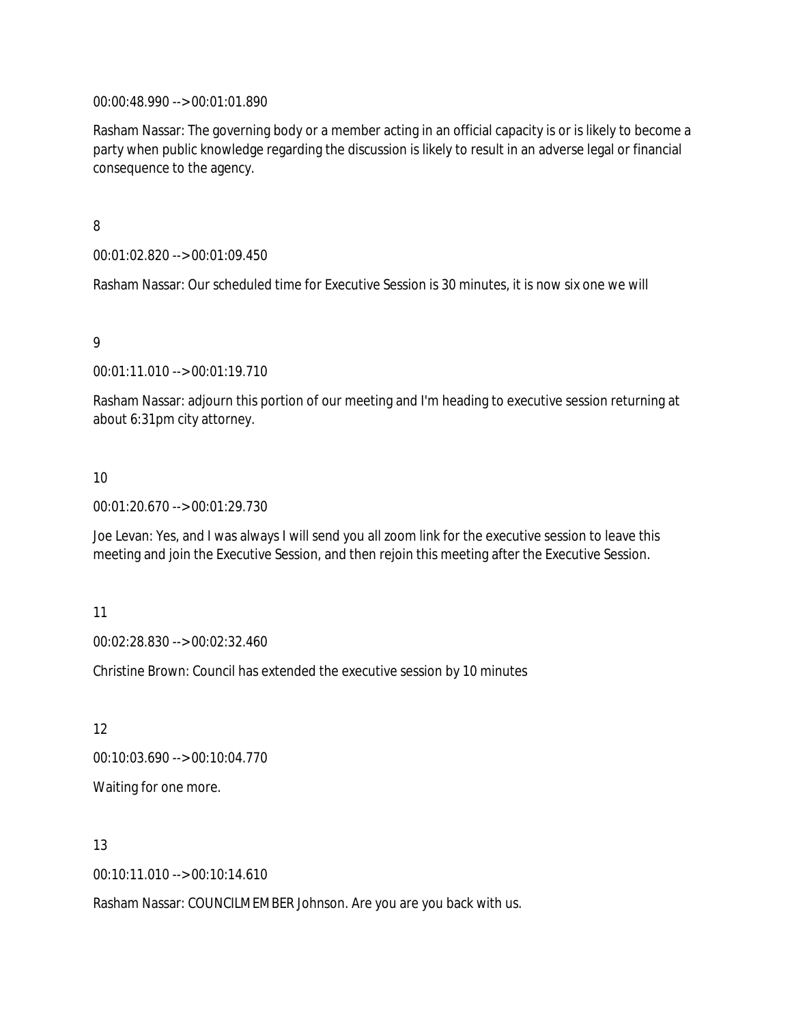00:00:48.990 --> 00:01:01.890

Rasham Nassar: The governing body or a member acting in an official capacity is or is likely to become a party when public knowledge regarding the discussion is likely to result in an adverse legal or financial consequence to the agency.

#### 8

00:01:02.820 --> 00:01:09.450

Rasham Nassar: Our scheduled time for Executive Session is 30 minutes, it is now six one we will

#### 9

00:01:11.010 --> 00:01:19.710

Rasham Nassar: adjourn this portion of our meeting and I'm heading to executive session returning at about 6:31pm city attorney.

#### 10

00:01:20.670 --> 00:01:29.730

Joe Levan: Yes, and I was always I will send you all zoom link for the executive session to leave this meeting and join the Executive Session, and then rejoin this meeting after the Executive Session.

#### 11

00:02:28.830 --> 00:02:32.460

Christine Brown: Council has extended the executive session by 10 minutes

12

00:10:03.690 --> 00:10:04.770

Waiting for one more.

#### 13

00:10:11.010 --> 00:10:14.610

Rasham Nassar: COUNCILMEMBER Johnson. Are you are you back with us.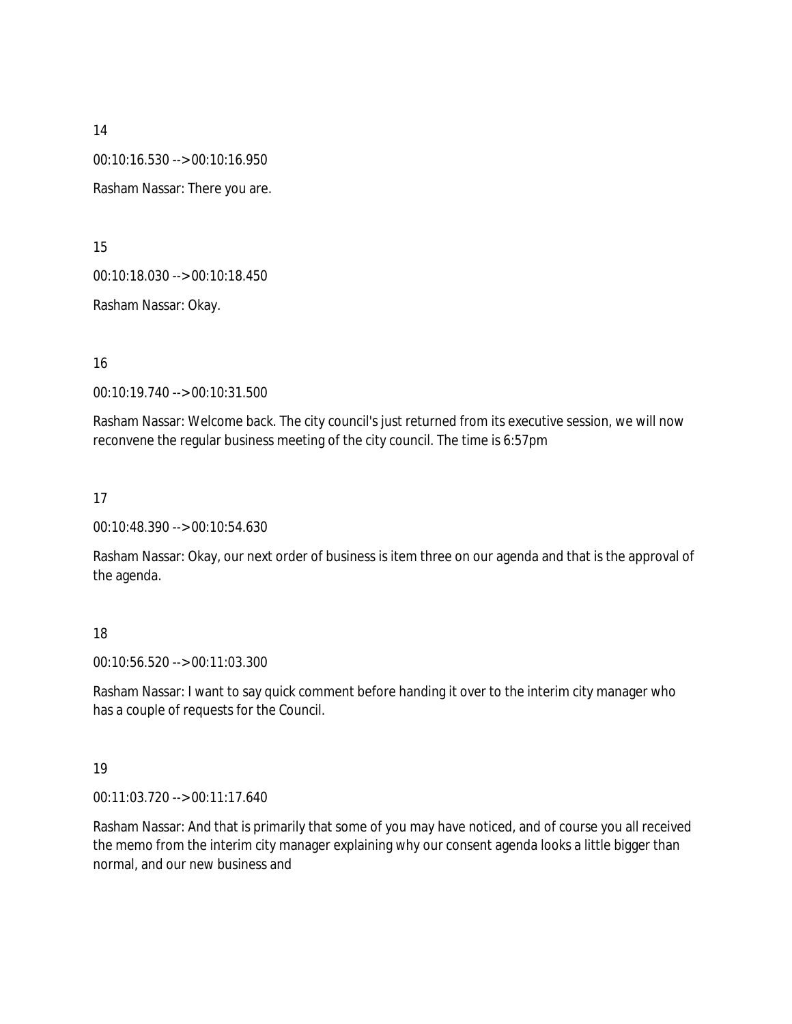00:10:16.530 --> 00:10:16.950

Rasham Nassar: There you are.

15

00:10:18.030 --> 00:10:18.450

Rasham Nassar: Okay.

16

00:10:19.740 --> 00:10:31.500

Rasham Nassar: Welcome back. The city council's just returned from its executive session, we will now reconvene the regular business meeting of the city council. The time is 6:57pm

17

00:10:48.390 --> 00:10:54.630

Rasham Nassar: Okay, our next order of business is item three on our agenda and that is the approval of the agenda.

#### 18

00:10:56.520 --> 00:11:03.300

Rasham Nassar: I want to say quick comment before handing it over to the interim city manager who has a couple of requests for the Council.

### 19

00:11:03.720 --> 00:11:17.640

Rasham Nassar: And that is primarily that some of you may have noticed, and of course you all received the memo from the interim city manager explaining why our consent agenda looks a little bigger than normal, and our new business and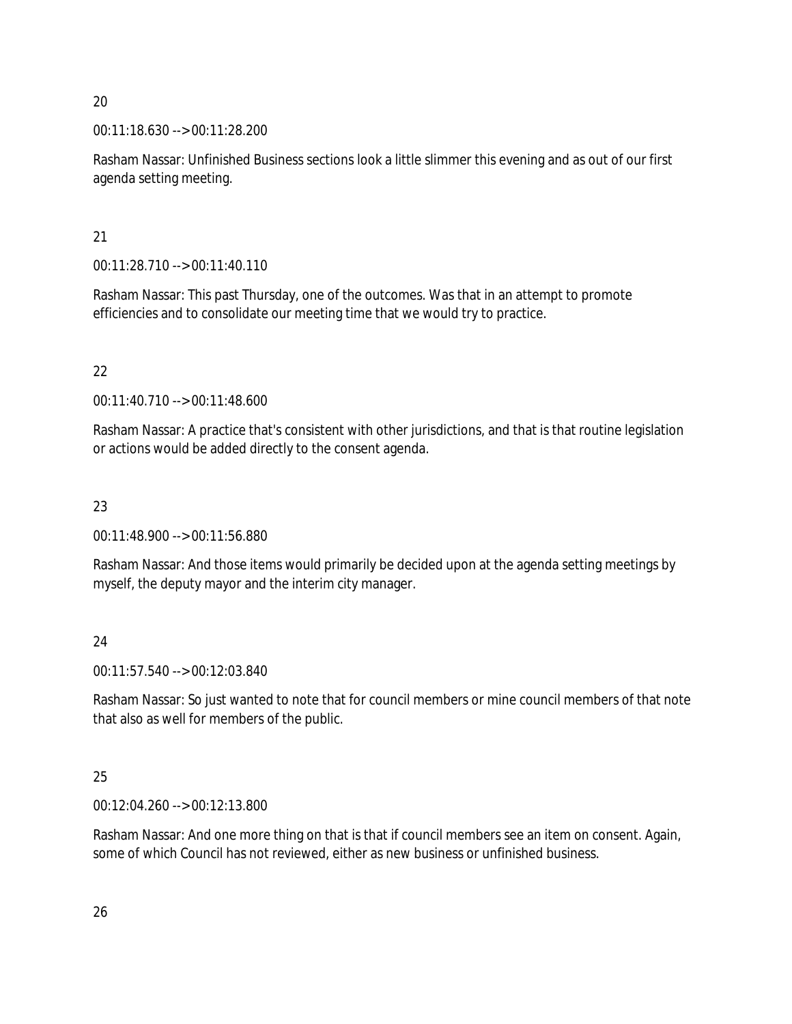00:11:18.630 --> 00:11:28.200

Rasham Nassar: Unfinished Business sections look a little slimmer this evening and as out of our first agenda setting meeting.

21

00:11:28.710 --> 00:11:40.110

Rasham Nassar: This past Thursday, one of the outcomes. Was that in an attempt to promote efficiencies and to consolidate our meeting time that we would try to practice.

22

00:11:40.710 --> 00:11:48.600

Rasham Nassar: A practice that's consistent with other jurisdictions, and that is that routine legislation or actions would be added directly to the consent agenda.

23

00:11:48.900 --> 00:11:56.880

Rasham Nassar: And those items would primarily be decided upon at the agenda setting meetings by myself, the deputy mayor and the interim city manager.

24

00:11:57.540 --> 00:12:03.840

Rasham Nassar: So just wanted to note that for council members or mine council members of that note that also as well for members of the public.

25

00:12:04.260 --> 00:12:13.800

Rasham Nassar: And one more thing on that is that if council members see an item on consent. Again, some of which Council has not reviewed, either as new business or unfinished business.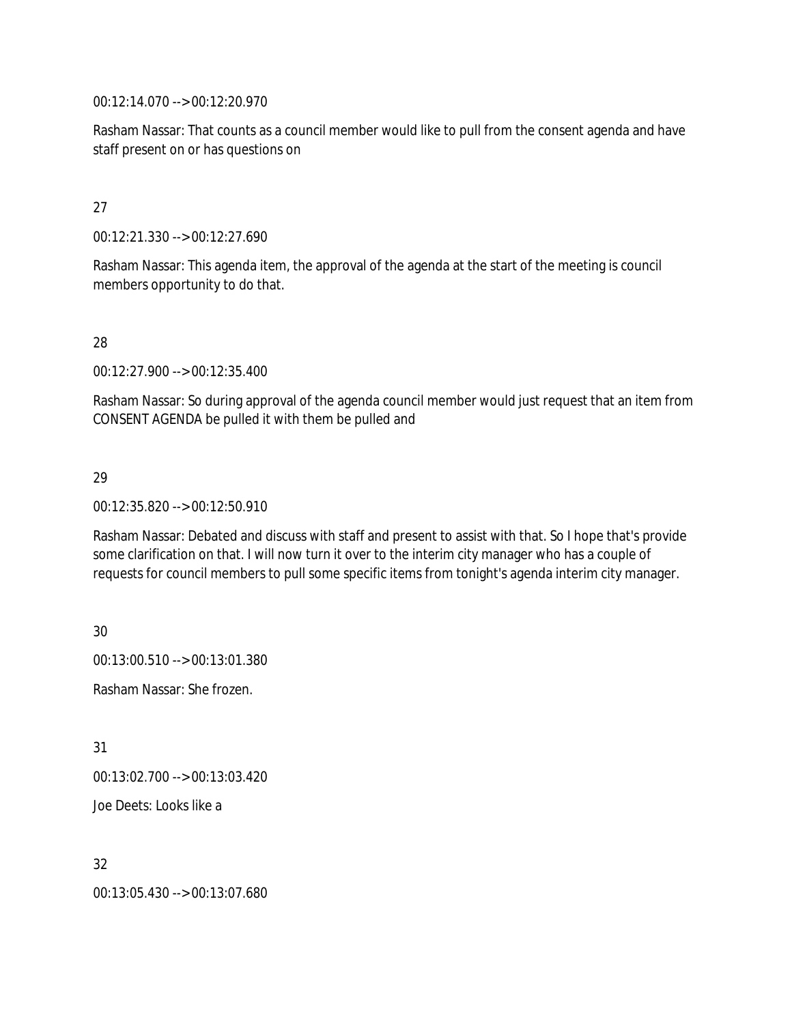00:12:14.070 --> 00:12:20.970

Rasham Nassar: That counts as a council member would like to pull from the consent agenda and have staff present on or has questions on

#### 27

00:12:21.330 --> 00:12:27.690

Rasham Nassar: This agenda item, the approval of the agenda at the start of the meeting is council members opportunity to do that.

#### 28

00:12:27.900 --> 00:12:35.400

Rasham Nassar: So during approval of the agenda council member would just request that an item from CONSENT AGENDA be pulled it with them be pulled and

#### 29

00:12:35.820 --> 00:12:50.910

Rasham Nassar: Debated and discuss with staff and present to assist with that. So I hope that's provide some clarification on that. I will now turn it over to the interim city manager who has a couple of requests for council members to pull some specific items from tonight's agenda interim city manager.

30 00:13:00.510 --> 00:13:01.380

Rasham Nassar: She frozen.

31

00:13:02.700 --> 00:13:03.420

Joe Deets: Looks like a

32

00:13:05.430 --> 00:13:07.680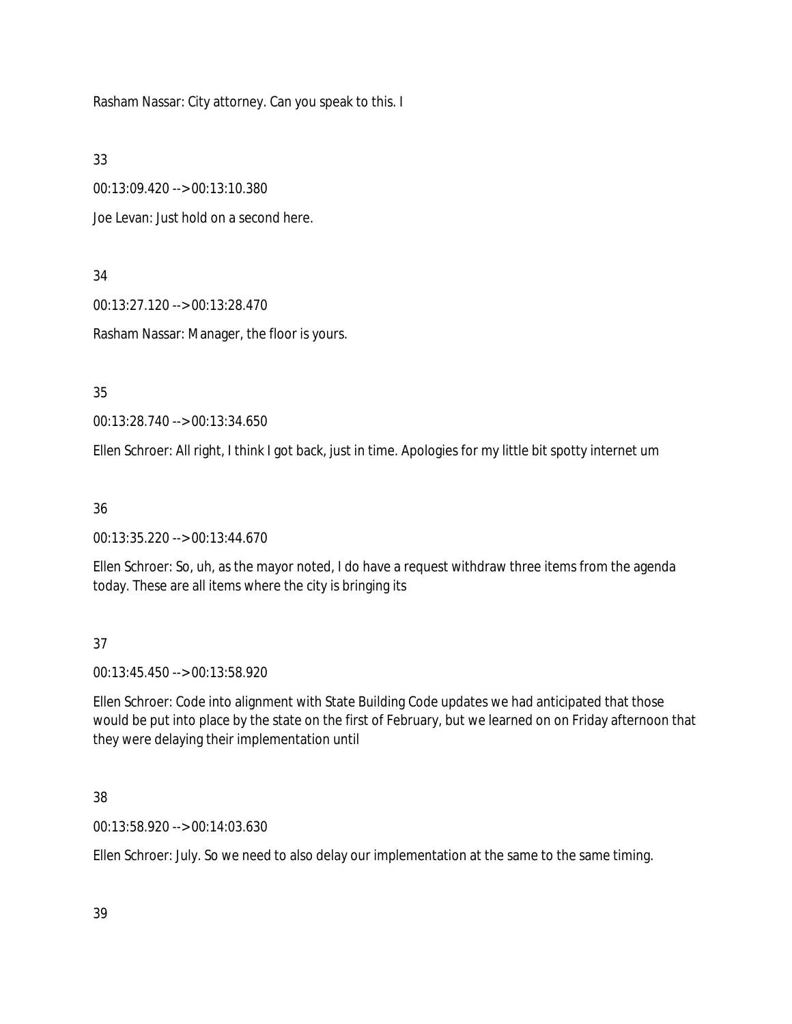Rasham Nassar: City attorney. Can you speak to this. I

33

00:13:09.420 --> 00:13:10.380

Joe Levan: Just hold on a second here.

34

00:13:27.120 --> 00:13:28.470

Rasham Nassar: Manager, the floor is yours.

35

00:13:28.740 --> 00:13:34.650

Ellen Schroer: All right, I think I got back, just in time. Apologies for my little bit spotty internet um

36

00:13:35.220 --> 00:13:44.670

Ellen Schroer: So, uh, as the mayor noted, I do have a request withdraw three items from the agenda today. These are all items where the city is bringing its

37

00:13:45.450 --> 00:13:58.920

Ellen Schroer: Code into alignment with State Building Code updates we had anticipated that those would be put into place by the state on the first of February, but we learned on on Friday afternoon that they were delaying their implementation until

38

00:13:58.920 --> 00:14:03.630

Ellen Schroer: July. So we need to also delay our implementation at the same to the same timing.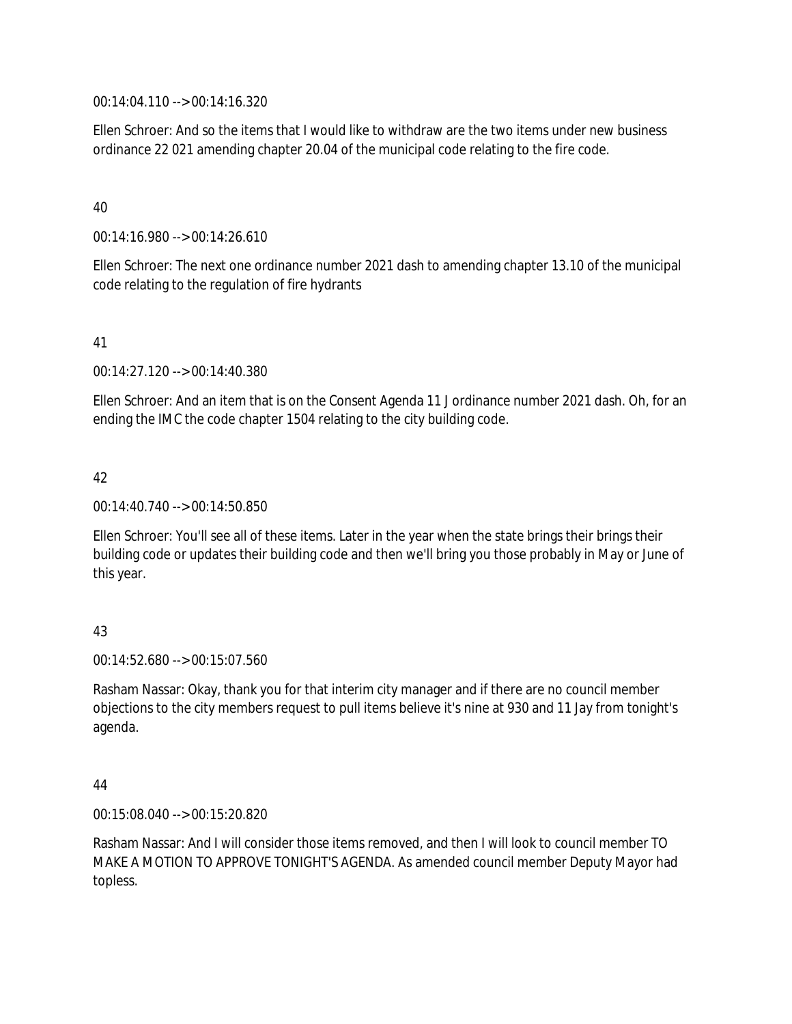00:14:04.110 --> 00:14:16.320

Ellen Schroer: And so the items that I would like to withdraw are the two items under new business ordinance 22 021 amending chapter 20.04 of the municipal code relating to the fire code.

40

00:14:16.980 --> 00:14:26.610

Ellen Schroer: The next one ordinance number 2021 dash to amending chapter 13.10 of the municipal code relating to the regulation of fire hydrants

41

00:14:27.120 --> 00:14:40.380

Ellen Schroer: And an item that is on the Consent Agenda 11 J ordinance number 2021 dash. Oh, for an ending the IMC the code chapter 1504 relating to the city building code.

42

00:14:40.740 --> 00:14:50.850

Ellen Schroer: You'll see all of these items. Later in the year when the state brings their brings their building code or updates their building code and then we'll bring you those probably in May or June of this year.

43

00:14:52.680 --> 00:15:07.560

Rasham Nassar: Okay, thank you for that interim city manager and if there are no council member objections to the city members request to pull items believe it's nine at 930 and 11 Jay from tonight's agenda.

44

00:15:08.040 --> 00:15:20.820

Rasham Nassar: And I will consider those items removed, and then I will look to council member TO MAKE A MOTION TO APPROVE TONIGHT'S AGENDA. As amended council member Deputy Mayor had topless.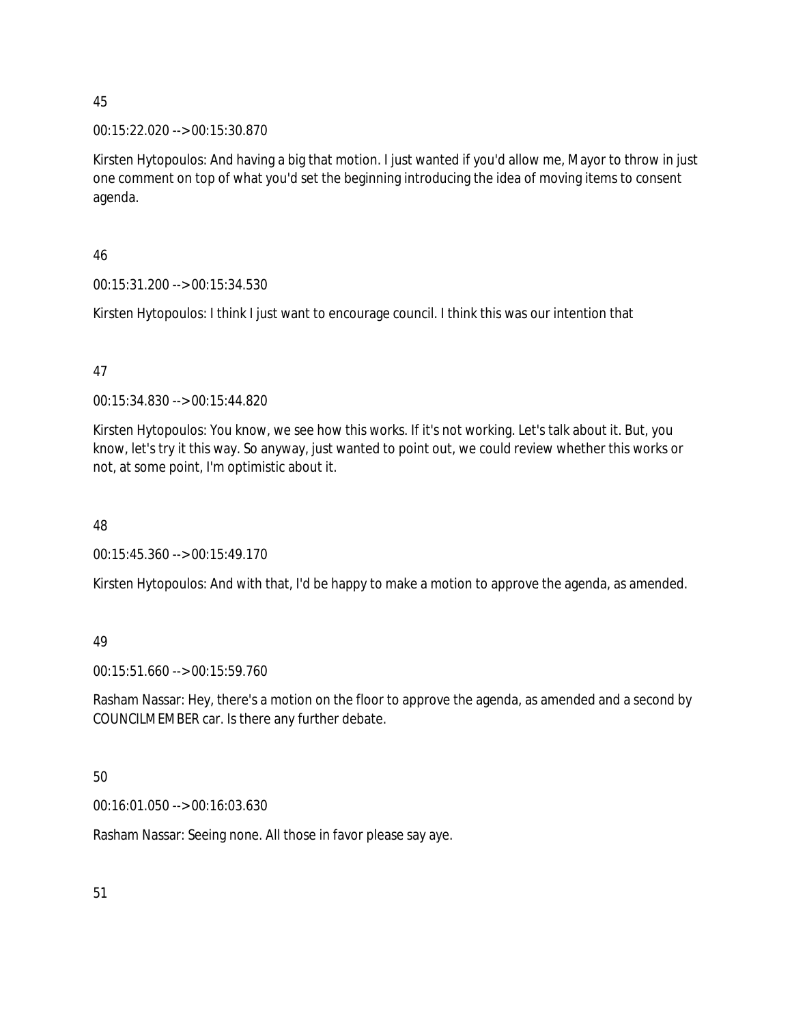#### 00:15:22.020 --> 00:15:30.870

Kirsten Hytopoulos: And having a big that motion. I just wanted if you'd allow me, Mayor to throw in just one comment on top of what you'd set the beginning introducing the idea of moving items to consent agenda.

#### 46

00:15:31.200 --> 00:15:34.530

Kirsten Hytopoulos: I think I just want to encourage council. I think this was our intention that

#### 47

00:15:34.830 --> 00:15:44.820

Kirsten Hytopoulos: You know, we see how this works. If it's not working. Let's talk about it. But, you know, let's try it this way. So anyway, just wanted to point out, we could review whether this works or not, at some point, I'm optimistic about it.

#### 48

00:15:45.360 --> 00:15:49.170

Kirsten Hytopoulos: And with that, I'd be happy to make a motion to approve the agenda, as amended.

### 49

00:15:51.660 --> 00:15:59.760

Rasham Nassar: Hey, there's a motion on the floor to approve the agenda, as amended and a second by COUNCILMEMBER car. Is there any further debate.

# 50

00:16:01.050 --> 00:16:03.630

Rasham Nassar: Seeing none. All those in favor please say aye.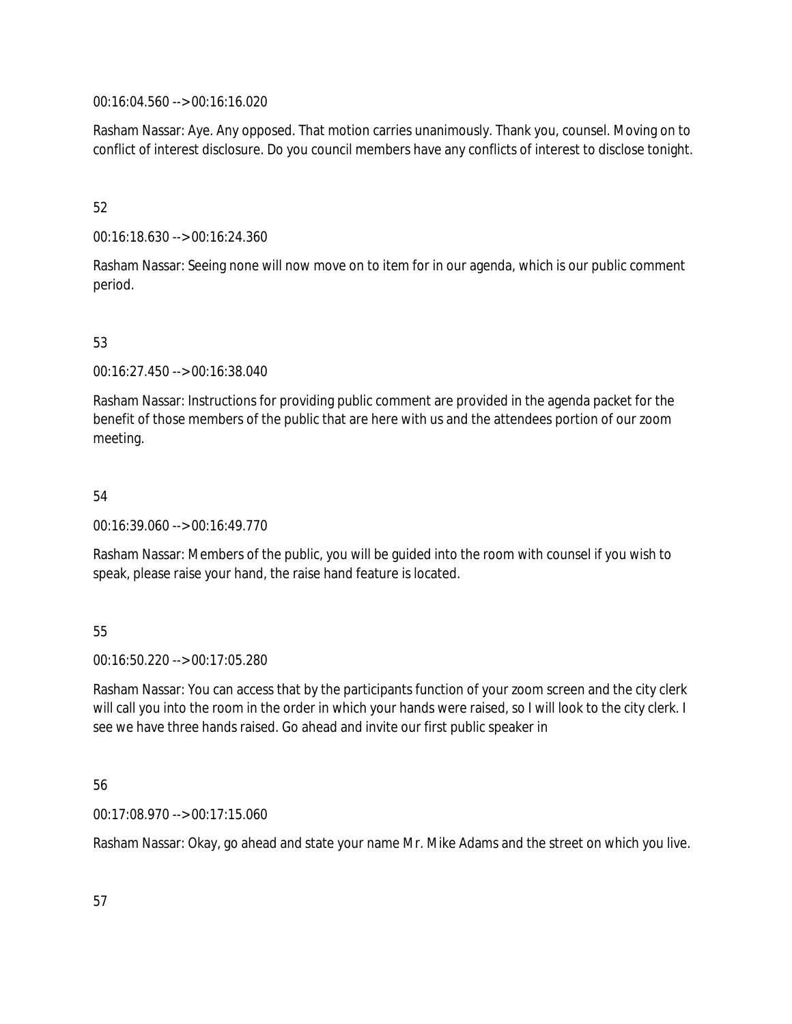00:16:04.560 --> 00:16:16.020

Rasham Nassar: Aye. Any opposed. That motion carries unanimously. Thank you, counsel. Moving on to conflict of interest disclosure. Do you council members have any conflicts of interest to disclose tonight.

#### 52

00:16:18.630 --> 00:16:24.360

Rasham Nassar: Seeing none will now move on to item for in our agenda, which is our public comment period.

### 53

00:16:27.450 --> 00:16:38.040

Rasham Nassar: Instructions for providing public comment are provided in the agenda packet for the benefit of those members of the public that are here with us and the attendees portion of our zoom meeting.

#### 54

00:16:39.060 --> 00:16:49.770

Rasham Nassar: Members of the public, you will be guided into the room with counsel if you wish to speak, please raise your hand, the raise hand feature is located.

# 55

00:16:50.220 --> 00:17:05.280

Rasham Nassar: You can access that by the participants function of your zoom screen and the city clerk will call you into the room in the order in which your hands were raised, so I will look to the city clerk. I see we have three hands raised. Go ahead and invite our first public speaker in

#### 56

00:17:08.970 --> 00:17:15.060

Rasham Nassar: Okay, go ahead and state your name Mr. Mike Adams and the street on which you live.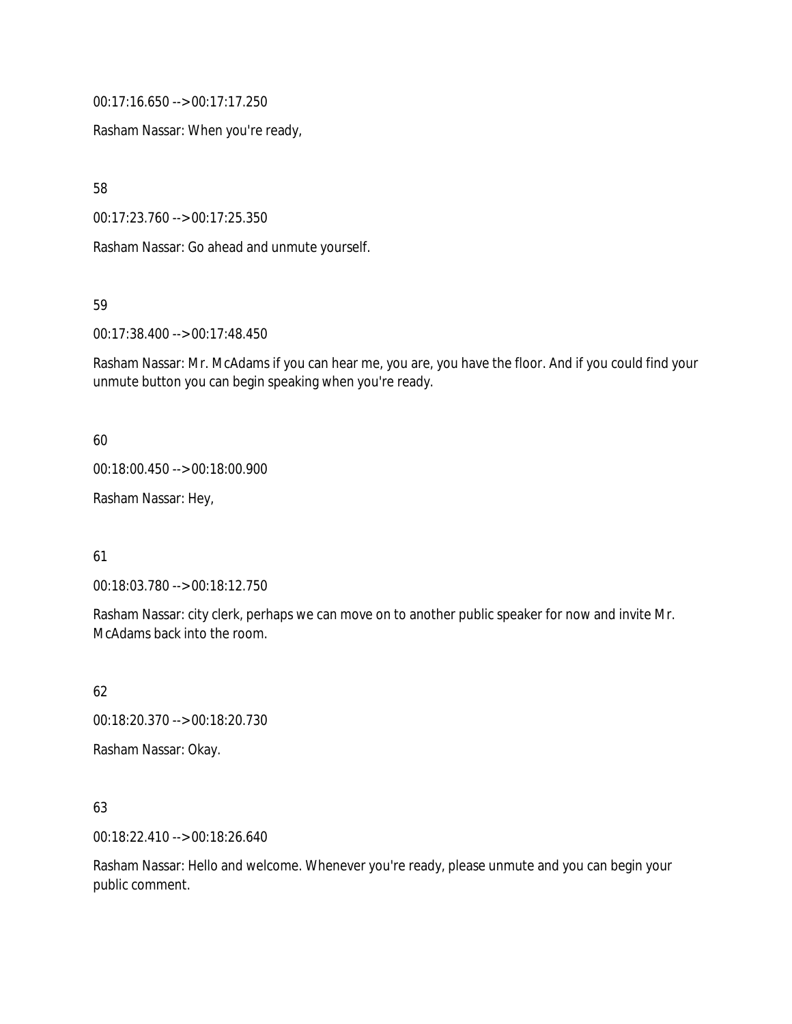00:17:16.650 --> 00:17:17.250

Rasham Nassar: When you're ready,

58

00:17:23.760 --> 00:17:25.350

Rasham Nassar: Go ahead and unmute yourself.

59

00:17:38.400 --> 00:17:48.450

Rasham Nassar: Mr. McAdams if you can hear me, you are, you have the floor. And if you could find your unmute button you can begin speaking when you're ready.

60

00:18:00.450 --> 00:18:00.900

Rasham Nassar: Hey,

61

00:18:03.780 --> 00:18:12.750

Rasham Nassar: city clerk, perhaps we can move on to another public speaker for now and invite Mr. McAdams back into the room.

62

00:18:20.370 --> 00:18:20.730

Rasham Nassar: Okay.

63

00:18:22.410 --> 00:18:26.640

Rasham Nassar: Hello and welcome. Whenever you're ready, please unmute and you can begin your public comment.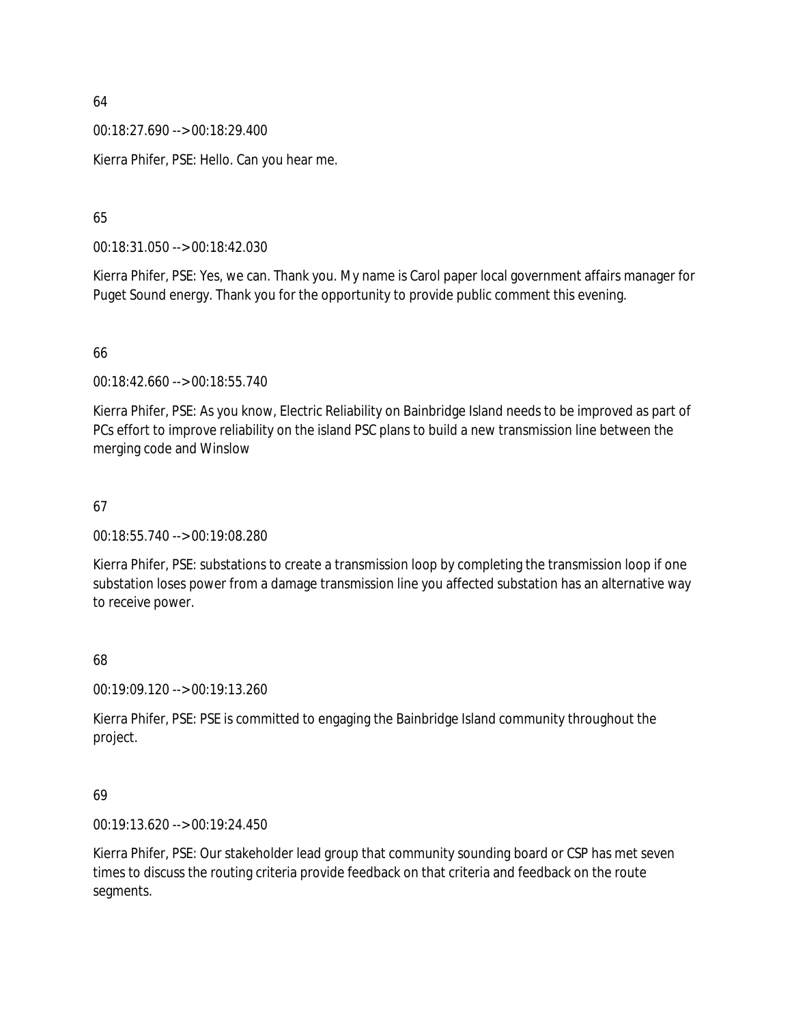00:18:27.690 --> 00:18:29.400

Kierra Phifer, PSE: Hello. Can you hear me.

### 65

00:18:31.050 --> 00:18:42.030

Kierra Phifer, PSE: Yes, we can. Thank you. My name is Carol paper local government affairs manager for Puget Sound energy. Thank you for the opportunity to provide public comment this evening.

#### 66

00:18:42.660 --> 00:18:55.740

Kierra Phifer, PSE: As you know, Electric Reliability on Bainbridge Island needs to be improved as part of PCs effort to improve reliability on the island PSC plans to build a new transmission line between the merging code and Winslow

#### 67

00:18:55.740 --> 00:19:08.280

Kierra Phifer, PSE: substations to create a transmission loop by completing the transmission loop if one substation loses power from a damage transmission line you affected substation has an alternative way to receive power.

### 68

00:19:09.120 --> 00:19:13.260

Kierra Phifer, PSE: PSE is committed to engaging the Bainbridge Island community throughout the project.

#### 69

00:19:13.620 --> 00:19:24.450

Kierra Phifer, PSE: Our stakeholder lead group that community sounding board or CSP has met seven times to discuss the routing criteria provide feedback on that criteria and feedback on the route segments.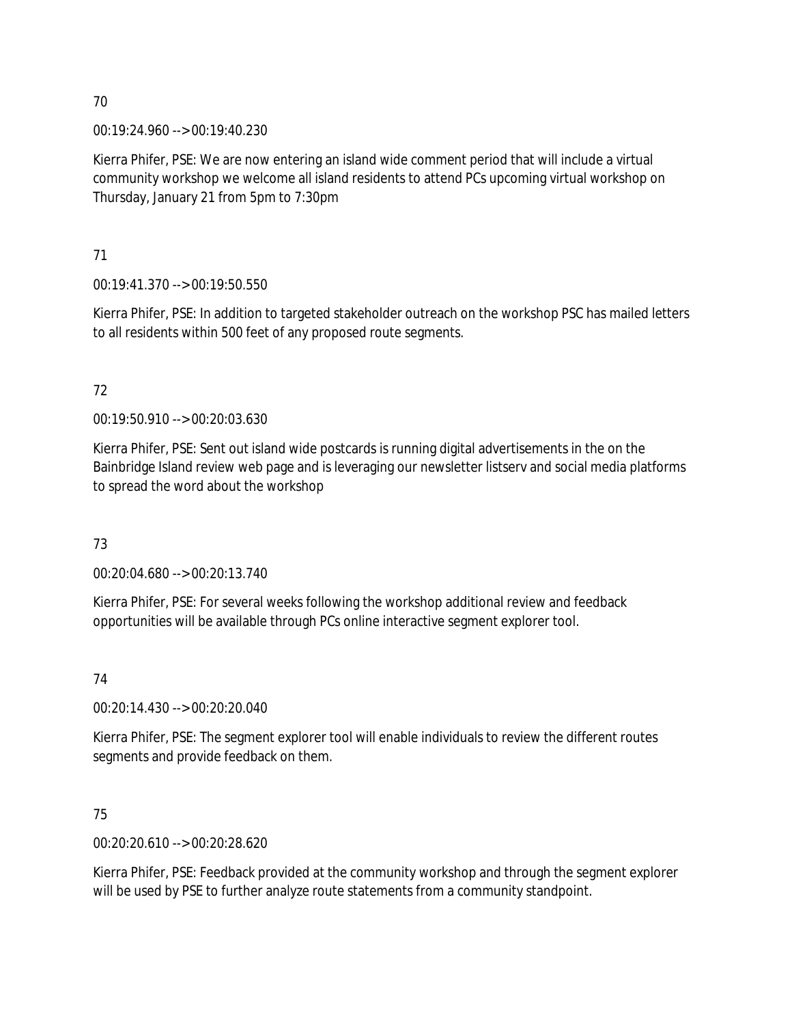00:19:24.960 --> 00:19:40.230

Kierra Phifer, PSE: We are now entering an island wide comment period that will include a virtual community workshop we welcome all island residents to attend PCs upcoming virtual workshop on Thursday, January 21 from 5pm to 7:30pm

71

00:19:41.370 --> 00:19:50.550

Kierra Phifer, PSE: In addition to targeted stakeholder outreach on the workshop PSC has mailed letters to all residents within 500 feet of any proposed route segments.

# 72

00:19:50.910 --> 00:20:03.630

Kierra Phifer, PSE: Sent out island wide postcards is running digital advertisements in the on the Bainbridge Island review web page and is leveraging our newsletter listserv and social media platforms to spread the word about the workshop

73

00:20:04.680 --> 00:20:13.740

Kierra Phifer, PSE: For several weeks following the workshop additional review and feedback opportunities will be available through PCs online interactive segment explorer tool.

74

00:20:14.430 --> 00:20:20.040

Kierra Phifer, PSE: The segment explorer tool will enable individuals to review the different routes segments and provide feedback on them.

75

00:20:20.610 --> 00:20:28.620

Kierra Phifer, PSE: Feedback provided at the community workshop and through the segment explorer will be used by PSE to further analyze route statements from a community standpoint.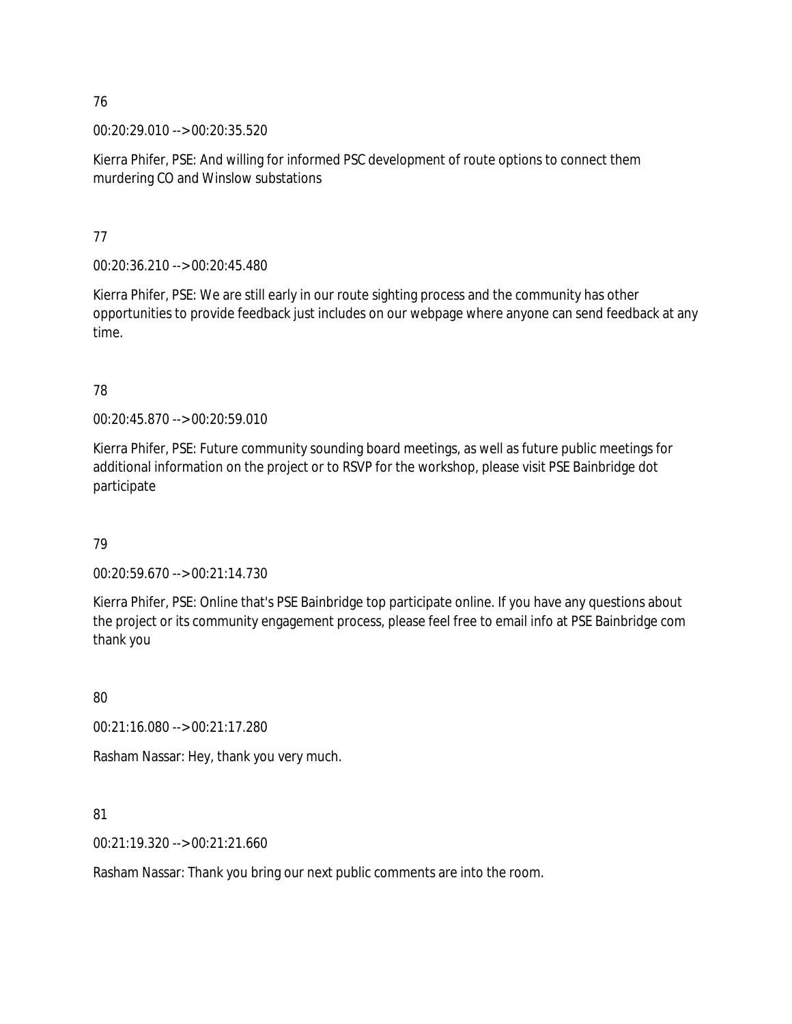00:20:29.010 --> 00:20:35.520

Kierra Phifer, PSE: And willing for informed PSC development of route options to connect them murdering CO and Winslow substations

77

00:20:36.210 --> 00:20:45.480

Kierra Phifer, PSE: We are still early in our route sighting process and the community has other opportunities to provide feedback just includes on our webpage where anyone can send feedback at any time.

### 78

00:20:45.870 --> 00:20:59.010

Kierra Phifer, PSE: Future community sounding board meetings, as well as future public meetings for additional information on the project or to RSVP for the workshop, please visit PSE Bainbridge dot participate

### 79

00:20:59.670 --> 00:21:14.730

Kierra Phifer, PSE: Online that's PSE Bainbridge top participate online. If you have any questions about the project or its community engagement process, please feel free to email info at PSE Bainbridge com thank you

80

00:21:16.080 --> 00:21:17.280

Rasham Nassar: Hey, thank you very much.

81

00:21:19.320 --> 00:21:21.660

Rasham Nassar: Thank you bring our next public comments are into the room.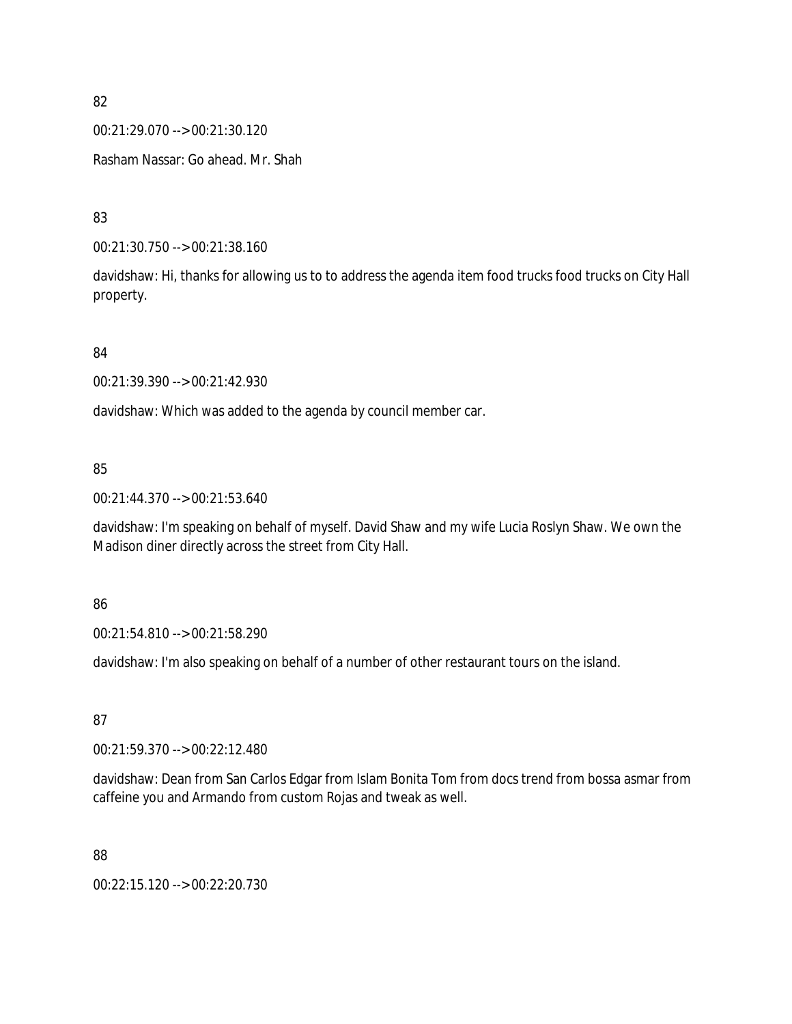00:21:29.070 --> 00:21:30.120

Rasham Nassar: Go ahead. Mr. Shah

83

00:21:30.750 --> 00:21:38.160

davidshaw: Hi, thanks for allowing us to to address the agenda item food trucks food trucks on City Hall property.

84

00:21:39.390 --> 00:21:42.930

davidshaw: Which was added to the agenda by council member car.

### 85

00:21:44.370 --> 00:21:53.640

davidshaw: I'm speaking on behalf of myself. David Shaw and my wife Lucia Roslyn Shaw. We own the Madison diner directly across the street from City Hall.

86

00:21:54.810 --> 00:21:58.290

davidshaw: I'm also speaking on behalf of a number of other restaurant tours on the island.

87

00:21:59.370 --> 00:22:12.480

davidshaw: Dean from San Carlos Edgar from Islam Bonita Tom from docs trend from bossa asmar from caffeine you and Armando from custom Rojas and tweak as well.

88

00:22:15.120 --> 00:22:20.730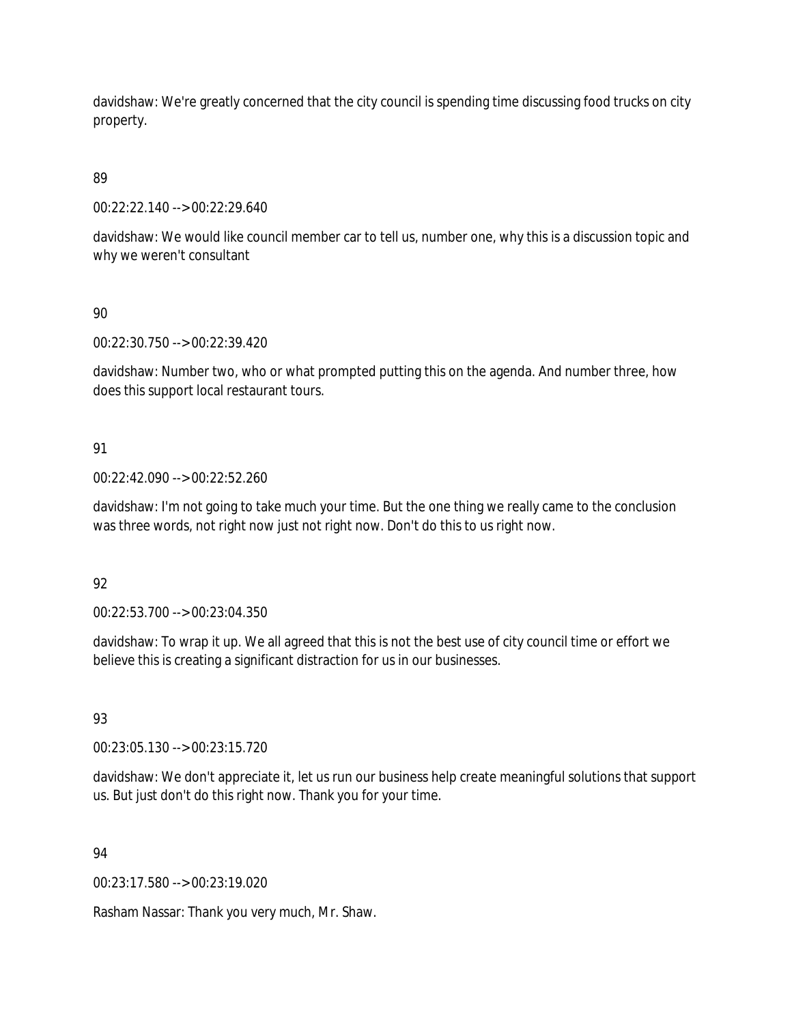davidshaw: We're greatly concerned that the city council is spending time discussing food trucks on city property.

89

00:22:22.140 --> 00:22:29.640

davidshaw: We would like council member car to tell us, number one, why this is a discussion topic and why we weren't consultant

90

00:22:30.750 --> 00:22:39.420

davidshaw: Number two, who or what prompted putting this on the agenda. And number three, how does this support local restaurant tours.

# 91

00:22:42.090 --> 00:22:52.260

davidshaw: I'm not going to take much your time. But the one thing we really came to the conclusion was three words, not right now just not right now. Don't do this to us right now.

### 92

00:22:53.700 --> 00:23:04.350

davidshaw: To wrap it up. We all agreed that this is not the best use of city council time or effort we believe this is creating a significant distraction for us in our businesses.

### 93

00:23:05.130 --> 00:23:15.720

davidshaw: We don't appreciate it, let us run our business help create meaningful solutions that support us. But just don't do this right now. Thank you for your time.

### 94

00:23:17.580 --> 00:23:19.020

Rasham Nassar: Thank you very much, Mr. Shaw.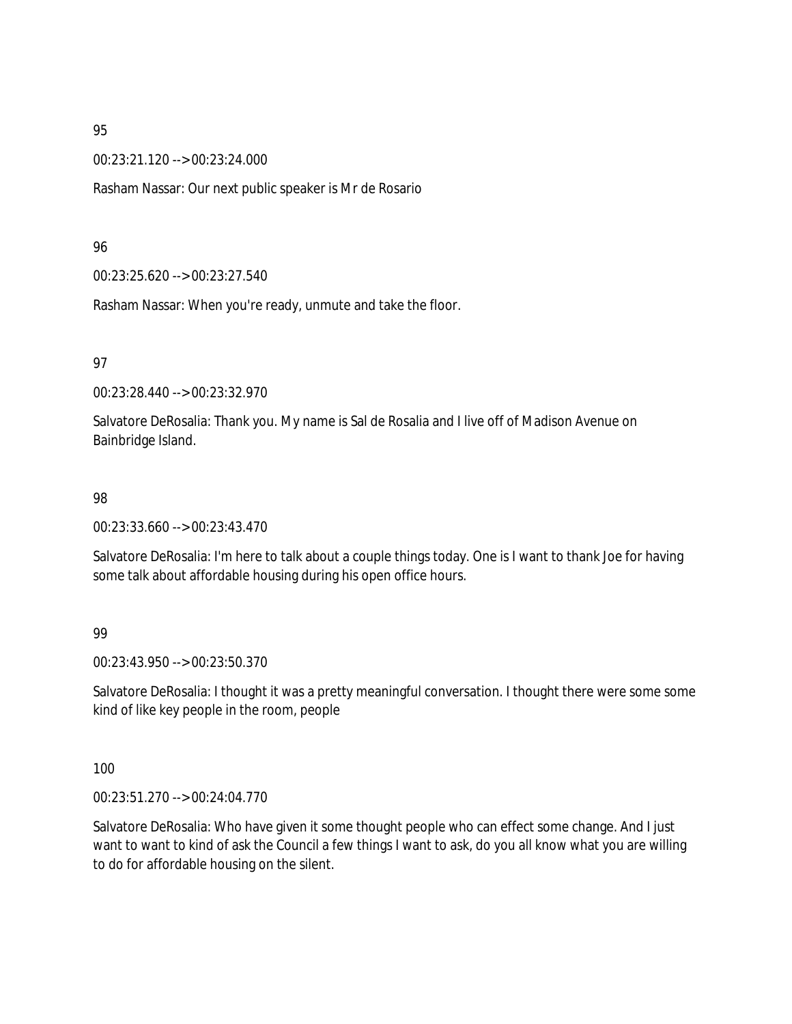00:23:21.120 --> 00:23:24.000

Rasham Nassar: Our next public speaker is Mr de Rosario

#### 96

00:23:25.620 --> 00:23:27.540

Rasham Nassar: When you're ready, unmute and take the floor.

#### 97

00:23:28.440 --> 00:23:32.970

Salvatore DeRosalia: Thank you. My name is Sal de Rosalia and I live off of Madison Avenue on Bainbridge Island.

#### 98

00:23:33.660 --> 00:23:43.470

Salvatore DeRosalia: I'm here to talk about a couple things today. One is I want to thank Joe for having some talk about affordable housing during his open office hours.

### 99

00:23:43.950 --> 00:23:50.370

Salvatore DeRosalia: I thought it was a pretty meaningful conversation. I thought there were some some kind of like key people in the room, people

#### 100

00:23:51.270 --> 00:24:04.770

Salvatore DeRosalia: Who have given it some thought people who can effect some change. And I just want to want to kind of ask the Council a few things I want to ask, do you all know what you are willing to do for affordable housing on the silent.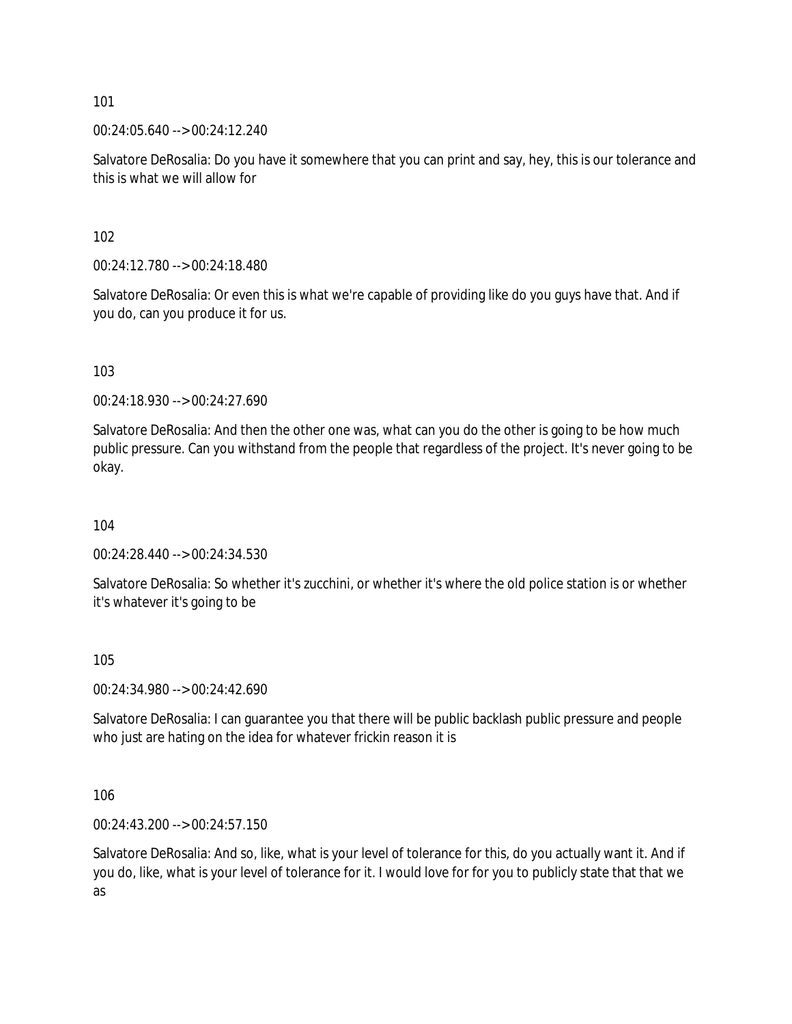00:24:05.640 --> 00:24:12.240

Salvatore DeRosalia: Do you have it somewhere that you can print and say, hey, this is our tolerance and this is what we will allow for

102

00:24:12.780 --> 00:24:18.480

Salvatore DeRosalia: Or even this is what we're capable of providing like do you guys have that. And if you do, can you produce it for us.

103

00:24:18.930 --> 00:24:27.690

Salvatore DeRosalia: And then the other one was, what can you do the other is going to be how much public pressure. Can you withstand from the people that regardless of the project. It's never going to be okay.

104

00:24:28.440 --> 00:24:34.530

Salvatore DeRosalia: So whether it's zucchini, or whether it's where the old police station is or whether it's whatever it's going to be

105

00:24:34.980 --> 00:24:42.690

Salvatore DeRosalia: I can guarantee you that there will be public backlash public pressure and people who just are hating on the idea for whatever frickin reason it is

106

00:24:43.200 --> 00:24:57.150

Salvatore DeRosalia: And so, like, what is your level of tolerance for this, do you actually want it. And if you do, like, what is your level of tolerance for it. I would love for for you to publicly state that that we as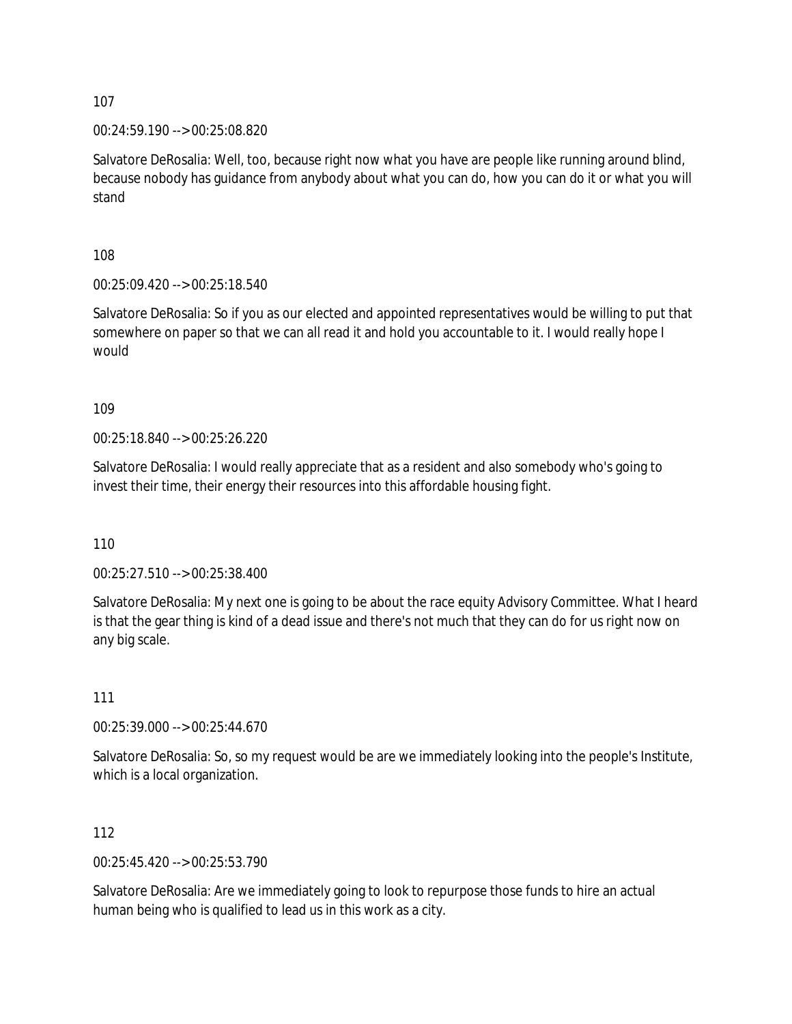00:24:59.190 --> 00:25:08.820

Salvatore DeRosalia: Well, too, because right now what you have are people like running around blind, because nobody has guidance from anybody about what you can do, how you can do it or what you will stand

108

00:25:09.420 --> 00:25:18.540

Salvatore DeRosalia: So if you as our elected and appointed representatives would be willing to put that somewhere on paper so that we can all read it and hold you accountable to it. I would really hope I would

109

00:25:18.840 --> 00:25:26.220

Salvatore DeRosalia: I would really appreciate that as a resident and also somebody who's going to invest their time, their energy their resources into this affordable housing fight.

110

00:25:27.510 --> 00:25:38.400

Salvatore DeRosalia: My next one is going to be about the race equity Advisory Committee. What I heard is that the gear thing is kind of a dead issue and there's not much that they can do for us right now on any big scale.

111

00:25:39.000 --> 00:25:44.670

Salvatore DeRosalia: So, so my request would be are we immediately looking into the people's Institute, which is a local organization.

112

00:25:45.420 --> 00:25:53.790

Salvatore DeRosalia: Are we immediately going to look to repurpose those funds to hire an actual human being who is qualified to lead us in this work as a city.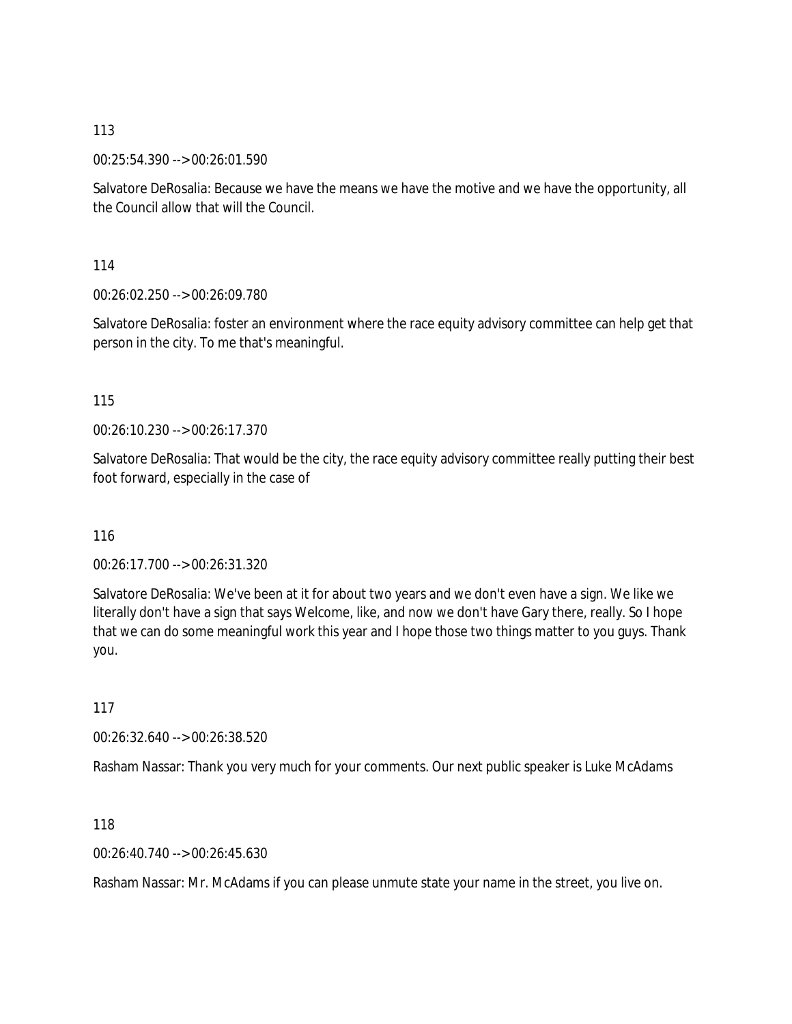00:25:54.390 --> 00:26:01.590

Salvatore DeRosalia: Because we have the means we have the motive and we have the opportunity, all the Council allow that will the Council.

114

00:26:02.250 --> 00:26:09.780

Salvatore DeRosalia: foster an environment where the race equity advisory committee can help get that person in the city. To me that's meaningful.

115

00:26:10.230 --> 00:26:17.370

Salvatore DeRosalia: That would be the city, the race equity advisory committee really putting their best foot forward, especially in the case of

116

00:26:17.700 --> 00:26:31.320

Salvatore DeRosalia: We've been at it for about two years and we don't even have a sign. We like we literally don't have a sign that says Welcome, like, and now we don't have Gary there, really. So I hope that we can do some meaningful work this year and I hope those two things matter to you guys. Thank you.

117

00:26:32.640 --> 00:26:38.520

Rasham Nassar: Thank you very much for your comments. Our next public speaker is Luke McAdams

118

00:26:40.740 --> 00:26:45.630

Rasham Nassar: Mr. McAdams if you can please unmute state your name in the street, you live on.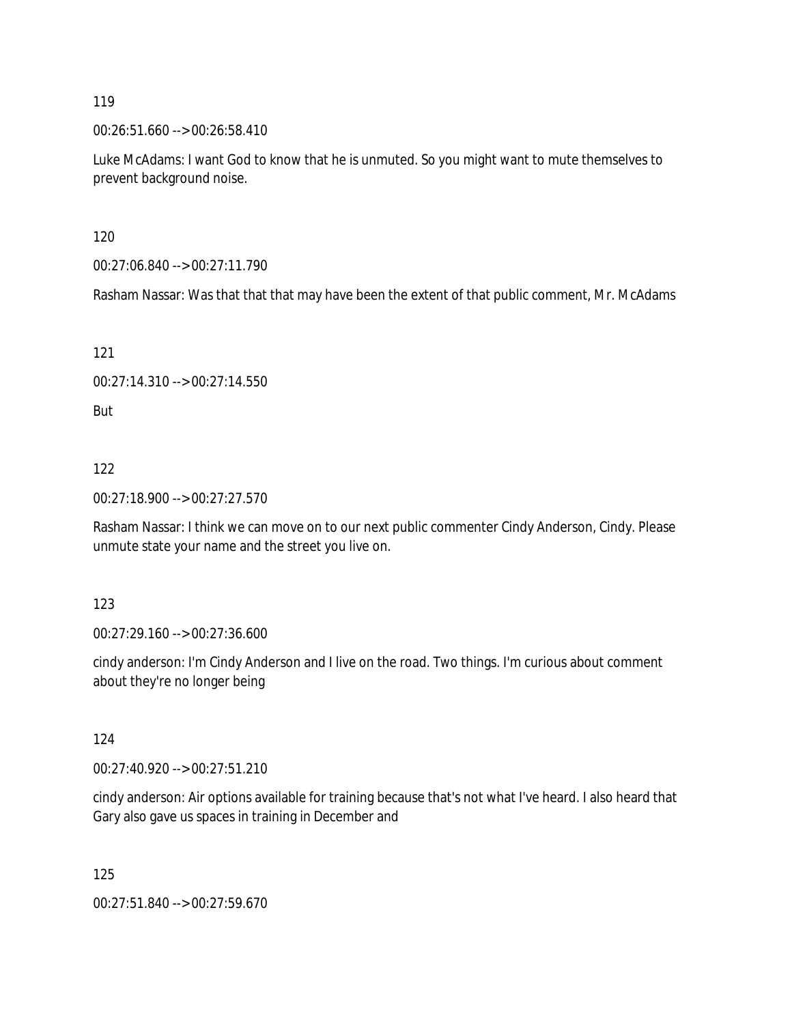00:26:51.660 --> 00:26:58.410

Luke McAdams: I want God to know that he is unmuted. So you might want to mute themselves to prevent background noise.

120

00:27:06.840 --> 00:27:11.790

Rasham Nassar: Was that that that may have been the extent of that public comment, Mr. McAdams

121

00:27:14.310 --> 00:27:14.550

But

122

00:27:18.900 --> 00:27:27.570

Rasham Nassar: I think we can move on to our next public commenter Cindy Anderson, Cindy. Please unmute state your name and the street you live on.

123

00:27:29.160 --> 00:27:36.600

cindy anderson: I'm Cindy Anderson and I live on the road. Two things. I'm curious about comment about they're no longer being

124

00:27:40.920 --> 00:27:51.210

cindy anderson: Air options available for training because that's not what I've heard. I also heard that Gary also gave us spaces in training in December and

125

00:27:51.840 --> 00:27:59.670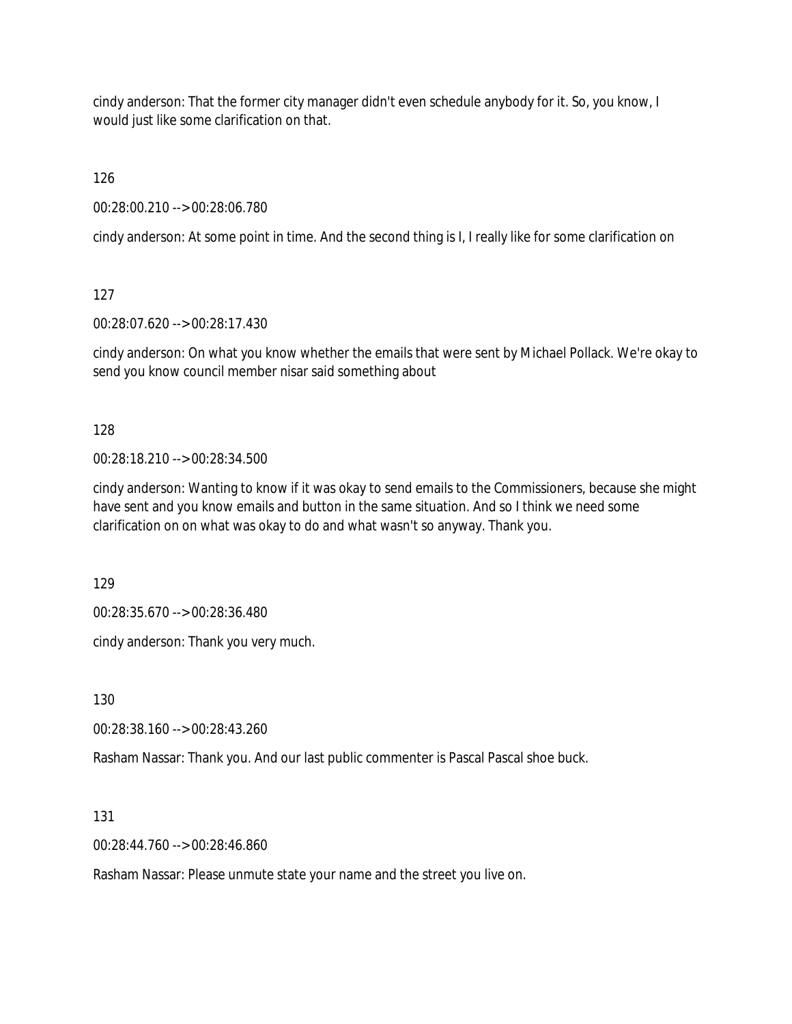cindy anderson: That the former city manager didn't even schedule anybody for it. So, you know, I would just like some clarification on that.

126

00:28:00.210 --> 00:28:06.780

cindy anderson: At some point in time. And the second thing is I, I really like for some clarification on

127

00:28:07.620 --> 00:28:17.430

cindy anderson: On what you know whether the emails that were sent by Michael Pollack. We're okay to send you know council member nisar said something about

128

00:28:18.210 --> 00:28:34.500

cindy anderson: Wanting to know if it was okay to send emails to the Commissioners, because she might have sent and you know emails and button in the same situation. And so I think we need some clarification on on what was okay to do and what wasn't so anyway. Thank you.

129

00:28:35.670 --> 00:28:36.480

cindy anderson: Thank you very much.

130

00:28:38.160 --> 00:28:43.260

Rasham Nassar: Thank you. And our last public commenter is Pascal Pascal shoe buck.

131

00:28:44.760 --> 00:28:46.860

Rasham Nassar: Please unmute state your name and the street you live on.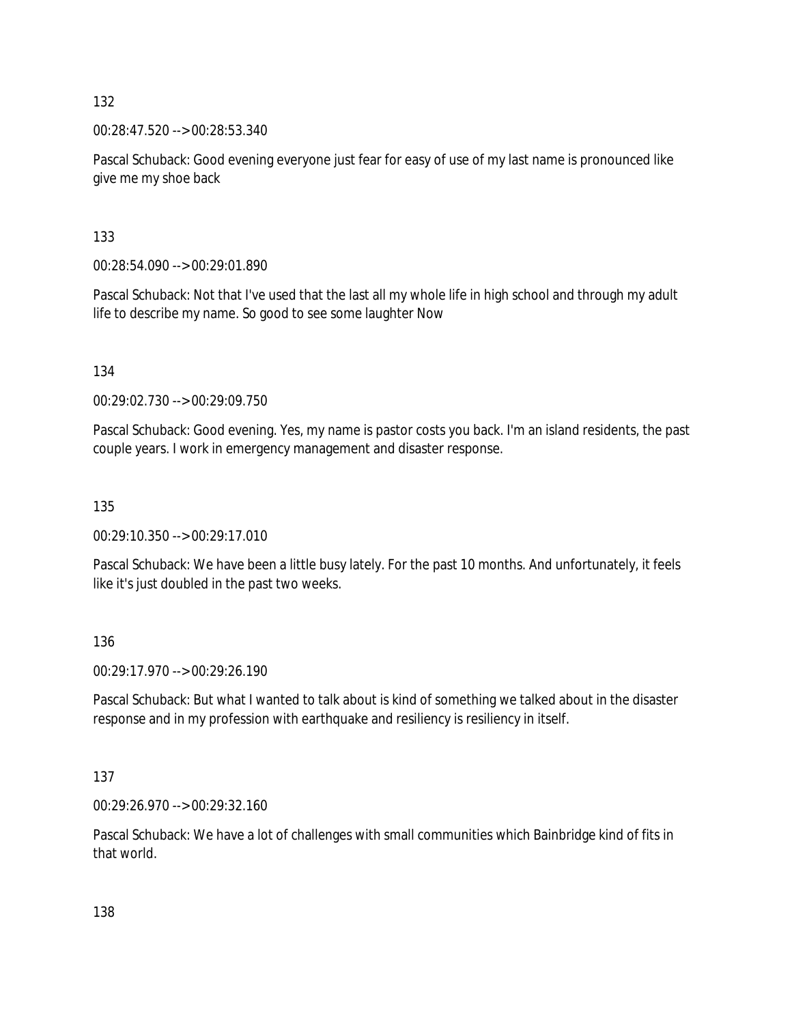00:28:47.520 --> 00:28:53.340

Pascal Schuback: Good evening everyone just fear for easy of use of my last name is pronounced like give me my shoe back

133

00:28:54.090 --> 00:29:01.890

Pascal Schuback: Not that I've used that the last all my whole life in high school and through my adult life to describe my name. So good to see some laughter Now

134

00:29:02.730 --> 00:29:09.750

Pascal Schuback: Good evening. Yes, my name is pastor costs you back. I'm an island residents, the past couple years. I work in emergency management and disaster response.

135

00:29:10.350 --> 00:29:17.010

Pascal Schuback: We have been a little busy lately. For the past 10 months. And unfortunately, it feels like it's just doubled in the past two weeks.

136

00:29:17.970 --> 00:29:26.190

Pascal Schuback: But what I wanted to talk about is kind of something we talked about in the disaster response and in my profession with earthquake and resiliency is resiliency in itself.

137

00:29:26.970 --> 00:29:32.160

Pascal Schuback: We have a lot of challenges with small communities which Bainbridge kind of fits in that world.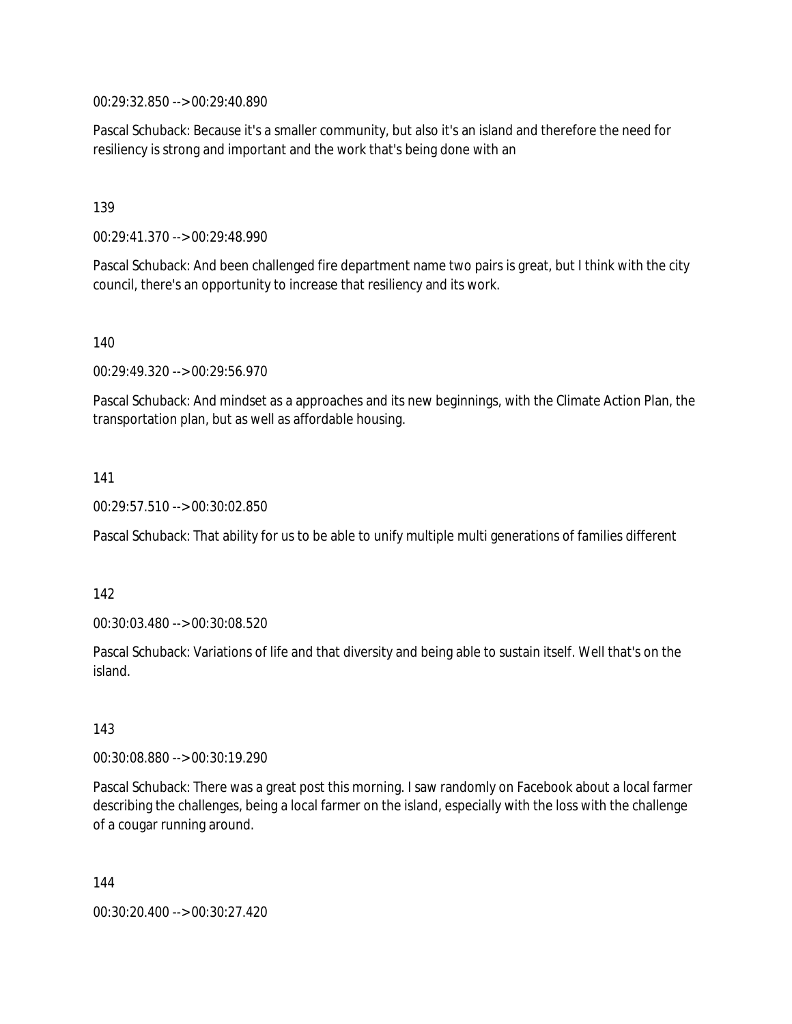00:29:32.850 --> 00:29:40.890

Pascal Schuback: Because it's a smaller community, but also it's an island and therefore the need for resiliency is strong and important and the work that's being done with an

139

00:29:41.370 --> 00:29:48.990

Pascal Schuback: And been challenged fire department name two pairs is great, but I think with the city council, there's an opportunity to increase that resiliency and its work.

140

00:29:49.320 --> 00:29:56.970

Pascal Schuback: And mindset as a approaches and its new beginnings, with the Climate Action Plan, the transportation plan, but as well as affordable housing.

141

00:29:57.510 --> 00:30:02.850

Pascal Schuback: That ability for us to be able to unify multiple multi generations of families different

142

00:30:03.480 --> 00:30:08.520

Pascal Schuback: Variations of life and that diversity and being able to sustain itself. Well that's on the island.

143

00:30:08.880 --> 00:30:19.290

Pascal Schuback: There was a great post this morning. I saw randomly on Facebook about a local farmer describing the challenges, being a local farmer on the island, especially with the loss with the challenge of a cougar running around.

144

00:30:20.400 --> 00:30:27.420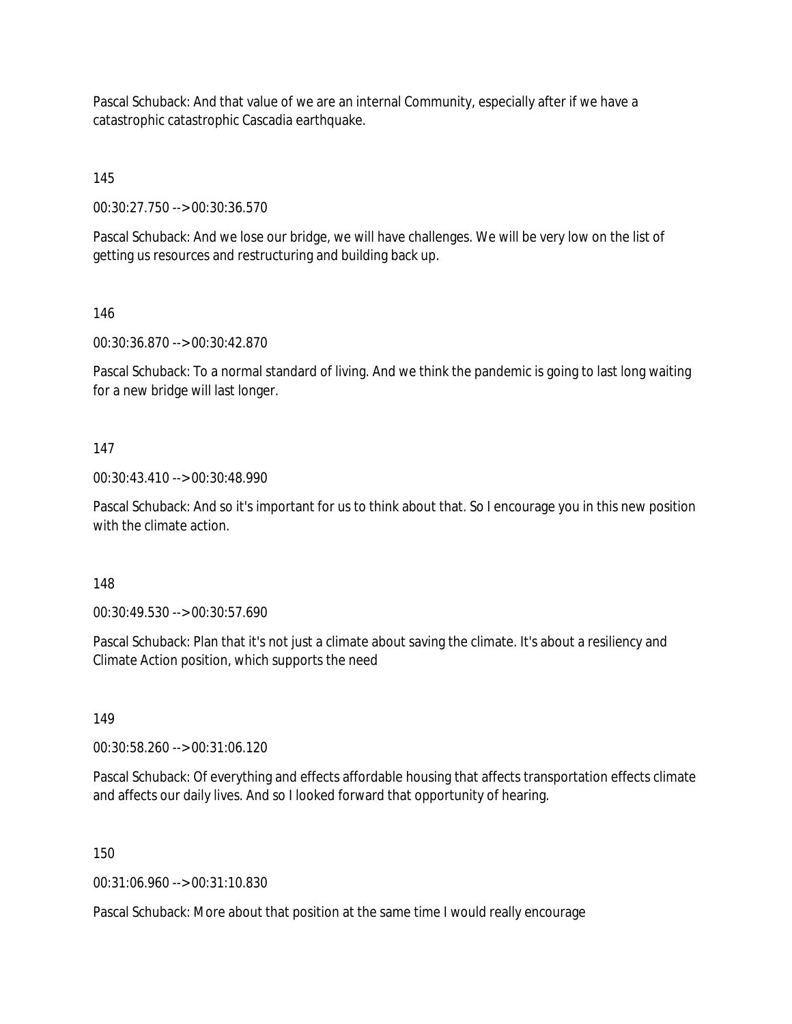Pascal Schuback: And that value of we are an internal Community, especially after if we have a catastrophic catastrophic Cascadia earthquake.

145

00:30:27.750 --> 00:30:36.570

Pascal Schuback: And we lose our bridge, we will have challenges. We will be very low on the list of getting us resources and restructuring and building back up.

146

00:30:36.870 --> 00:30:42.870

Pascal Schuback: To a normal standard of living. And we think the pandemic is going to last long waiting for a new bridge will last longer.

#### 147

00:30:43.410 --> 00:30:48.990

Pascal Schuback: And so it's important for us to think about that. So I encourage you in this new position with the climate action.

#### 148

00:30:49.530 --> 00:30:57.690

Pascal Schuback: Plan that it's not just a climate about saving the climate. It's about a resiliency and Climate Action position, which supports the need

149

00:30:58.260 --> 00:31:06.120

Pascal Schuback: Of everything and effects affordable housing that affects transportation effects climate and affects our daily lives. And so I looked forward that opportunity of hearing.

150

00:31:06.960 --> 00:31:10.830

Pascal Schuback: More about that position at the same time I would really encourage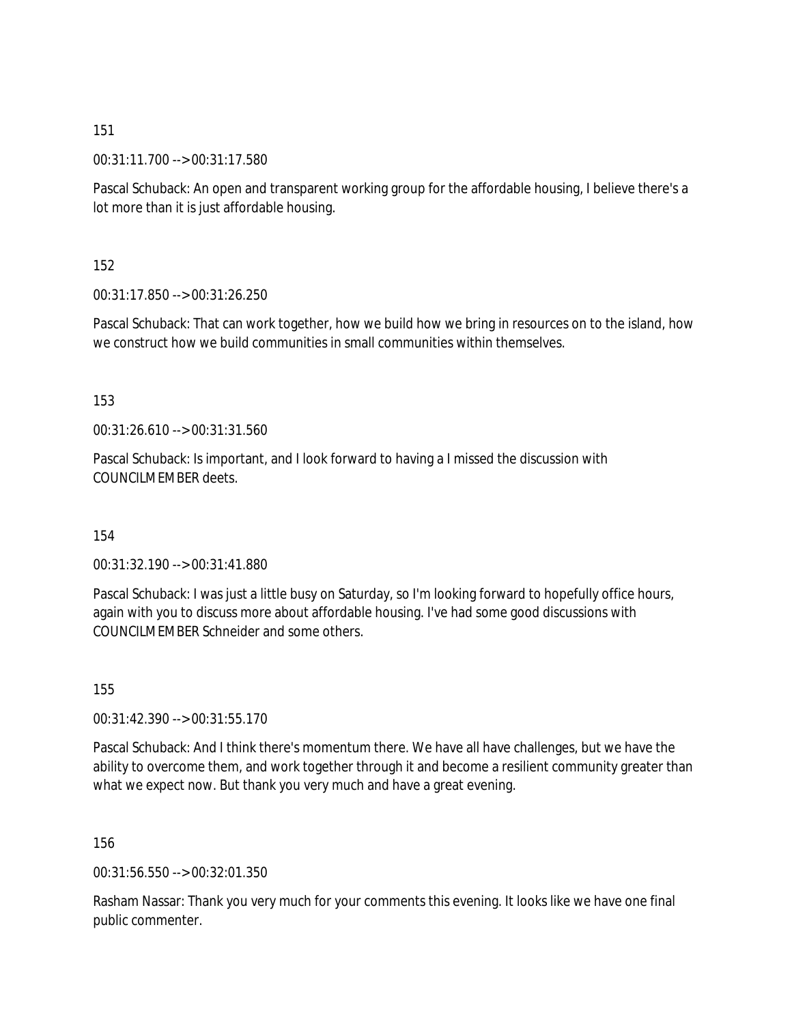00:31:11.700 --> 00:31:17.580

Pascal Schuback: An open and transparent working group for the affordable housing, I believe there's a lot more than it is just affordable housing.

152

00:31:17.850 --> 00:31:26.250

Pascal Schuback: That can work together, how we build how we bring in resources on to the island, how we construct how we build communities in small communities within themselves.

153

00:31:26.610 --> 00:31:31.560

Pascal Schuback: Is important, and I look forward to having a I missed the discussion with COUNCILMEMBER deets.

154

00:31:32.190 --> 00:31:41.880

Pascal Schuback: I was just a little busy on Saturday, so I'm looking forward to hopefully office hours, again with you to discuss more about affordable housing. I've had some good discussions with COUNCILMEMBER Schneider and some others.

155

00:31:42.390 --> 00:31:55.170

Pascal Schuback: And I think there's momentum there. We have all have challenges, but we have the ability to overcome them, and work together through it and become a resilient community greater than what we expect now. But thank you very much and have a great evening.

156

00:31:56.550 --> 00:32:01.350

Rasham Nassar: Thank you very much for your comments this evening. It looks like we have one final public commenter.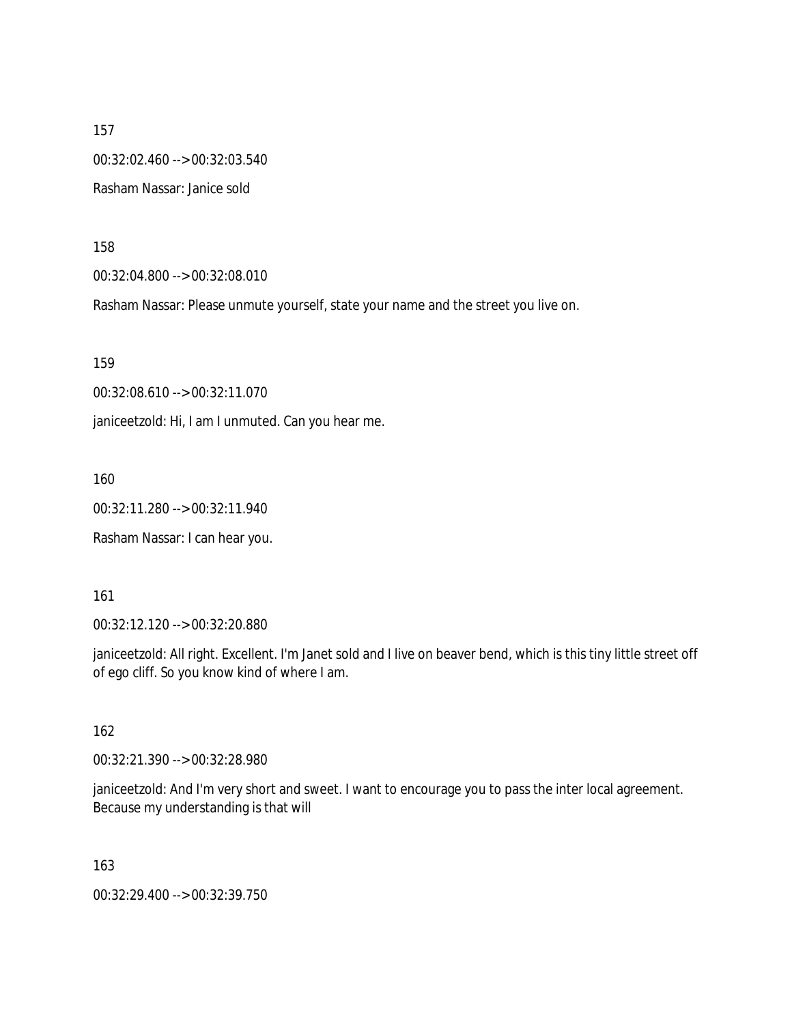157 00:32:02.460 --> 00:32:03.540 Rasham Nassar: Janice sold

158

00:32:04.800 --> 00:32:08.010

Rasham Nassar: Please unmute yourself, state your name and the street you live on.

159

00:32:08.610 --> 00:32:11.070

janiceetzold: Hi, I am I unmuted. Can you hear me.

160

00:32:11.280 --> 00:32:11.940

Rasham Nassar: I can hear you.

161

00:32:12.120 --> 00:32:20.880

janiceetzold: All right. Excellent. I'm Janet sold and I live on beaver bend, which is this tiny little street off of ego cliff. So you know kind of where I am.

162

00:32:21.390 --> 00:32:28.980

janiceetzold: And I'm very short and sweet. I want to encourage you to pass the inter local agreement. Because my understanding is that will

163

00:32:29.400 --> 00:32:39.750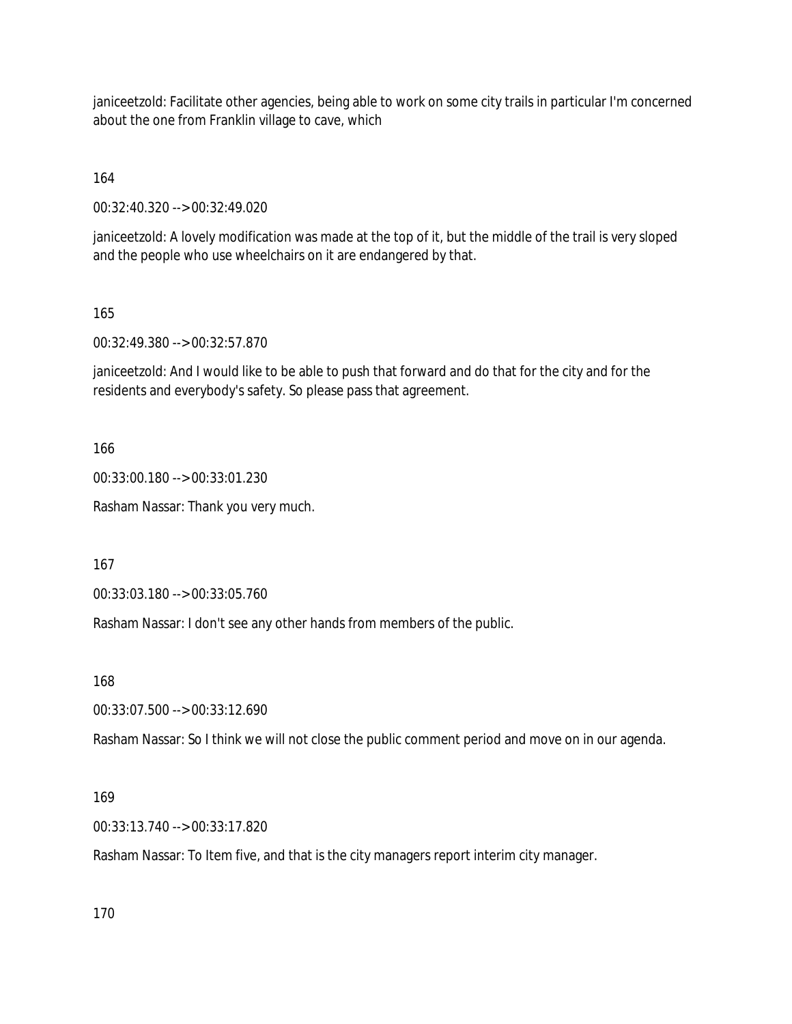janiceetzold: Facilitate other agencies, being able to work on some city trails in particular I'm concerned about the one from Franklin village to cave, which

164

00:32:40.320 --> 00:32:49.020

janiceetzold: A lovely modification was made at the top of it, but the middle of the trail is very sloped and the people who use wheelchairs on it are endangered by that.

165

00:32:49.380 --> 00:32:57.870

janiceetzold: And I would like to be able to push that forward and do that for the city and for the residents and everybody's safety. So please pass that agreement.

166

00:33:00.180 --> 00:33:01.230

Rasham Nassar: Thank you very much.

167

00:33:03.180 --> 00:33:05.760

Rasham Nassar: I don't see any other hands from members of the public.

168

00:33:07.500 --> 00:33:12.690

Rasham Nassar: So I think we will not close the public comment period and move on in our agenda.

#### 169

00:33:13.740 --> 00:33:17.820

Rasham Nassar: To Item five, and that is the city managers report interim city manager.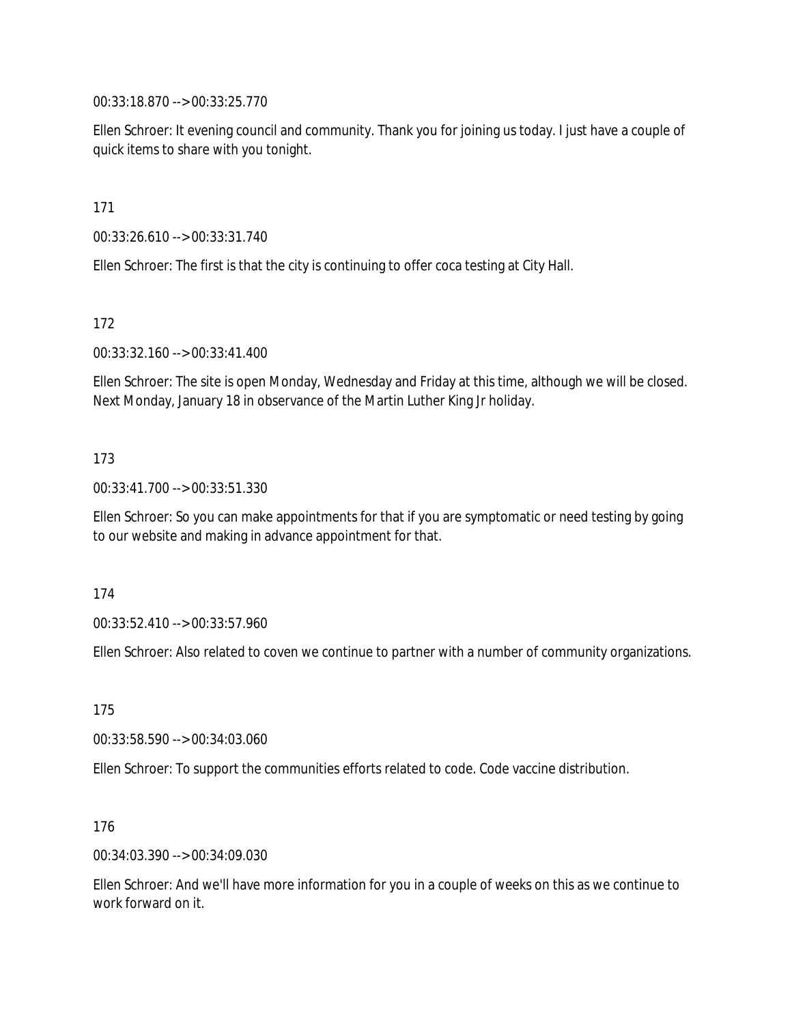00:33:18.870 --> 00:33:25.770

Ellen Schroer: It evening council and community. Thank you for joining us today. I just have a couple of quick items to share with you tonight.

171

00:33:26.610 --> 00:33:31.740

Ellen Schroer: The first is that the city is continuing to offer coca testing at City Hall.

172

00:33:32.160 --> 00:33:41.400

Ellen Schroer: The site is open Monday, Wednesday and Friday at this time, although we will be closed. Next Monday, January 18 in observance of the Martin Luther King Jr holiday.

#### 173

00:33:41.700 --> 00:33:51.330

Ellen Schroer: So you can make appointments for that if you are symptomatic or need testing by going to our website and making in advance appointment for that.

174

00:33:52.410 --> 00:33:57.960

Ellen Schroer: Also related to coven we continue to partner with a number of community organizations.

175

00:33:58.590 --> 00:34:03.060

Ellen Schroer: To support the communities efforts related to code. Code vaccine distribution.

176

00:34:03.390 --> 00:34:09.030

Ellen Schroer: And we'll have more information for you in a couple of weeks on this as we continue to work forward on it.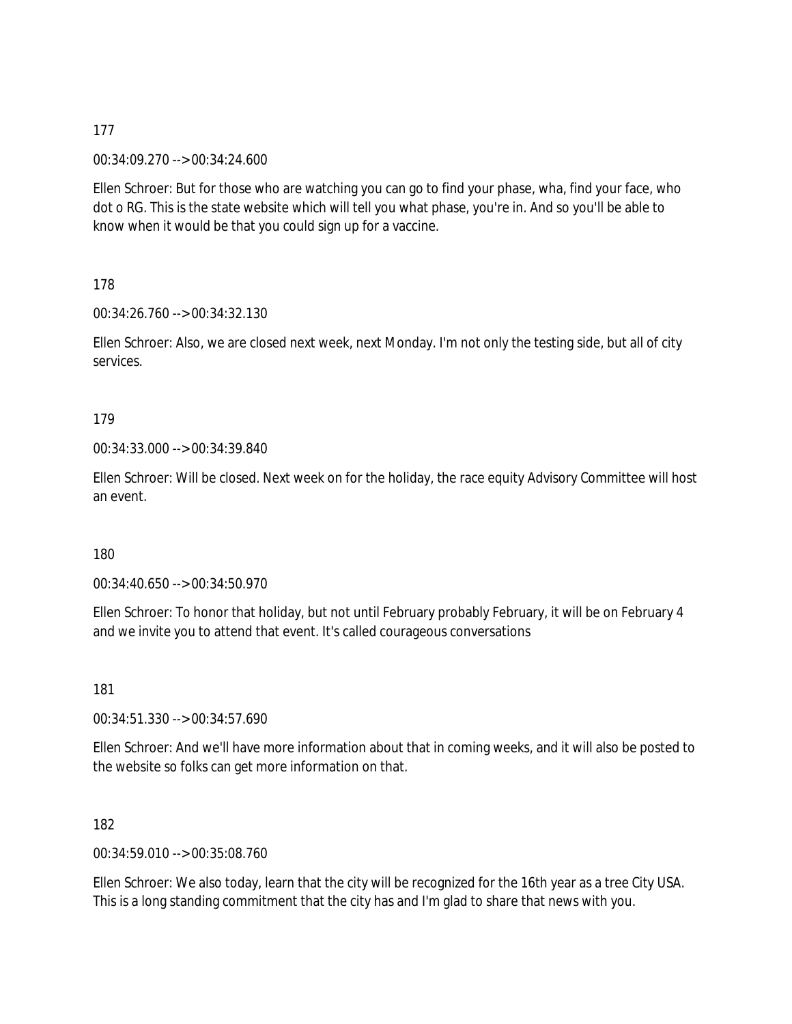00:34:09.270 --> 00:34:24.600

Ellen Schroer: But for those who are watching you can go to find your phase, wha, find your face, who dot o RG. This is the state website which will tell you what phase, you're in. And so you'll be able to know when it would be that you could sign up for a vaccine.

178

00:34:26.760 --> 00:34:32.130

Ellen Schroer: Also, we are closed next week, next Monday. I'm not only the testing side, but all of city services.

# 179

00:34:33.000 --> 00:34:39.840

Ellen Schroer: Will be closed. Next week on for the holiday, the race equity Advisory Committee will host an event.

### 180

00:34:40.650 --> 00:34:50.970

Ellen Schroer: To honor that holiday, but not until February probably February, it will be on February 4 and we invite you to attend that event. It's called courageous conversations

181

00:34:51.330 --> 00:34:57.690

Ellen Schroer: And we'll have more information about that in coming weeks, and it will also be posted to the website so folks can get more information on that.

182

00:34:59.010 --> 00:35:08.760

Ellen Schroer: We also today, learn that the city will be recognized for the 16th year as a tree City USA. This is a long standing commitment that the city has and I'm glad to share that news with you.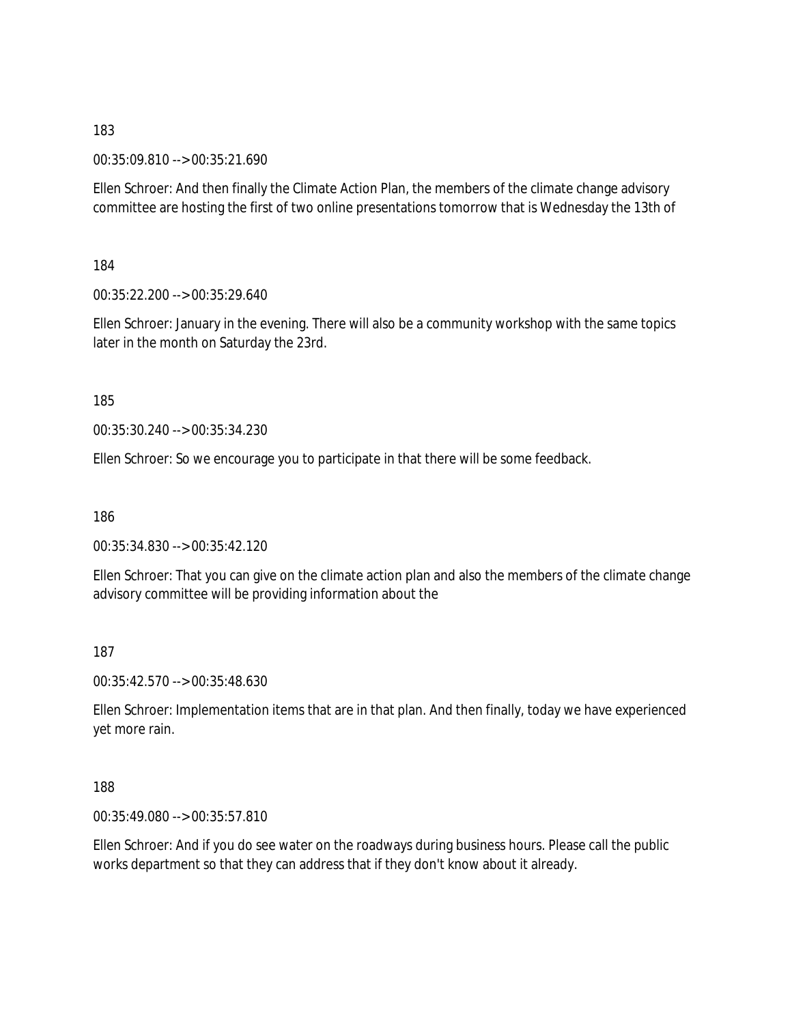00:35:09.810 --> 00:35:21.690

Ellen Schroer: And then finally the Climate Action Plan, the members of the climate change advisory committee are hosting the first of two online presentations tomorrow that is Wednesday the 13th of

184

00:35:22.200 --> 00:35:29.640

Ellen Schroer: January in the evening. There will also be a community workshop with the same topics later in the month on Saturday the 23rd.

185

00:35:30.240 --> 00:35:34.230

Ellen Schroer: So we encourage you to participate in that there will be some feedback.

186

00:35:34.830 --> 00:35:42.120

Ellen Schroer: That you can give on the climate action plan and also the members of the climate change advisory committee will be providing information about the

187

00:35:42.570 --> 00:35:48.630

Ellen Schroer: Implementation items that are in that plan. And then finally, today we have experienced yet more rain.

188

00:35:49.080 --> 00:35:57.810

Ellen Schroer: And if you do see water on the roadways during business hours. Please call the public works department so that they can address that if they don't know about it already.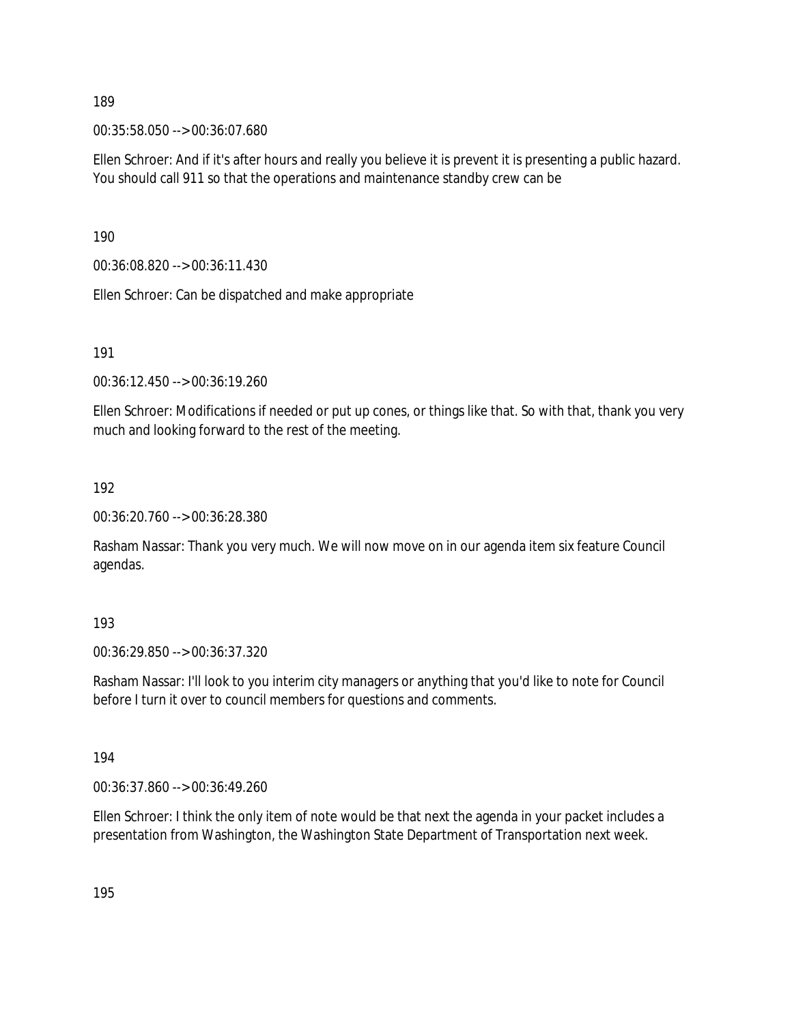00:35:58.050 --> 00:36:07.680

Ellen Schroer: And if it's after hours and really you believe it is prevent it is presenting a public hazard. You should call 911 so that the operations and maintenance standby crew can be

190

00:36:08.820 --> 00:36:11.430

Ellen Schroer: Can be dispatched and make appropriate

191

00:36:12.450 --> 00:36:19.260

Ellen Schroer: Modifications if needed or put up cones, or things like that. So with that, thank you very much and looking forward to the rest of the meeting.

192

00:36:20.760 --> 00:36:28.380

Rasham Nassar: Thank you very much. We will now move on in our agenda item six feature Council agendas.

193

00:36:29.850 --> 00:36:37.320

Rasham Nassar: I'll look to you interim city managers or anything that you'd like to note for Council before I turn it over to council members for questions and comments.

194

00:36:37.860 --> 00:36:49.260

Ellen Schroer: I think the only item of note would be that next the agenda in your packet includes a presentation from Washington, the Washington State Department of Transportation next week.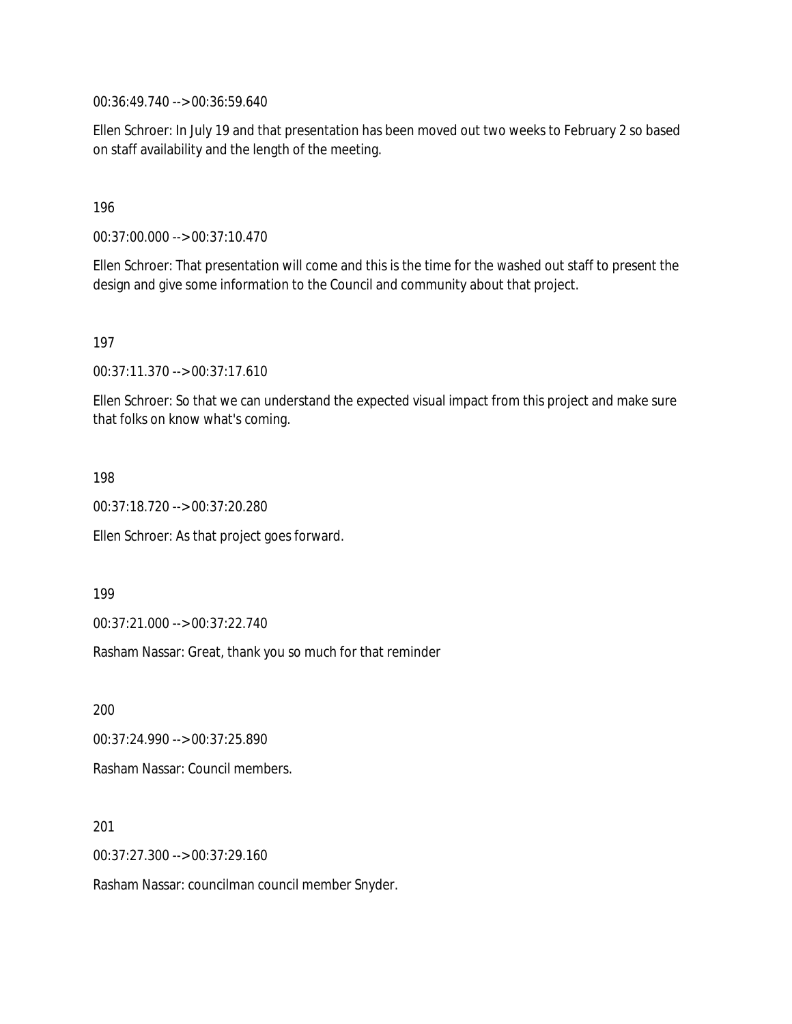00:36:49.740 --> 00:36:59.640

Ellen Schroer: In July 19 and that presentation has been moved out two weeks to February 2 so based on staff availability and the length of the meeting.

196

00:37:00.000 --> 00:37:10.470

Ellen Schroer: That presentation will come and this is the time for the washed out staff to present the design and give some information to the Council and community about that project.

197

00:37:11.370 --> 00:37:17.610

Ellen Schroer: So that we can understand the expected visual impact from this project and make sure that folks on know what's coming.

198

00:37:18.720 --> 00:37:20.280

Ellen Schroer: As that project goes forward.

199

00:37:21.000 --> 00:37:22.740

Rasham Nassar: Great, thank you so much for that reminder

200

00:37:24.990 --> 00:37:25.890 Rasham Nassar: Council members.

201

00:37:27.300 --> 00:37:29.160

Rasham Nassar: councilman council member Snyder.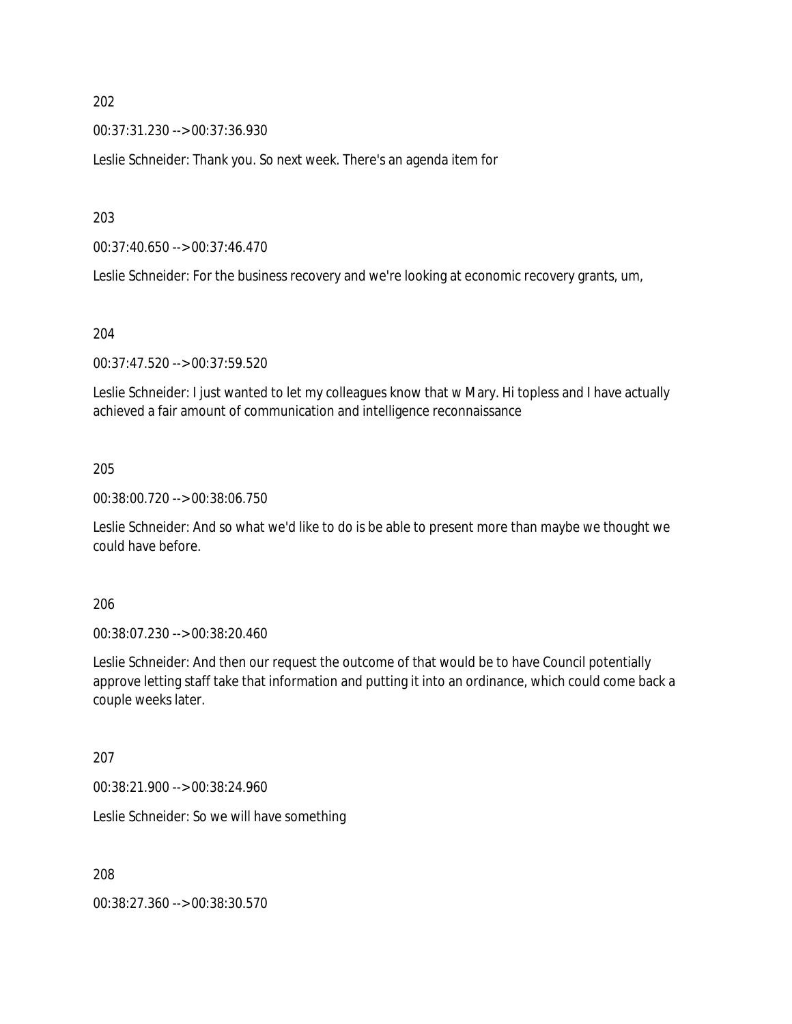00:37:31.230 --> 00:37:36.930

Leslie Schneider: Thank you. So next week. There's an agenda item for

203

00:37:40.650 --> 00:37:46.470

Leslie Schneider: For the business recovery and we're looking at economic recovery grants, um,

204

00:37:47.520 --> 00:37:59.520

Leslie Schneider: I just wanted to let my colleagues know that w Mary. Hi topless and I have actually achieved a fair amount of communication and intelligence reconnaissance

#### 205

00:38:00.720 --> 00:38:06.750

Leslie Schneider: And so what we'd like to do is be able to present more than maybe we thought we could have before.

206

00:38:07.230 --> 00:38:20.460

Leslie Schneider: And then our request the outcome of that would be to have Council potentially approve letting staff take that information and putting it into an ordinance, which could come back a couple weeks later.

207

00:38:21.900 --> 00:38:24.960

Leslie Schneider: So we will have something

208

00:38:27.360 --> 00:38:30.570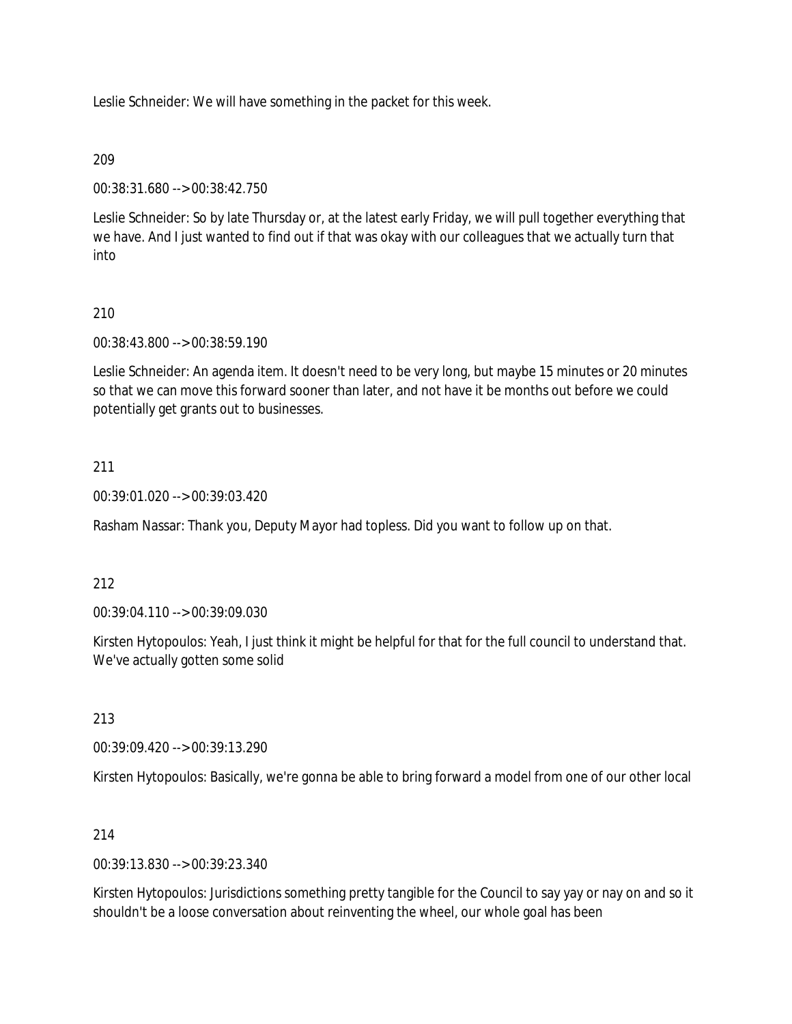Leslie Schneider: We will have something in the packet for this week.

### 209

00:38:31.680 --> 00:38:42.750

Leslie Schneider: So by late Thursday or, at the latest early Friday, we will pull together everything that we have. And I just wanted to find out if that was okay with our colleagues that we actually turn that into

# 210

00:38:43.800 --> 00:38:59.190

Leslie Schneider: An agenda item. It doesn't need to be very long, but maybe 15 minutes or 20 minutes so that we can move this forward sooner than later, and not have it be months out before we could potentially get grants out to businesses.

### 211

00:39:01.020 --> 00:39:03.420

Rasham Nassar: Thank you, Deputy Mayor had topless. Did you want to follow up on that.

### 212

00:39:04.110 --> 00:39:09.030

Kirsten Hytopoulos: Yeah, I just think it might be helpful for that for the full council to understand that. We've actually gotten some solid

#### 213

00:39:09.420 --> 00:39:13.290

Kirsten Hytopoulos: Basically, we're gonna be able to bring forward a model from one of our other local

### 214

00:39:13.830 --> 00:39:23.340

Kirsten Hytopoulos: Jurisdictions something pretty tangible for the Council to say yay or nay on and so it shouldn't be a loose conversation about reinventing the wheel, our whole goal has been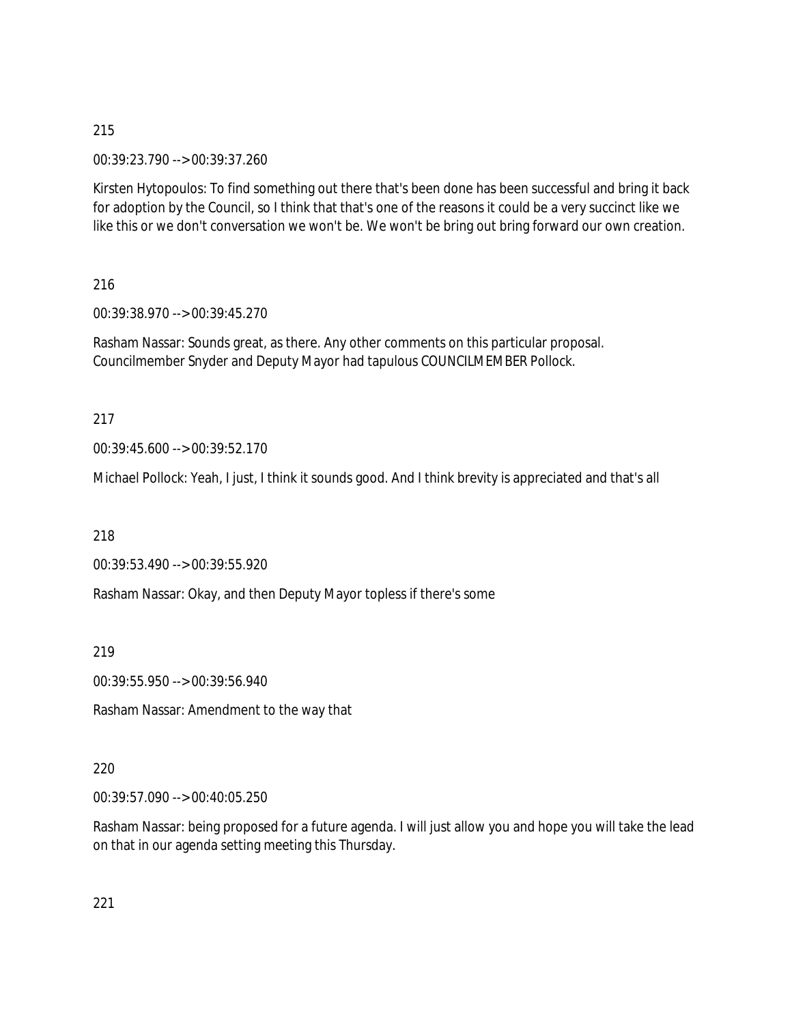00:39:23.790 --> 00:39:37.260

Kirsten Hytopoulos: To find something out there that's been done has been successful and bring it back for adoption by the Council, so I think that that's one of the reasons it could be a very succinct like we like this or we don't conversation we won't be. We won't be bring out bring forward our own creation.

216

00:39:38.970 --> 00:39:45.270

Rasham Nassar: Sounds great, as there. Any other comments on this particular proposal. Councilmember Snyder and Deputy Mayor had tapulous COUNCILMEMBER Pollock.

217

00:39:45.600 --> 00:39:52.170

Michael Pollock: Yeah, I just, I think it sounds good. And I think brevity is appreciated and that's all

218

00:39:53.490 --> 00:39:55.920

Rasham Nassar: Okay, and then Deputy Mayor topless if there's some

219

00:39:55.950 --> 00:39:56.940

Rasham Nassar: Amendment to the way that

220

00:39:57.090 --> 00:40:05.250

Rasham Nassar: being proposed for a future agenda. I will just allow you and hope you will take the lead on that in our agenda setting meeting this Thursday.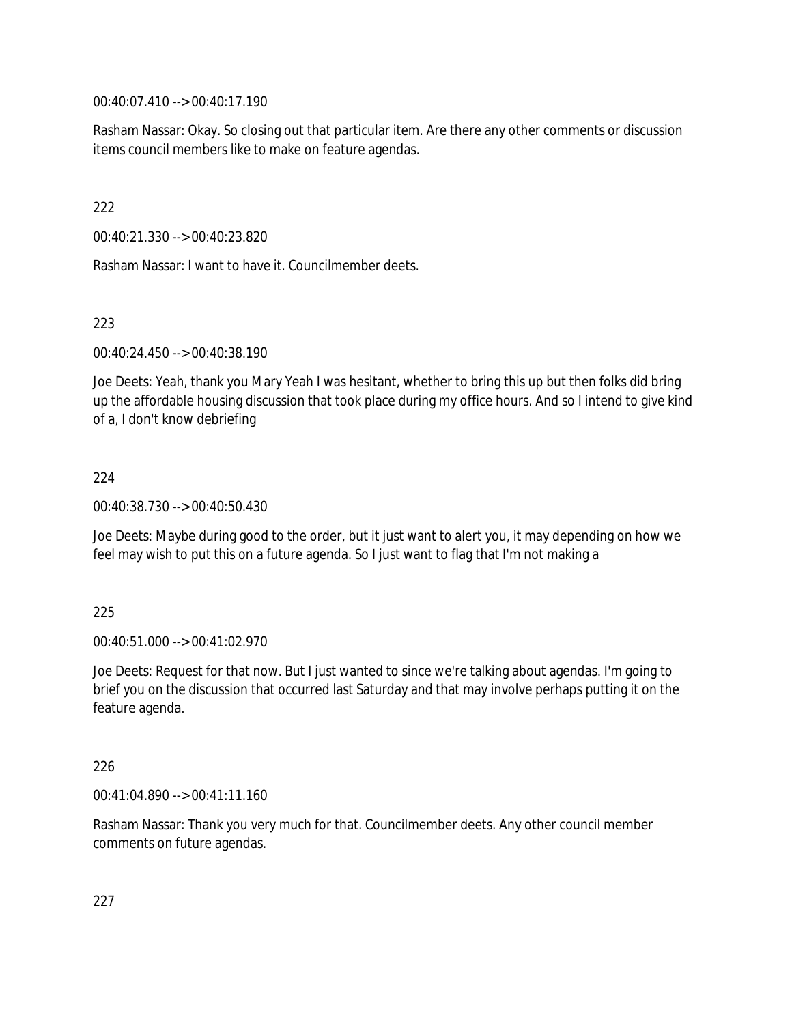00:40:07.410 --> 00:40:17.190

Rasham Nassar: Okay. So closing out that particular item. Are there any other comments or discussion items council members like to make on feature agendas.

222

00:40:21.330 --> 00:40:23.820

Rasham Nassar: I want to have it. Councilmember deets.

223

00:40:24.450 --> 00:40:38.190

Joe Deets: Yeah, thank you Mary Yeah I was hesitant, whether to bring this up but then folks did bring up the affordable housing discussion that took place during my office hours. And so I intend to give kind of a, I don't know debriefing

224

00:40:38.730 --> 00:40:50.430

Joe Deets: Maybe during good to the order, but it just want to alert you, it may depending on how we feel may wish to put this on a future agenda. So I just want to flag that I'm not making a

225

00:40:51.000 --> 00:41:02.970

Joe Deets: Request for that now. But I just wanted to since we're talking about agendas. I'm going to brief you on the discussion that occurred last Saturday and that may involve perhaps putting it on the feature agenda.

226

00:41:04.890 --> 00:41:11.160

Rasham Nassar: Thank you very much for that. Councilmember deets. Any other council member comments on future agendas.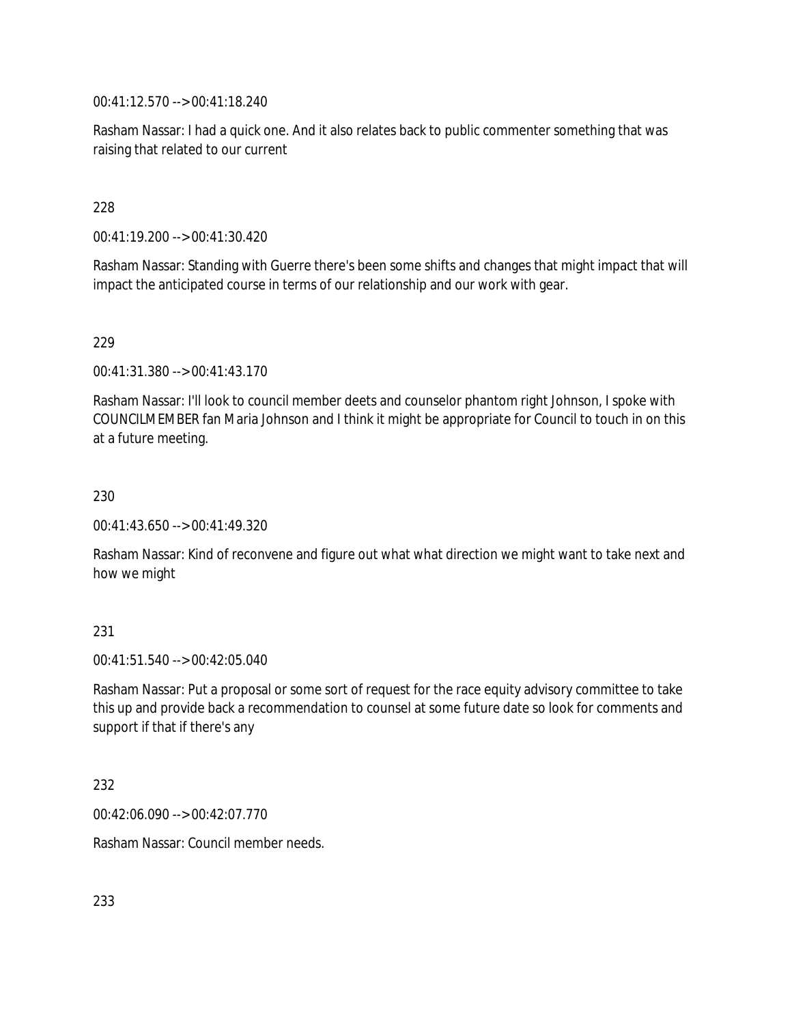00:41:12.570 --> 00:41:18.240

Rasham Nassar: I had a quick one. And it also relates back to public commenter something that was raising that related to our current

228

00:41:19.200 --> 00:41:30.420

Rasham Nassar: Standing with Guerre there's been some shifts and changes that might impact that will impact the anticipated course in terms of our relationship and our work with gear.

229

00:41:31.380 --> 00:41:43.170

Rasham Nassar: I'll look to council member deets and counselor phantom right Johnson, I spoke with COUNCILMEMBER fan Maria Johnson and I think it might be appropriate for Council to touch in on this at a future meeting.

230

00:41:43.650 --> 00:41:49.320

Rasham Nassar: Kind of reconvene and figure out what what direction we might want to take next and how we might

231

 $00.41.51.540 -> 00.42.05.040$ 

Rasham Nassar: Put a proposal or some sort of request for the race equity advisory committee to take this up and provide back a recommendation to counsel at some future date so look for comments and support if that if there's any

232

00:42:06.090 --> 00:42:07.770

Rasham Nassar: Council member needs.

233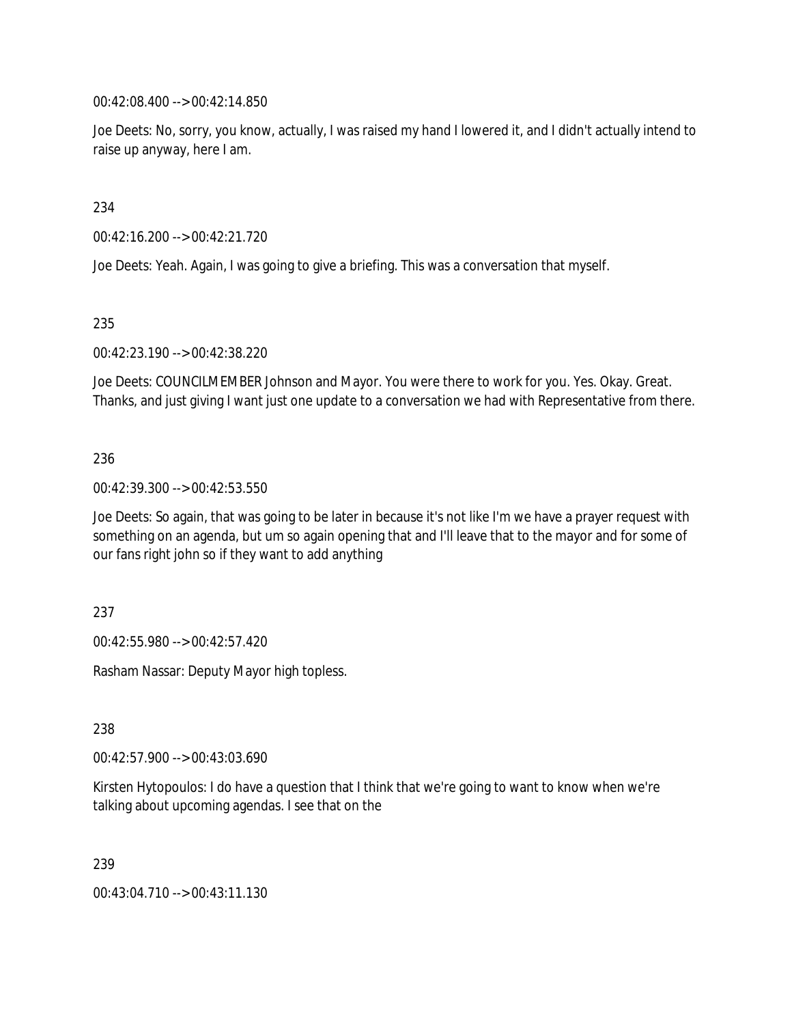00:42:08.400 --> 00:42:14.850

Joe Deets: No, sorry, you know, actually, I was raised my hand I lowered it, and I didn't actually intend to raise up anyway, here I am.

234

00:42:16.200 --> 00:42:21.720

Joe Deets: Yeah. Again, I was going to give a briefing. This was a conversation that myself.

235

00:42:23.190 --> 00:42:38.220

Joe Deets: COUNCILMEMBER Johnson and Mayor. You were there to work for you. Yes. Okay. Great. Thanks, and just giving I want just one update to a conversation we had with Representative from there.

236

00:42:39.300 --> 00:42:53.550

Joe Deets: So again, that was going to be later in because it's not like I'm we have a prayer request with something on an agenda, but um so again opening that and I'll leave that to the mayor and for some of our fans right john so if they want to add anything

237

00:42:55.980 --> 00:42:57.420

Rasham Nassar: Deputy Mayor high topless.

238

00:42:57.900 --> 00:43:03.690

Kirsten Hytopoulos: I do have a question that I think that we're going to want to know when we're talking about upcoming agendas. I see that on the

239

00:43:04.710 --> 00:43:11.130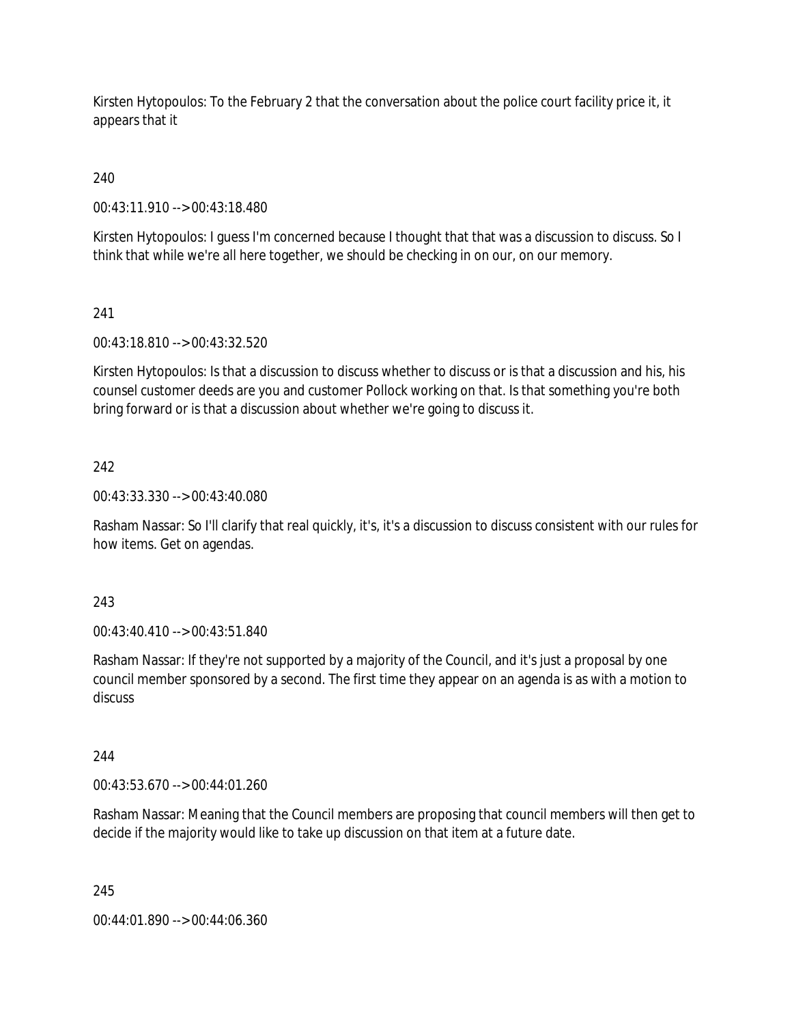Kirsten Hytopoulos: To the February 2 that the conversation about the police court facility price it, it appears that it

240

00:43:11.910 --> 00:43:18.480

Kirsten Hytopoulos: I guess I'm concerned because I thought that that was a discussion to discuss. So I think that while we're all here together, we should be checking in on our, on our memory.

## 241

00:43:18.810 --> 00:43:32.520

Kirsten Hytopoulos: Is that a discussion to discuss whether to discuss or is that a discussion and his, his counsel customer deeds are you and customer Pollock working on that. Is that something you're both bring forward or is that a discussion about whether we're going to discuss it.

## 242

00:43:33.330 --> 00:43:40.080

Rasham Nassar: So I'll clarify that real quickly, it's, it's a discussion to discuss consistent with our rules for how items. Get on agendas.

### 243

00:43:40.410 --> 00:43:51.840

Rasham Nassar: If they're not supported by a majority of the Council, and it's just a proposal by one council member sponsored by a second. The first time they appear on an agenda is as with a motion to discuss

### 244

00:43:53.670 --> 00:44:01.260

Rasham Nassar: Meaning that the Council members are proposing that council members will then get to decide if the majority would like to take up discussion on that item at a future date.

### 245

00:44:01.890 --> 00:44:06.360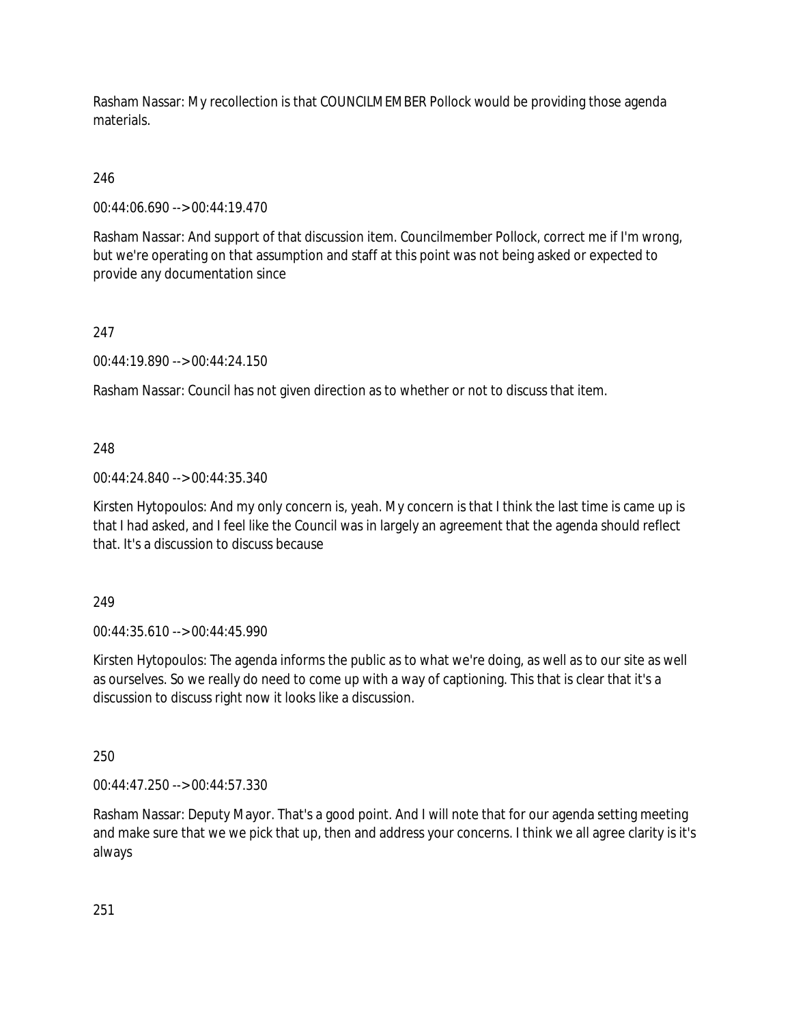Rasham Nassar: My recollection is that COUNCILMEMBER Pollock would be providing those agenda materials.

# 246

00:44:06.690 --> 00:44:19.470

Rasham Nassar: And support of that discussion item. Councilmember Pollock, correct me if I'm wrong, but we're operating on that assumption and staff at this point was not being asked or expected to provide any documentation since

## 247

00:44:19.890 --> 00:44:24.150

Rasham Nassar: Council has not given direction as to whether or not to discuss that item.

## 248

00:44:24.840 --> 00:44:35.340

Kirsten Hytopoulos: And my only concern is, yeah. My concern is that I think the last time is came up is that I had asked, and I feel like the Council was in largely an agreement that the agenda should reflect that. It's a discussion to discuss because

### 249

00:44:35.610 --> 00:44:45.990

Kirsten Hytopoulos: The agenda informs the public as to what we're doing, as well as to our site as well as ourselves. So we really do need to come up with a way of captioning. This that is clear that it's a discussion to discuss right now it looks like a discussion.

# 250

00:44:47.250 --> 00:44:57.330

Rasham Nassar: Deputy Mayor. That's a good point. And I will note that for our agenda setting meeting and make sure that we we pick that up, then and address your concerns. I think we all agree clarity is it's always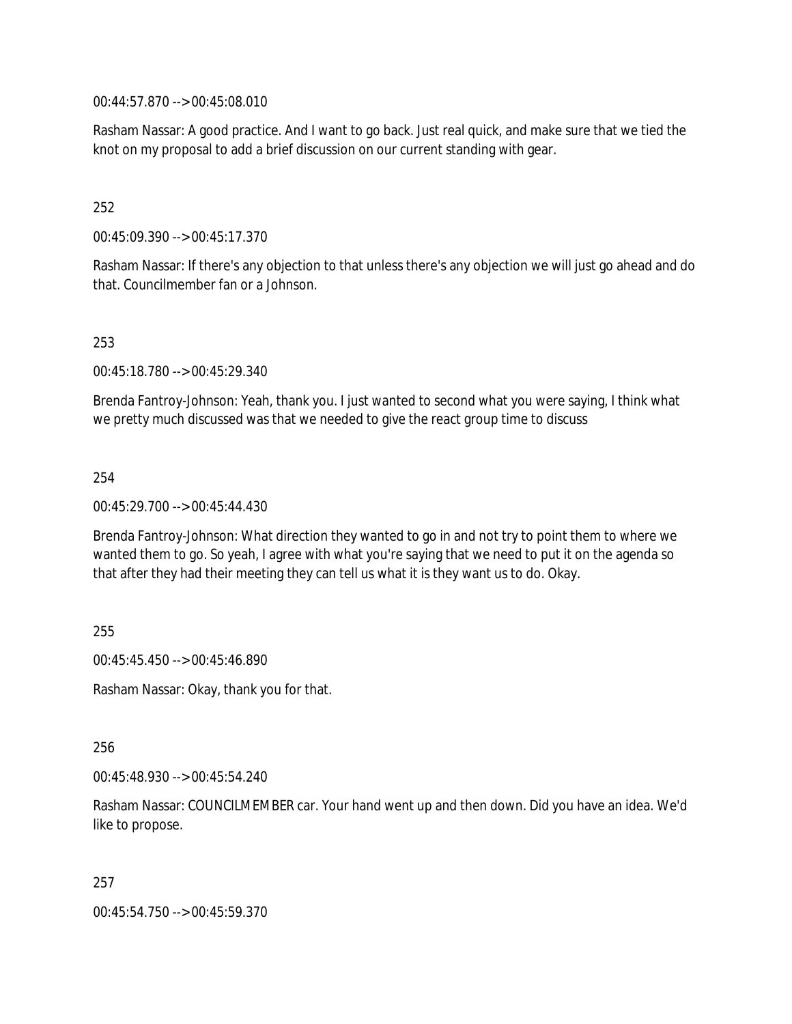00:44:57.870 --> 00:45:08.010

Rasham Nassar: A good practice. And I want to go back. Just real quick, and make sure that we tied the knot on my proposal to add a brief discussion on our current standing with gear.

### 252

00:45:09.390 --> 00:45:17.370

Rasham Nassar: If there's any objection to that unless there's any objection we will just go ahead and do that. Councilmember fan or a Johnson.

## 253

00:45:18.780 --> 00:45:29.340

Brenda Fantroy-Johnson: Yeah, thank you. I just wanted to second what you were saying, I think what we pretty much discussed was that we needed to give the react group time to discuss

### 254

00:45:29.700 --> 00:45:44.430

Brenda Fantroy-Johnson: What direction they wanted to go in and not try to point them to where we wanted them to go. So yeah, I agree with what you're saying that we need to put it on the agenda so that after they had their meeting they can tell us what it is they want us to do. Okay.

255

00:45:45.450 --> 00:45:46.890

Rasham Nassar: Okay, thank you for that.

256

00:45:48.930 --> 00:45:54.240

Rasham Nassar: COUNCILMEMBER car. Your hand went up and then down. Did you have an idea. We'd like to propose.

257

00:45:54.750 --> 00:45:59.370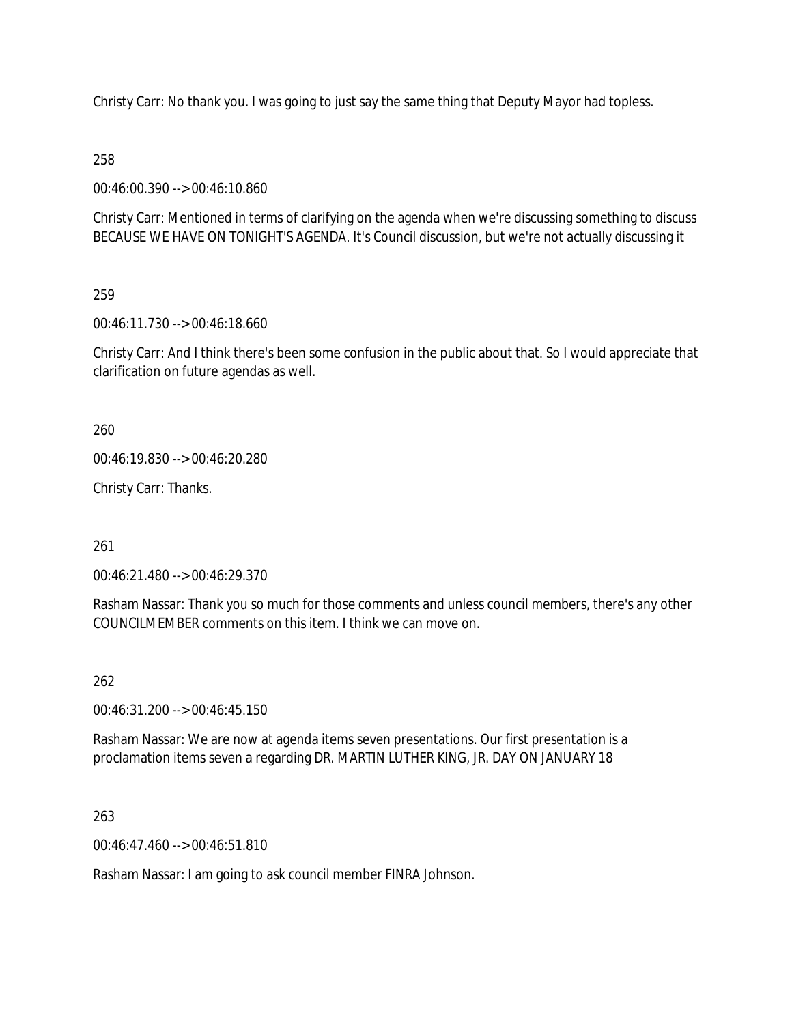Christy Carr: No thank you. I was going to just say the same thing that Deputy Mayor had topless.

258

00:46:00.390 --> 00:46:10.860

Christy Carr: Mentioned in terms of clarifying on the agenda when we're discussing something to discuss BECAUSE WE HAVE ON TONIGHT'S AGENDA. It's Council discussion, but we're not actually discussing it

259

00:46:11.730 --> 00:46:18.660

Christy Carr: And I think there's been some confusion in the public about that. So I would appreciate that clarification on future agendas as well.

260

00:46:19.830 --> 00:46:20.280

Christy Carr: Thanks.

261

00:46:21.480 --> 00:46:29.370

Rasham Nassar: Thank you so much for those comments and unless council members, there's any other COUNCILMEMBER comments on this item. I think we can move on.

262

00:46:31.200 --> 00:46:45.150

Rasham Nassar: We are now at agenda items seven presentations. Our first presentation is a proclamation items seven a regarding DR. MARTIN LUTHER KING, JR. DAY ON JANUARY 18

263

00:46:47.460 --> 00:46:51.810

Rasham Nassar: I am going to ask council member FINRA Johnson.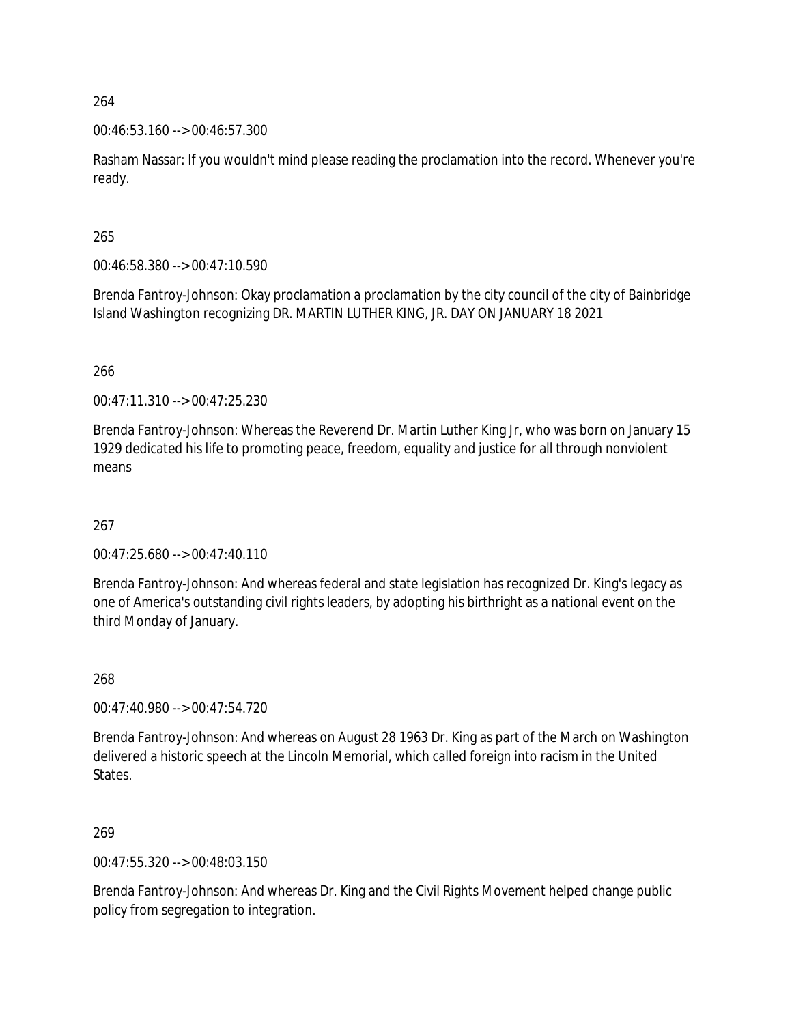00:46:53.160 --> 00:46:57.300

Rasham Nassar: If you wouldn't mind please reading the proclamation into the record. Whenever you're ready.

265

00:46:58.380 --> 00:47:10.590

Brenda Fantroy-Johnson: Okay proclamation a proclamation by the city council of the city of Bainbridge Island Washington recognizing DR. MARTIN LUTHER KING, JR. DAY ON JANUARY 18 2021

266

00:47:11.310 --> 00:47:25.230

Brenda Fantroy-Johnson: Whereas the Reverend Dr. Martin Luther King Jr, who was born on January 15 1929 dedicated his life to promoting peace, freedom, equality and justice for all through nonviolent means

267

00:47:25.680 --> 00:47:40.110

Brenda Fantroy-Johnson: And whereas federal and state legislation has recognized Dr. King's legacy as one of America's outstanding civil rights leaders, by adopting his birthright as a national event on the third Monday of January.

268

00:47:40.980 --> 00:47:54.720

Brenda Fantroy-Johnson: And whereas on August 28 1963 Dr. King as part of the March on Washington delivered a historic speech at the Lincoln Memorial, which called foreign into racism in the United States.

269

00:47:55.320 --> 00:48:03.150

Brenda Fantroy-Johnson: And whereas Dr. King and the Civil Rights Movement helped change public policy from segregation to integration.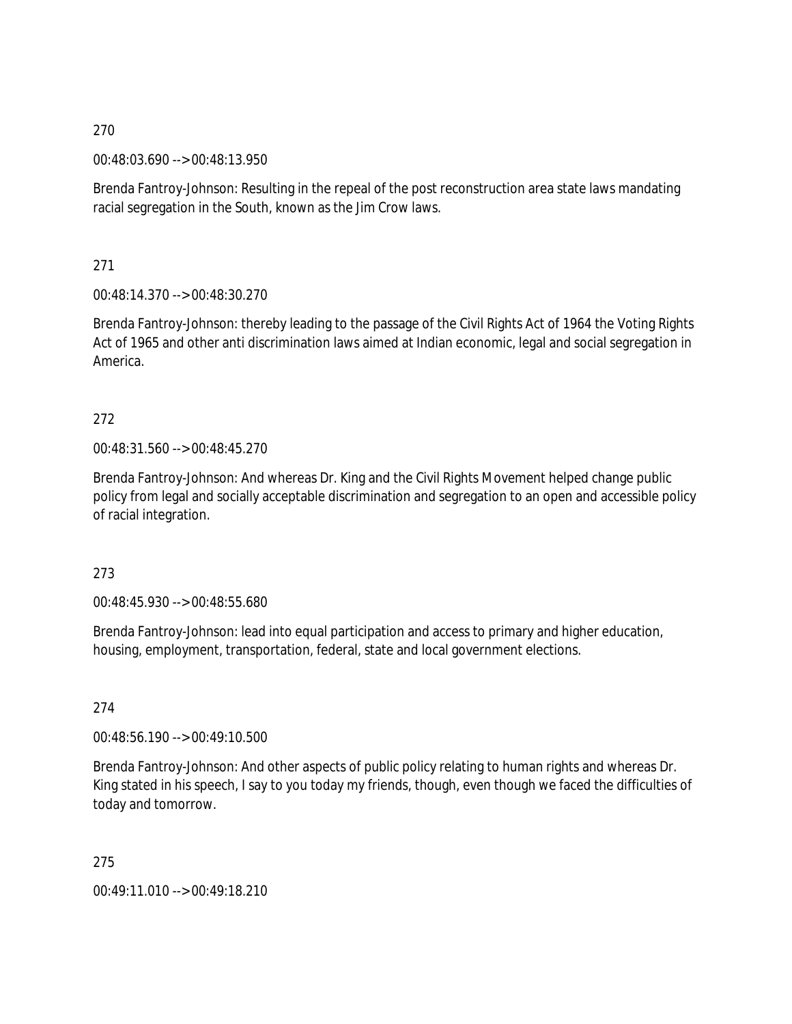00:48:03.690 --> 00:48:13.950

Brenda Fantroy-Johnson: Resulting in the repeal of the post reconstruction area state laws mandating racial segregation in the South, known as the Jim Crow laws.

271

00:48:14.370 --> 00:48:30.270

Brenda Fantroy-Johnson: thereby leading to the passage of the Civil Rights Act of 1964 the Voting Rights Act of 1965 and other anti discrimination laws aimed at Indian economic, legal and social segregation in America.

# 272

00:48:31.560 --> 00:48:45.270

Brenda Fantroy-Johnson: And whereas Dr. King and the Civil Rights Movement helped change public policy from legal and socially acceptable discrimination and segregation to an open and accessible policy of racial integration.

273

00:48:45.930 --> 00:48:55.680

Brenda Fantroy-Johnson: lead into equal participation and access to primary and higher education, housing, employment, transportation, federal, state and local government elections.

274

00:48:56.190 --> 00:49:10.500

Brenda Fantroy-Johnson: And other aspects of public policy relating to human rights and whereas Dr. King stated in his speech, I say to you today my friends, though, even though we faced the difficulties of today and tomorrow.

275

00:49:11.010 --> 00:49:18.210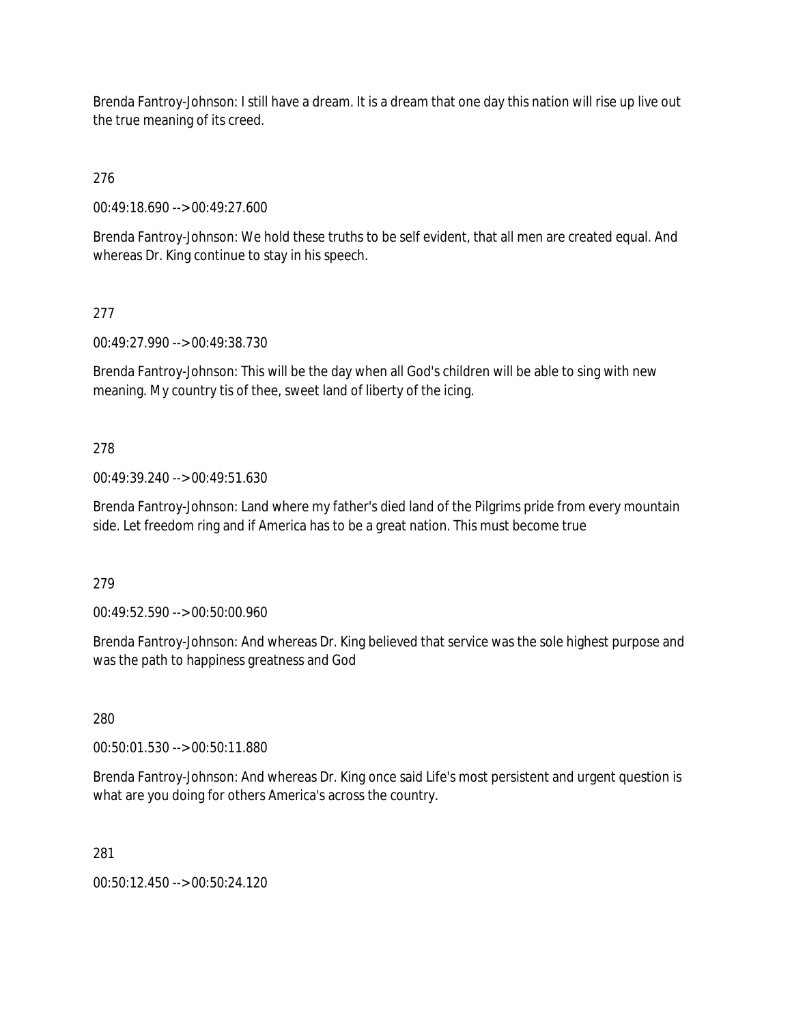Brenda Fantroy-Johnson: I still have a dream. It is a dream that one day this nation will rise up live out the true meaning of its creed.

276

00:49:18.690 --> 00:49:27.600

Brenda Fantroy-Johnson: We hold these truths to be self evident, that all men are created equal. And whereas Dr. King continue to stay in his speech.

277

00:49:27.990 --> 00:49:38.730

Brenda Fantroy-Johnson: This will be the day when all God's children will be able to sing with new meaning. My country tis of thee, sweet land of liberty of the icing.

278

00:49:39.240 --> 00:49:51.630

Brenda Fantroy-Johnson: Land where my father's died land of the Pilgrims pride from every mountain side. Let freedom ring and if America has to be a great nation. This must become true

279

00:49:52.590 --> 00:50:00.960

Brenda Fantroy-Johnson: And whereas Dr. King believed that service was the sole highest purpose and was the path to happiness greatness and God

280

00:50:01.530 --> 00:50:11.880

Brenda Fantroy-Johnson: And whereas Dr. King once said Life's most persistent and urgent question is what are you doing for others America's across the country.

281

00:50:12.450 --> 00:50:24.120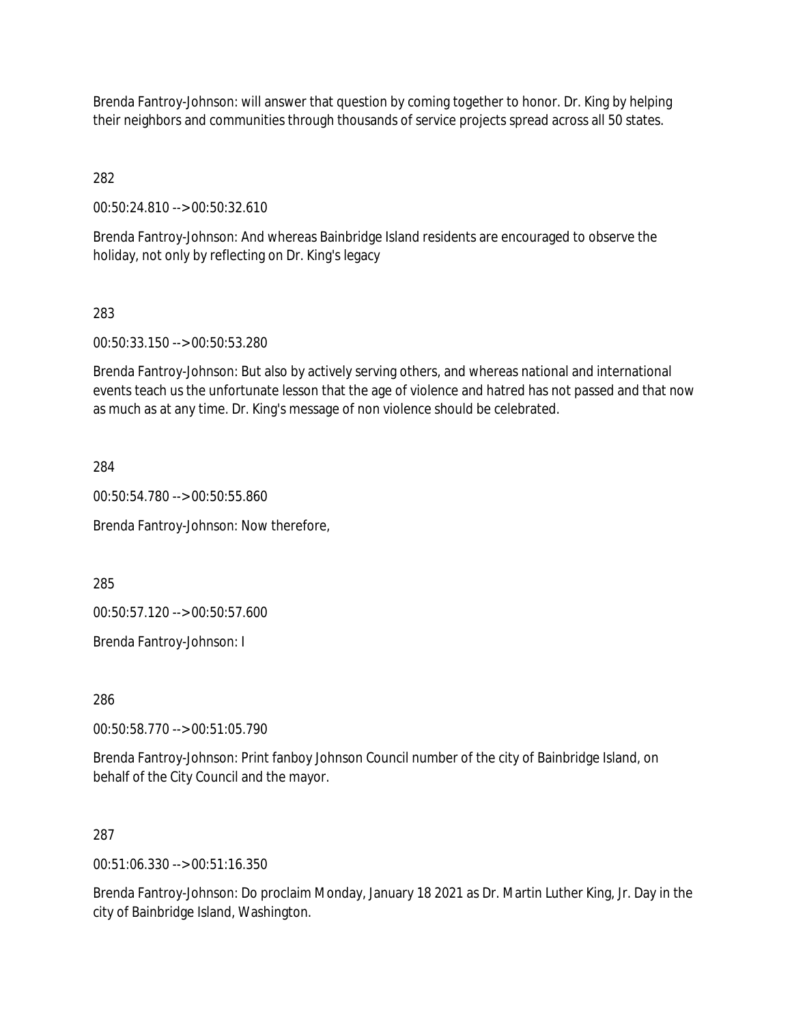Brenda Fantroy-Johnson: will answer that question by coming together to honor. Dr. King by helping their neighbors and communities through thousands of service projects spread across all 50 states.

282

00:50:24.810 --> 00:50:32.610

Brenda Fantroy-Johnson: And whereas Bainbridge Island residents are encouraged to observe the holiday, not only by reflecting on Dr. King's legacy

## 283

00:50:33.150 --> 00:50:53.280

Brenda Fantroy-Johnson: But also by actively serving others, and whereas national and international events teach us the unfortunate lesson that the age of violence and hatred has not passed and that now as much as at any time. Dr. King's message of non violence should be celebrated.

284

00:50:54.780 --> 00:50:55.860

Brenda Fantroy-Johnson: Now therefore,

285

00:50:57.120 --> 00:50:57.600

Brenda Fantroy-Johnson: I

286

00:50:58.770 --> 00:51:05.790

Brenda Fantroy-Johnson: Print fanboy Johnson Council number of the city of Bainbridge Island, on behalf of the City Council and the mayor.

### 287

00:51:06.330 --> 00:51:16.350

Brenda Fantroy-Johnson: Do proclaim Monday, January 18 2021 as Dr. Martin Luther King, Jr. Day in the city of Bainbridge Island, Washington.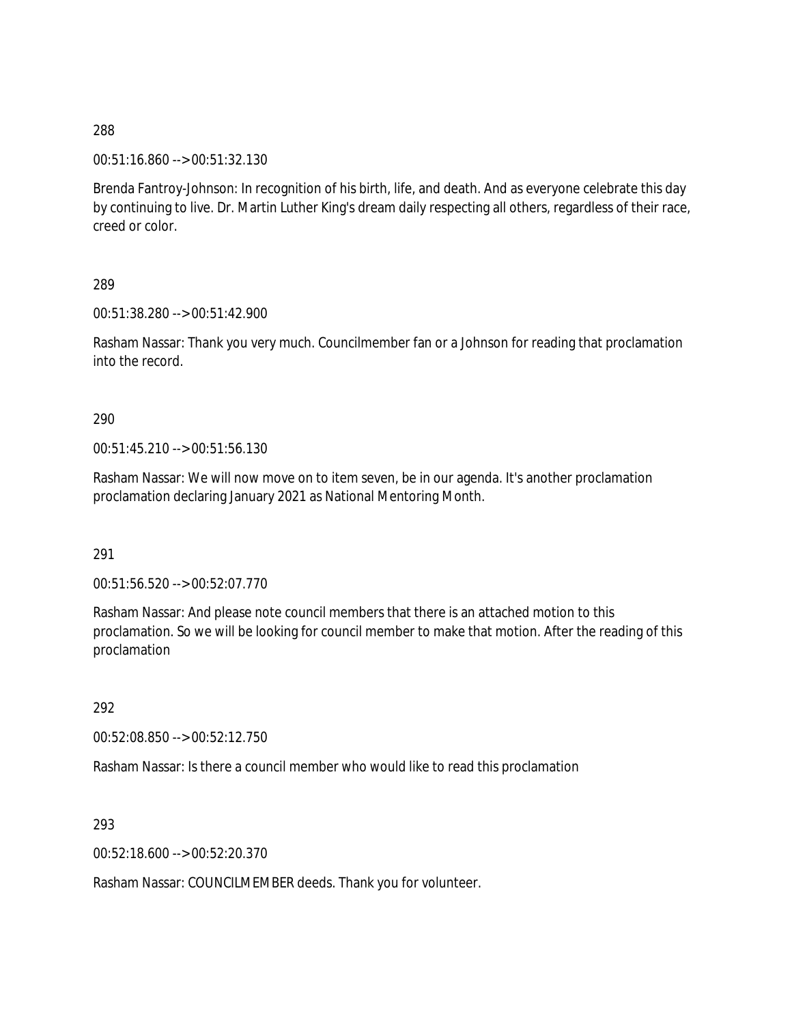00:51:16.860 --> 00:51:32.130

Brenda Fantroy-Johnson: In recognition of his birth, life, and death. And as everyone celebrate this day by continuing to live. Dr. Martin Luther King's dream daily respecting all others, regardless of their race, creed or color.

289

00:51:38.280 --> 00:51:42.900

Rasham Nassar: Thank you very much. Councilmember fan or a Johnson for reading that proclamation into the record.

#### 290

00:51:45.210 --> 00:51:56.130

Rasham Nassar: We will now move on to item seven, be in our agenda. It's another proclamation proclamation declaring January 2021 as National Mentoring Month.

291

00:51:56.520 --> 00:52:07.770

Rasham Nassar: And please note council members that there is an attached motion to this proclamation. So we will be looking for council member to make that motion. After the reading of this proclamation

292

00:52:08.850 --> 00:52:12.750

Rasham Nassar: Is there a council member who would like to read this proclamation

293

00:52:18.600 --> 00:52:20.370

Rasham Nassar: COUNCILMEMBER deeds. Thank you for volunteer.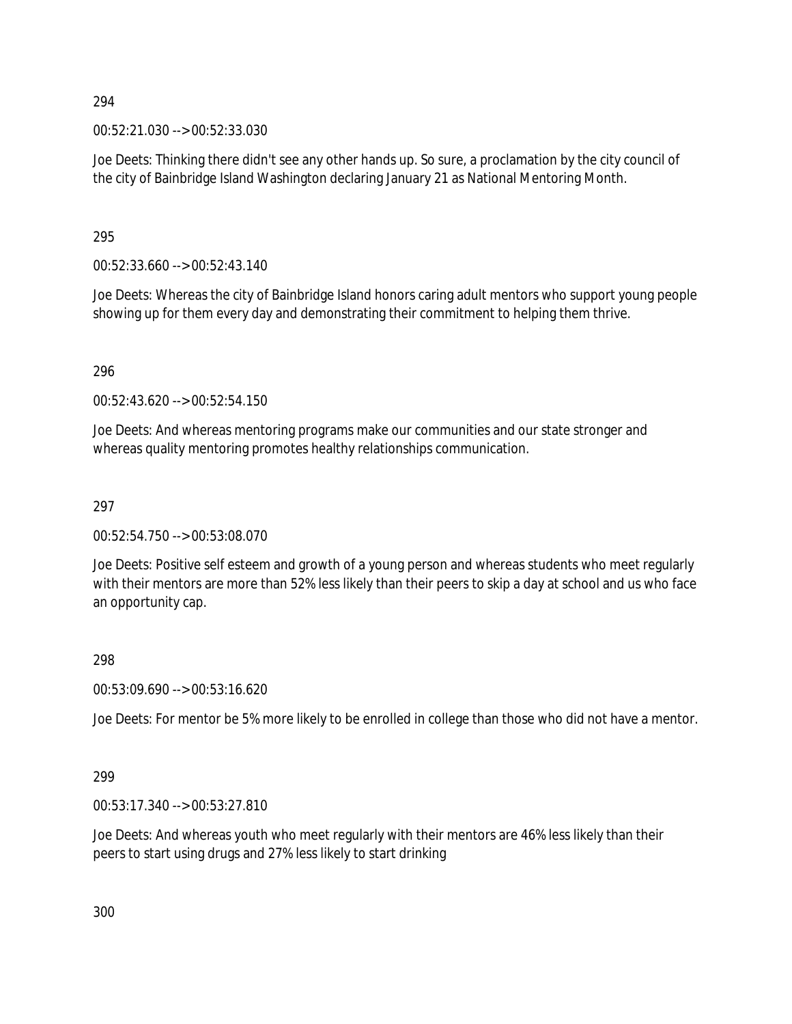00:52:21.030 --> 00:52:33.030

Joe Deets: Thinking there didn't see any other hands up. So sure, a proclamation by the city council of the city of Bainbridge Island Washington declaring January 21 as National Mentoring Month.

295

00:52:33.660 --> 00:52:43.140

Joe Deets: Whereas the city of Bainbridge Island honors caring adult mentors who support young people showing up for them every day and demonstrating their commitment to helping them thrive.

296

00:52:43.620 --> 00:52:54.150

Joe Deets: And whereas mentoring programs make our communities and our state stronger and whereas quality mentoring promotes healthy relationships communication.

297

00:52:54.750 --> 00:53:08.070

Joe Deets: Positive self esteem and growth of a young person and whereas students who meet regularly with their mentors are more than 52% less likely than their peers to skip a day at school and us who face an opportunity cap.

298

00:53:09.690 --> 00:53:16.620

Joe Deets: For mentor be 5% more likely to be enrolled in college than those who did not have a mentor.

299

00:53:17.340 --> 00:53:27.810

Joe Deets: And whereas youth who meet regularly with their mentors are 46% less likely than their peers to start using drugs and 27% less likely to start drinking

300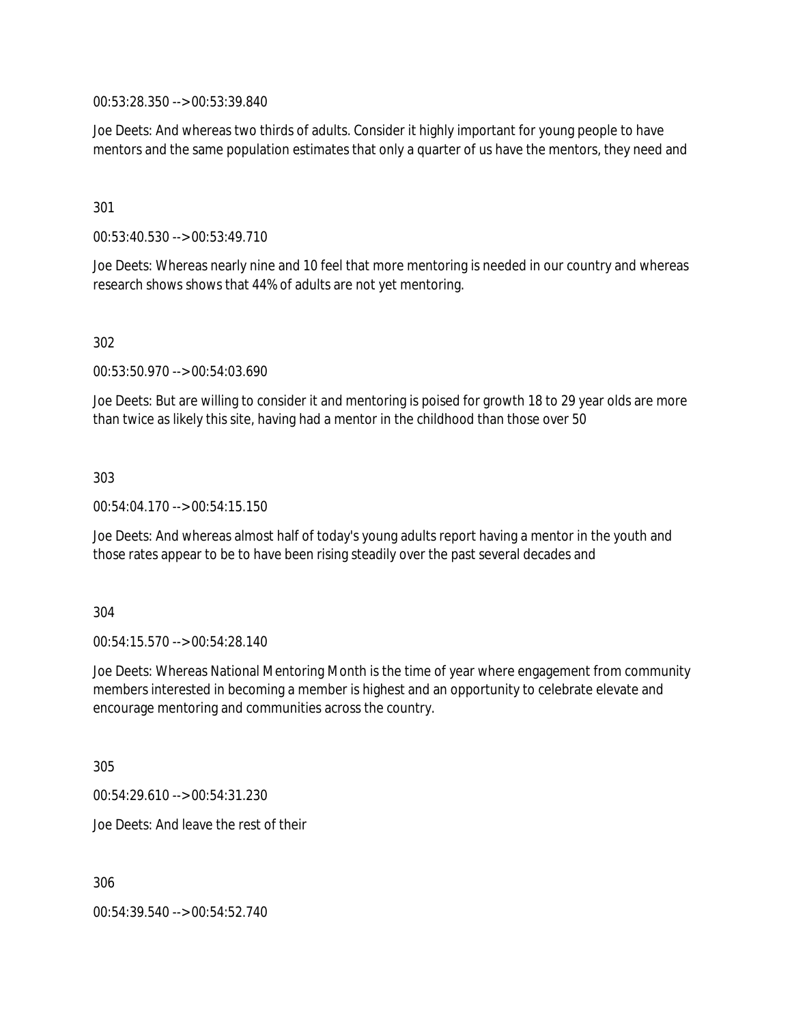00:53:28.350 --> 00:53:39.840

Joe Deets: And whereas two thirds of adults. Consider it highly important for young people to have mentors and the same population estimates that only a quarter of us have the mentors, they need and

#### 301

00:53:40.530 --> 00:53:49.710

Joe Deets: Whereas nearly nine and 10 feel that more mentoring is needed in our country and whereas research shows shows that 44% of adults are not yet mentoring.

#### 302

00:53:50.970 --> 00:54:03.690

Joe Deets: But are willing to consider it and mentoring is poised for growth 18 to 29 year olds are more than twice as likely this site, having had a mentor in the childhood than those over 50

#### 303

00:54:04.170 --> 00:54:15.150

Joe Deets: And whereas almost half of today's young adults report having a mentor in the youth and those rates appear to be to have been rising steadily over the past several decades and

#### 304

00:54:15.570 --> 00:54:28.140

Joe Deets: Whereas National Mentoring Month is the time of year where engagement from community members interested in becoming a member is highest and an opportunity to celebrate elevate and encourage mentoring and communities across the country.

305

00:54:29.610 --> 00:54:31.230

Joe Deets: And leave the rest of their

306

00:54:39.540 --> 00:54:52.740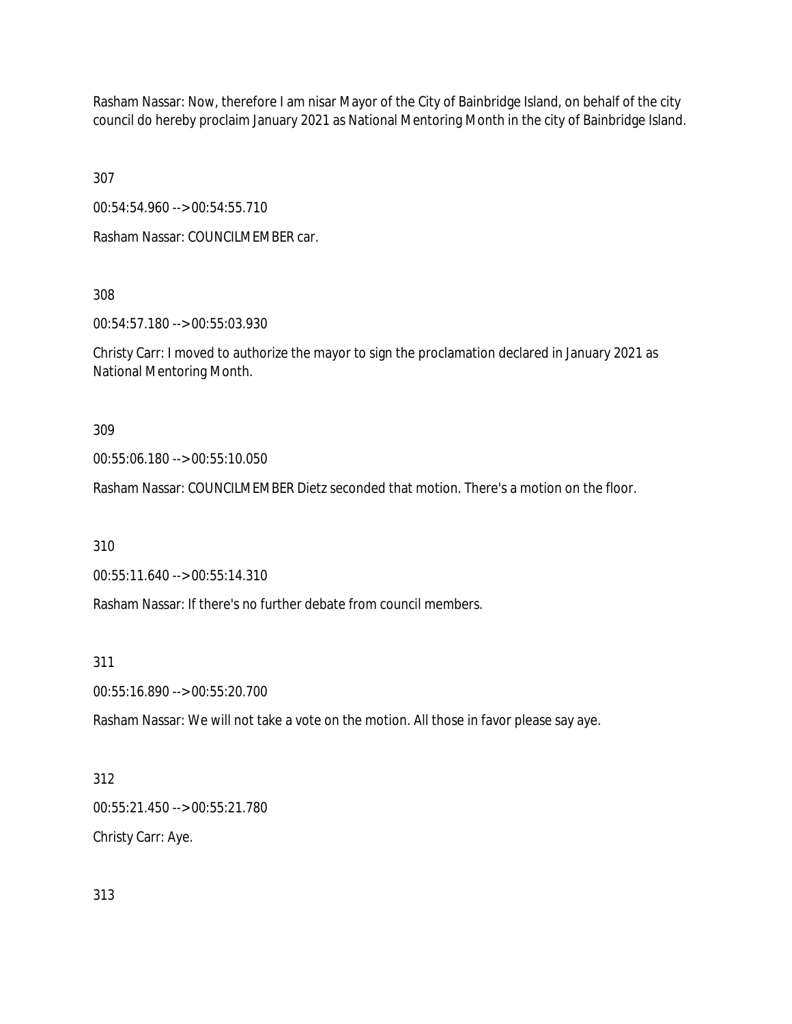Rasham Nassar: Now, therefore I am nisar Mayor of the City of Bainbridge Island, on behalf of the city council do hereby proclaim January 2021 as National Mentoring Month in the city of Bainbridge Island.

307

00:54:54.960 --> 00:54:55.710

Rasham Nassar: COUNCILMEMBER car.

308

00:54:57.180 --> 00:55:03.930

Christy Carr: I moved to authorize the mayor to sign the proclamation declared in January 2021 as National Mentoring Month.

309

00:55:06.180 --> 00:55:10.050

Rasham Nassar: COUNCILMEMBER Dietz seconded that motion. There's a motion on the floor.

310

00:55:11.640 --> 00:55:14.310

Rasham Nassar: If there's no further debate from council members.

311

00:55:16.890 --> 00:55:20.700

Rasham Nassar: We will not take a vote on the motion. All those in favor please say aye.

312

00:55:21.450 --> 00:55:21.780 Christy Carr: Aye.

313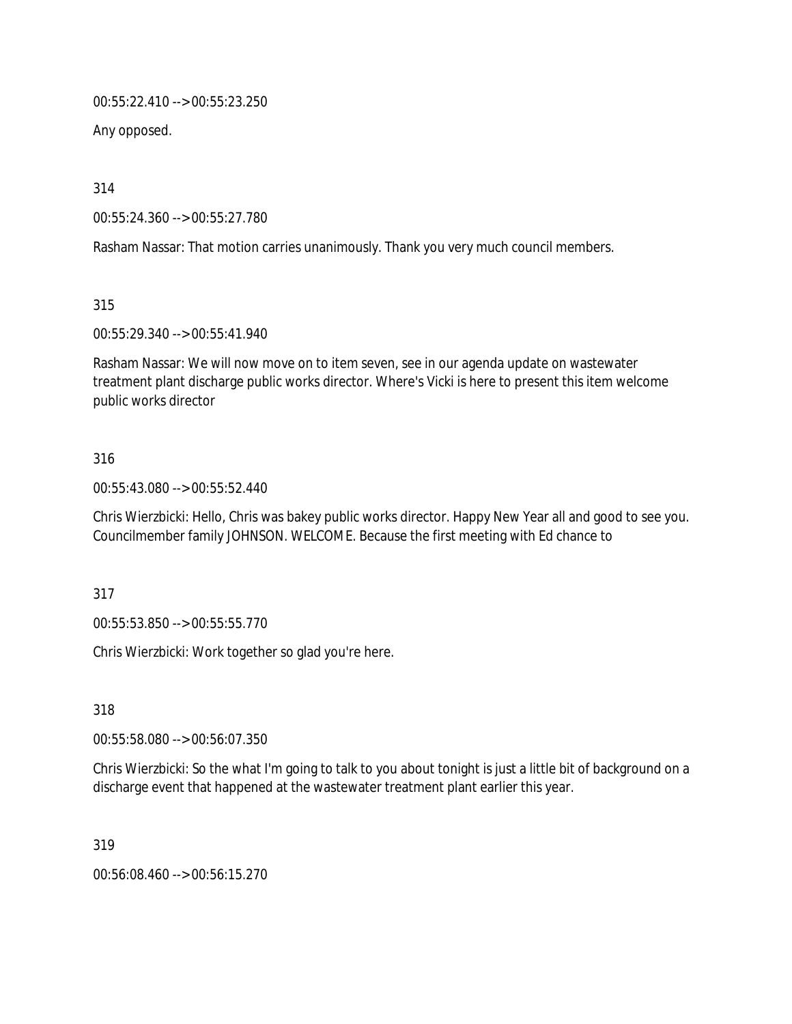00:55:22.410 --> 00:55:23.250

Any opposed.

314

00:55:24.360 --> 00:55:27.780

Rasham Nassar: That motion carries unanimously. Thank you very much council members.

315

00:55:29.340 --> 00:55:41.940

Rasham Nassar: We will now move on to item seven, see in our agenda update on wastewater treatment plant discharge public works director. Where's Vicki is here to present this item welcome public works director

### 316

00:55:43.080 --> 00:55:52.440

Chris Wierzbicki: Hello, Chris was bakey public works director. Happy New Year all and good to see you. Councilmember family JOHNSON. WELCOME. Because the first meeting with Ed chance to

317

00:55:53.850 --> 00:55:55.770

Chris Wierzbicki: Work together so glad you're here.

318

00:55:58.080 --> 00:56:07.350

Chris Wierzbicki: So the what I'm going to talk to you about tonight is just a little bit of background on a discharge event that happened at the wastewater treatment plant earlier this year.

319

00:56:08.460 --> 00:56:15.270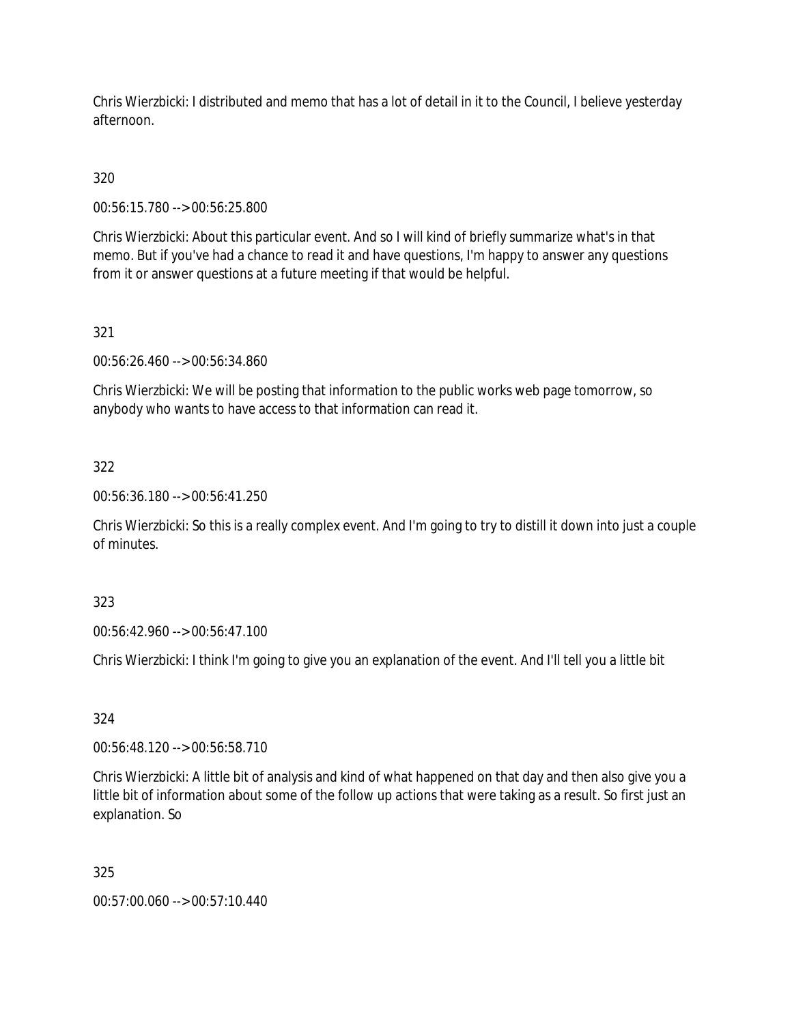Chris Wierzbicki: I distributed and memo that has a lot of detail in it to the Council, I believe yesterday afternoon.

320

00:56:15.780 --> 00:56:25.800

Chris Wierzbicki: About this particular event. And so I will kind of briefly summarize what's in that memo. But if you've had a chance to read it and have questions, I'm happy to answer any questions from it or answer questions at a future meeting if that would be helpful.

321

00:56:26.460 --> 00:56:34.860

Chris Wierzbicki: We will be posting that information to the public works web page tomorrow, so anybody who wants to have access to that information can read it.

322

00:56:36.180 --> 00:56:41.250

Chris Wierzbicki: So this is a really complex event. And I'm going to try to distill it down into just a couple of minutes.

323

00:56:42.960 --> 00:56:47.100

Chris Wierzbicki: I think I'm going to give you an explanation of the event. And I'll tell you a little bit

324

00:56:48.120 --> 00:56:58.710

Chris Wierzbicki: A little bit of analysis and kind of what happened on that day and then also give you a little bit of information about some of the follow up actions that were taking as a result. So first just an explanation. So

325

00:57:00.060 --> 00:57:10.440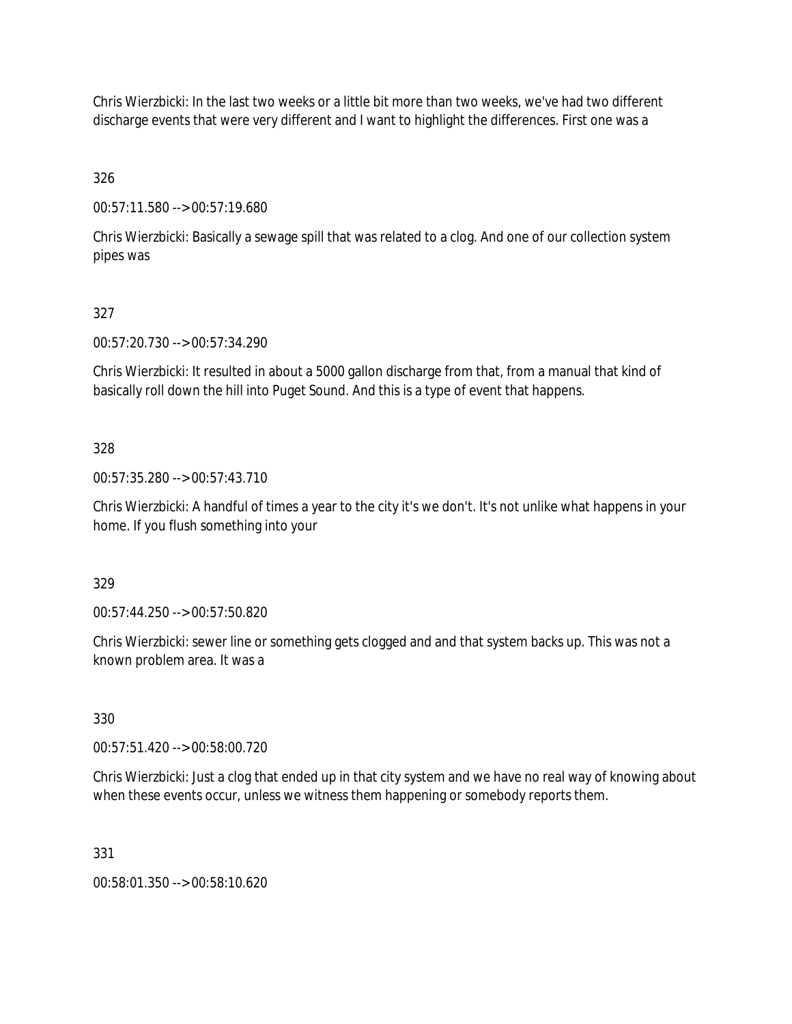Chris Wierzbicki: In the last two weeks or a little bit more than two weeks, we've had two different discharge events that were very different and I want to highlight the differences. First one was a

326

00:57:11.580 --> 00:57:19.680

Chris Wierzbicki: Basically a sewage spill that was related to a clog. And one of our collection system pipes was

# 327

00:57:20.730 --> 00:57:34.290

Chris Wierzbicki: It resulted in about a 5000 gallon discharge from that, from a manual that kind of basically roll down the hill into Puget Sound. And this is a type of event that happens.

## 328

00:57:35.280 --> 00:57:43.710

Chris Wierzbicki: A handful of times a year to the city it's we don't. It's not unlike what happens in your home. If you flush something into your

### 329

00:57:44.250 --> 00:57:50.820

Chris Wierzbicki: sewer line or something gets clogged and and that system backs up. This was not a known problem area. It was a

### 330

00:57:51.420 --> 00:58:00.720

Chris Wierzbicki: Just a clog that ended up in that city system and we have no real way of knowing about when these events occur, unless we witness them happening or somebody reports them.

### 331

00:58:01.350 --> 00:58:10.620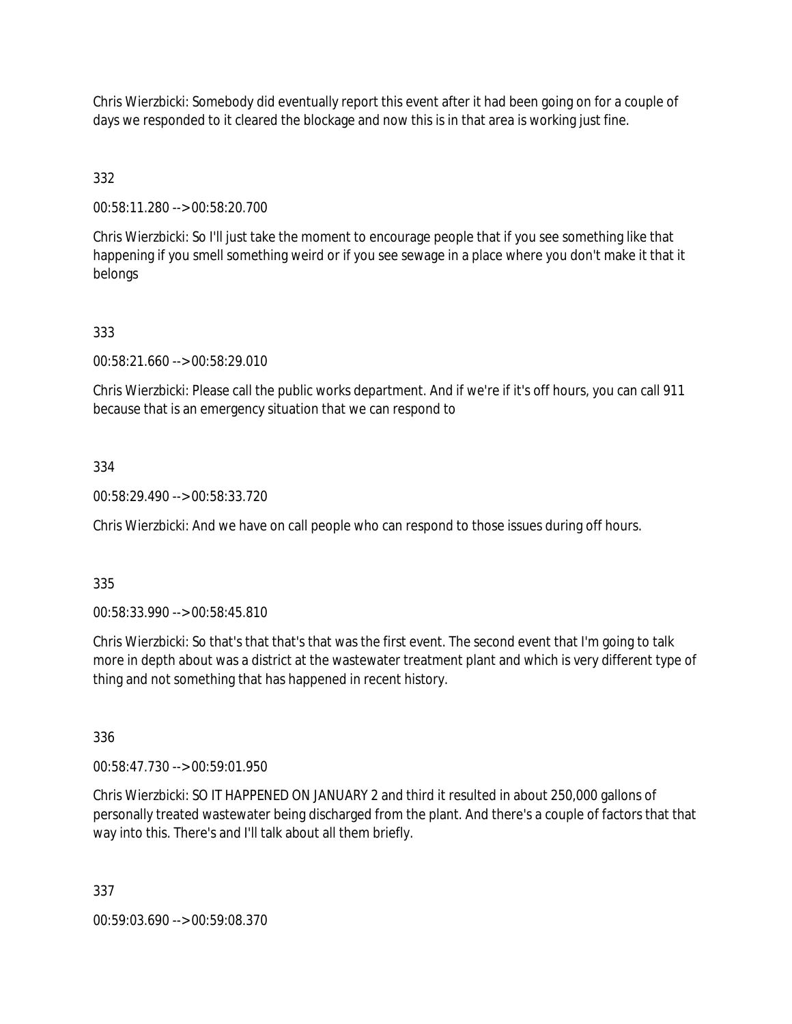Chris Wierzbicki: Somebody did eventually report this event after it had been going on for a couple of days we responded to it cleared the blockage and now this is in that area is working just fine.

332

00:58:11.280 --> 00:58:20.700

Chris Wierzbicki: So I'll just take the moment to encourage people that if you see something like that happening if you smell something weird or if you see sewage in a place where you don't make it that it belongs

## 333

00:58:21.660 --> 00:58:29.010

Chris Wierzbicki: Please call the public works department. And if we're if it's off hours, you can call 911 because that is an emergency situation that we can respond to

## 334

00:58:29.490 --> 00:58:33.720

Chris Wierzbicki: And we have on call people who can respond to those issues during off hours.

### 335

00:58:33.990 --> 00:58:45.810

Chris Wierzbicki: So that's that that's that was the first event. The second event that I'm going to talk more in depth about was a district at the wastewater treatment plant and which is very different type of thing and not something that has happened in recent history.

336

00:58:47.730 --> 00:59:01.950

Chris Wierzbicki: SO IT HAPPENED ON JANUARY 2 and third it resulted in about 250,000 gallons of personally treated wastewater being discharged from the plant. And there's a couple of factors that that way into this. There's and I'll talk about all them briefly.

337

00:59:03.690 --> 00:59:08.370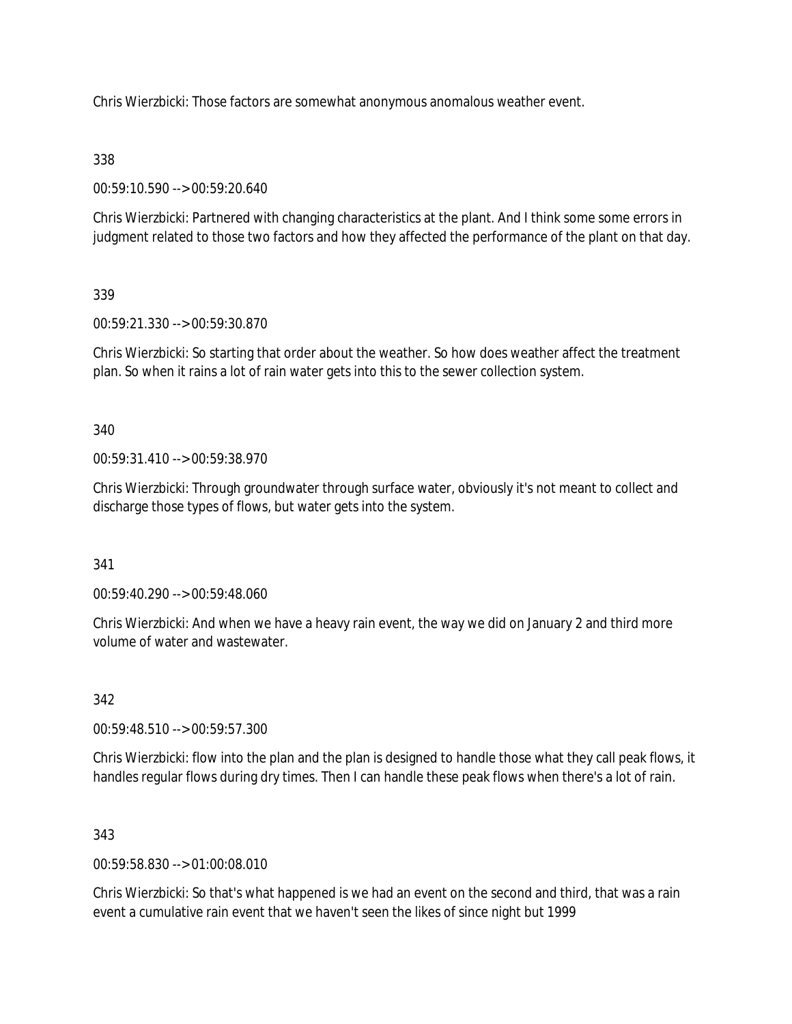Chris Wierzbicki: Those factors are somewhat anonymous anomalous weather event.

## 338

00:59:10.590 --> 00:59:20.640

Chris Wierzbicki: Partnered with changing characteristics at the plant. And I think some some errors in judgment related to those two factors and how they affected the performance of the plant on that day.

## 339

00:59:21.330 --> 00:59:30.870

Chris Wierzbicki: So starting that order about the weather. So how does weather affect the treatment plan. So when it rains a lot of rain water gets into this to the sewer collection system.

340

00:59:31.410 --> 00:59:38.970

Chris Wierzbicki: Through groundwater through surface water, obviously it's not meant to collect and discharge those types of flows, but water gets into the system.

341

00:59:40.290 --> 00:59:48.060

Chris Wierzbicki: And when we have a heavy rain event, the way we did on January 2 and third more volume of water and wastewater.

### 342

00:59:48.510 --> 00:59:57.300

Chris Wierzbicki: flow into the plan and the plan is designed to handle those what they call peak flows, it handles regular flows during dry times. Then I can handle these peak flows when there's a lot of rain.

### 343

00:59:58.830 --> 01:00:08.010

Chris Wierzbicki: So that's what happened is we had an event on the second and third, that was a rain event a cumulative rain event that we haven't seen the likes of since night but 1999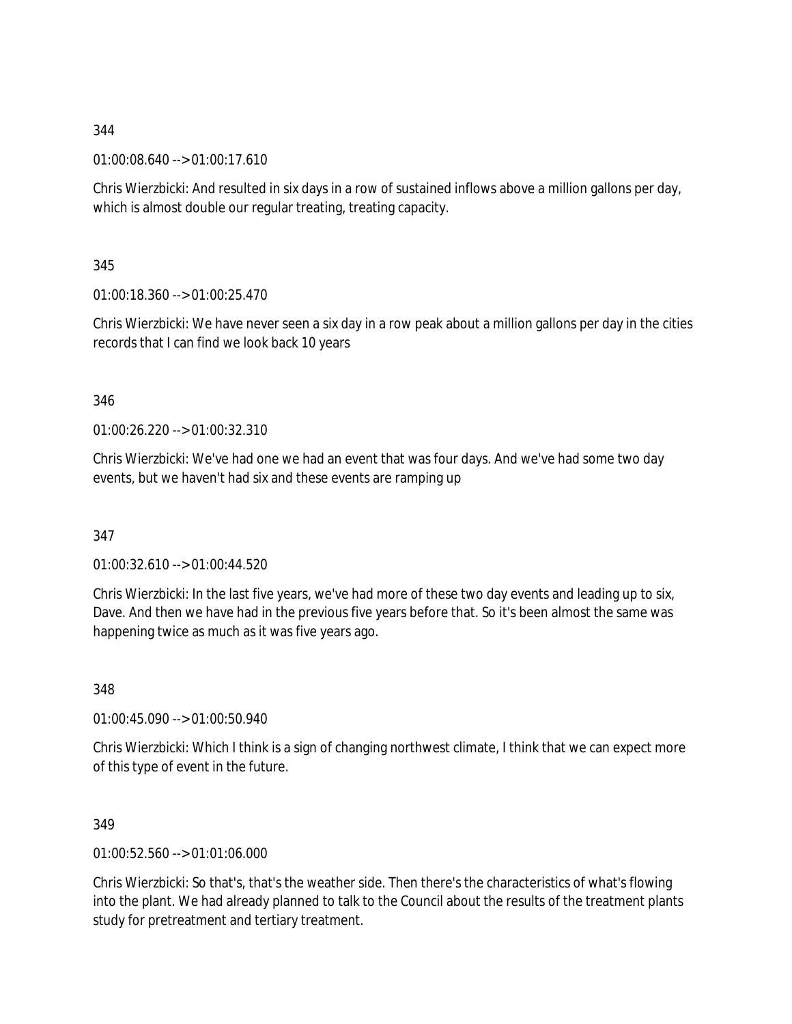01:00:08.640 --> 01:00:17.610

Chris Wierzbicki: And resulted in six days in a row of sustained inflows above a million gallons per day, which is almost double our regular treating, treating capacity.

345

01:00:18.360 --> 01:00:25.470

Chris Wierzbicki: We have never seen a six day in a row peak about a million gallons per day in the cities records that I can find we look back 10 years

346

01:00:26.220 --> 01:00:32.310

Chris Wierzbicki: We've had one we had an event that was four days. And we've had some two day events, but we haven't had six and these events are ramping up

347

01:00:32.610 --> 01:00:44.520

Chris Wierzbicki: In the last five years, we've had more of these two day events and leading up to six, Dave. And then we have had in the previous five years before that. So it's been almost the same was happening twice as much as it was five years ago.

348

01:00:45.090 --> 01:00:50.940

Chris Wierzbicki: Which I think is a sign of changing northwest climate, I think that we can expect more of this type of event in the future.

349

01:00:52.560 --> 01:01:06.000

Chris Wierzbicki: So that's, that's the weather side. Then there's the characteristics of what's flowing into the plant. We had already planned to talk to the Council about the results of the treatment plants study for pretreatment and tertiary treatment.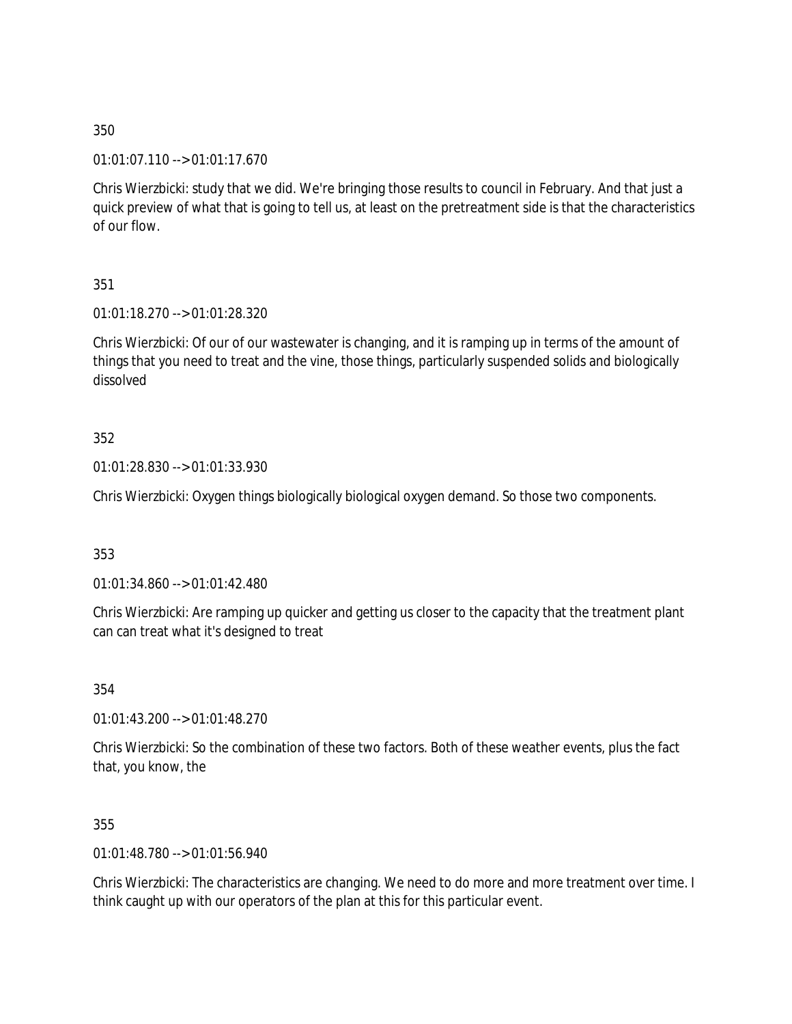01:01:07.110 --> 01:01:17.670

Chris Wierzbicki: study that we did. We're bringing those results to council in February. And that just a quick preview of what that is going to tell us, at least on the pretreatment side is that the characteristics of our flow.

351

01:01:18.270 --> 01:01:28.320

Chris Wierzbicki: Of our of our wastewater is changing, and it is ramping up in terms of the amount of things that you need to treat and the vine, those things, particularly suspended solids and biologically dissolved

352

01:01:28.830 --> 01:01:33.930

Chris Wierzbicki: Oxygen things biologically biological oxygen demand. So those two components.

353

01:01:34.860 --> 01:01:42.480

Chris Wierzbicki: Are ramping up quicker and getting us closer to the capacity that the treatment plant can can treat what it's designed to treat

354

01:01:43.200 --> 01:01:48.270

Chris Wierzbicki: So the combination of these two factors. Both of these weather events, plus the fact that, you know, the

355

01:01:48.780 --> 01:01:56.940

Chris Wierzbicki: The characteristics are changing. We need to do more and more treatment over time. I think caught up with our operators of the plan at this for this particular event.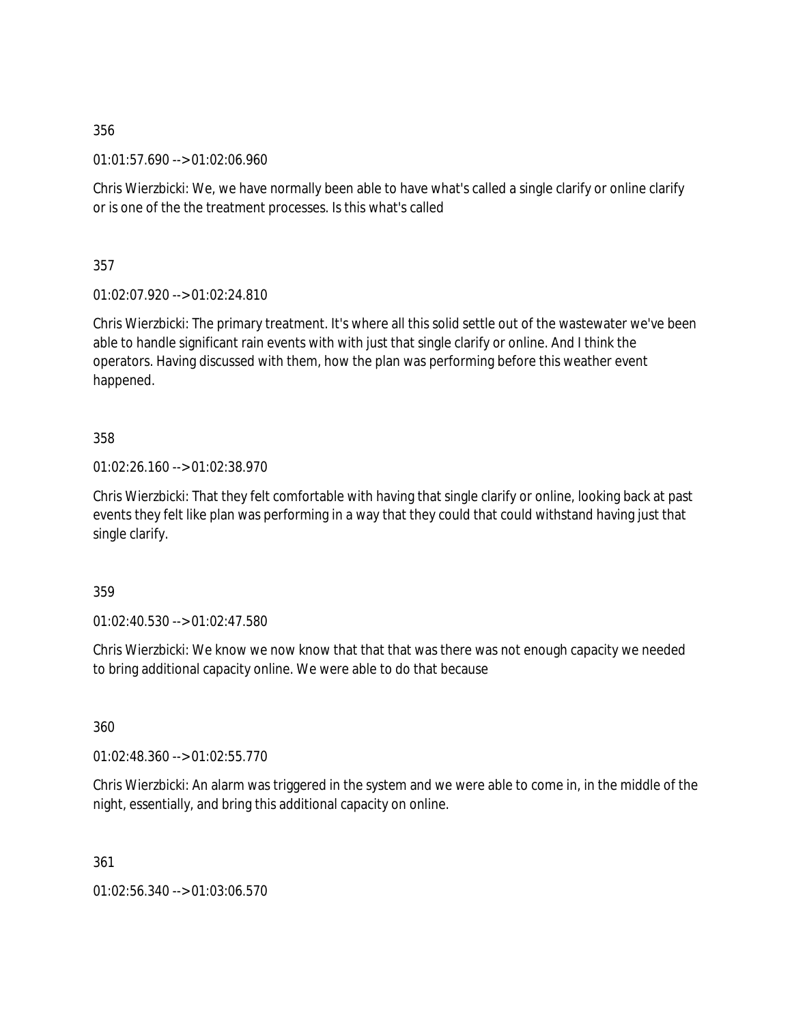01:01:57.690 --> 01:02:06.960

Chris Wierzbicki: We, we have normally been able to have what's called a single clarify or online clarify or is one of the the treatment processes. Is this what's called

357

01:02:07.920 --> 01:02:24.810

Chris Wierzbicki: The primary treatment. It's where all this solid settle out of the wastewater we've been able to handle significant rain events with with just that single clarify or online. And I think the operators. Having discussed with them, how the plan was performing before this weather event happened.

358

01:02:26.160 --> 01:02:38.970

Chris Wierzbicki: That they felt comfortable with having that single clarify or online, looking back at past events they felt like plan was performing in a way that they could that could withstand having just that single clarify.

359

01:02:40.530 --> 01:02:47.580

Chris Wierzbicki: We know we now know that that that was there was not enough capacity we needed to bring additional capacity online. We were able to do that because

360

01:02:48.360 --> 01:02:55.770

Chris Wierzbicki: An alarm was triggered in the system and we were able to come in, in the middle of the night, essentially, and bring this additional capacity on online.

361

01:02:56.340 --> 01:03:06.570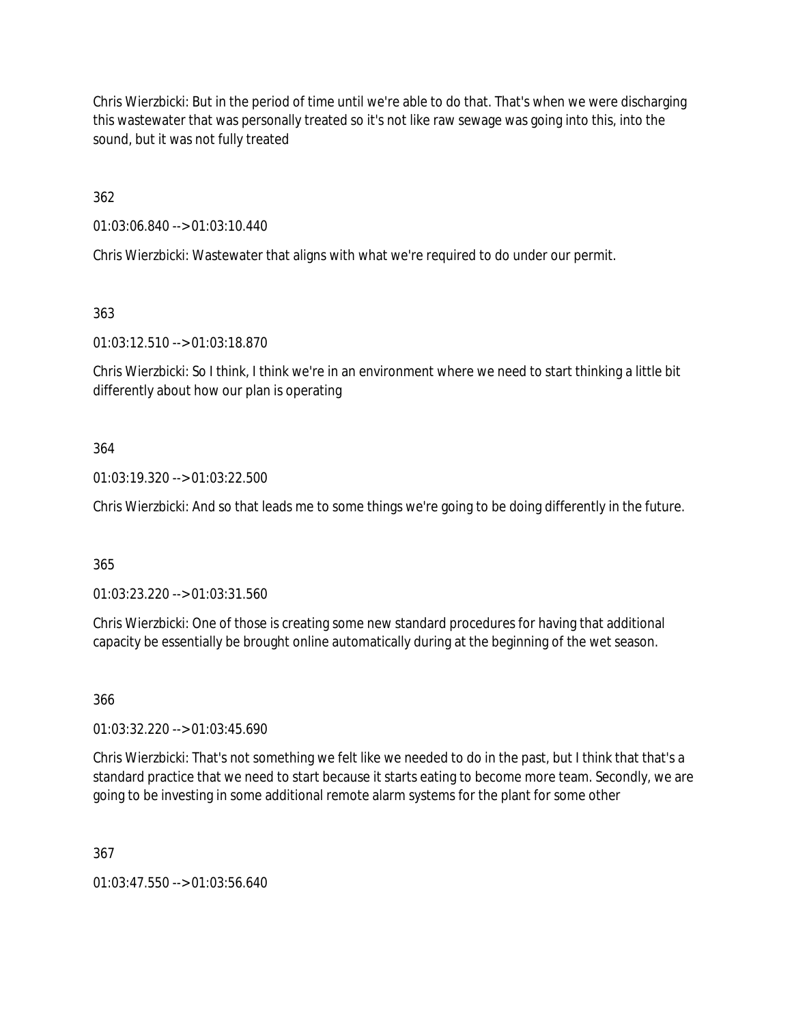Chris Wierzbicki: But in the period of time until we're able to do that. That's when we were discharging this wastewater that was personally treated so it's not like raw sewage was going into this, into the sound, but it was not fully treated

362

01:03:06.840 --> 01:03:10.440

Chris Wierzbicki: Wastewater that aligns with what we're required to do under our permit.

363

01:03:12.510 --> 01:03:18.870

Chris Wierzbicki: So I think, I think we're in an environment where we need to start thinking a little bit differently about how our plan is operating

# 364

01:03:19.320 --> 01:03:22.500

Chris Wierzbicki: And so that leads me to some things we're going to be doing differently in the future.

# 365

01:03:23.220 --> 01:03:31.560

Chris Wierzbicki: One of those is creating some new standard procedures for having that additional capacity be essentially be brought online automatically during at the beginning of the wet season.

366

01:03:32.220 --> 01:03:45.690

Chris Wierzbicki: That's not something we felt like we needed to do in the past, but I think that that's a standard practice that we need to start because it starts eating to become more team. Secondly, we are going to be investing in some additional remote alarm systems for the plant for some other

367

01:03:47.550 --> 01:03:56.640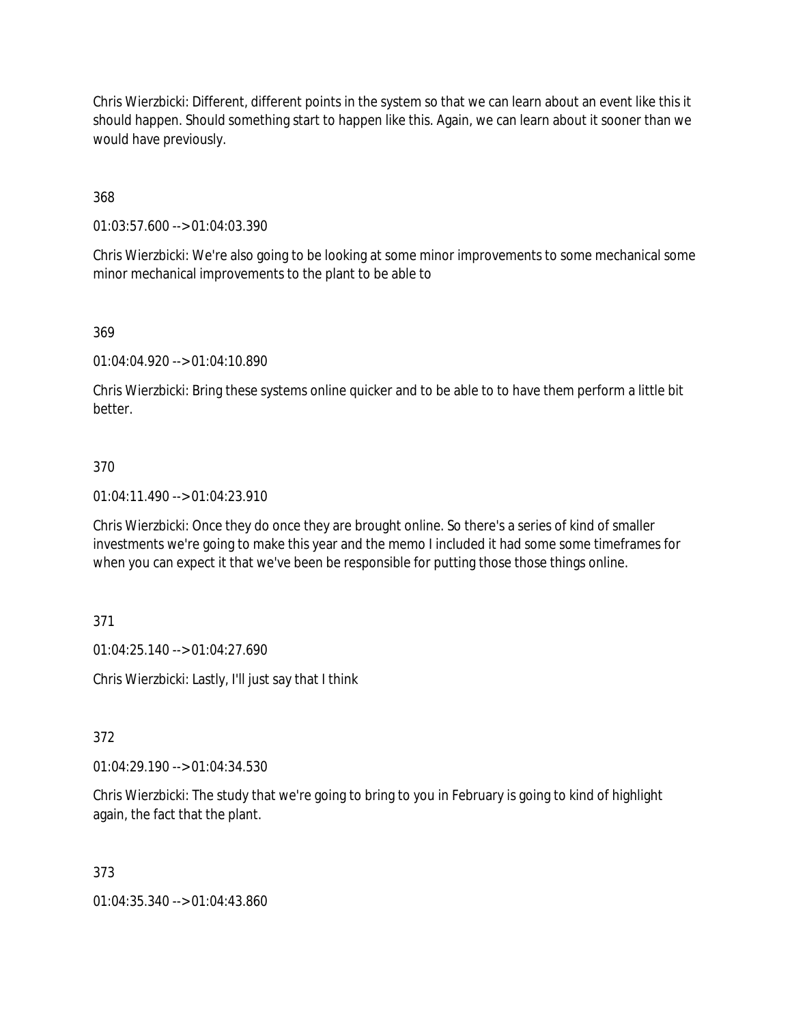Chris Wierzbicki: Different, different points in the system so that we can learn about an event like this it should happen. Should something start to happen like this. Again, we can learn about it sooner than we would have previously.

368

01:03:57.600 --> 01:04:03.390

Chris Wierzbicki: We're also going to be looking at some minor improvements to some mechanical some minor mechanical improvements to the plant to be able to

369

01:04:04.920 --> 01:04:10.890

Chris Wierzbicki: Bring these systems online quicker and to be able to to have them perform a little bit better.

### 370

01:04:11.490 --> 01:04:23.910

Chris Wierzbicki: Once they do once they are brought online. So there's a series of kind of smaller investments we're going to make this year and the memo I included it had some some timeframes for when you can expect it that we've been be responsible for putting those those things online.

371

01:04:25.140 --> 01:04:27.690

Chris Wierzbicki: Lastly, I'll just say that I think

372

01:04:29.190 --> 01:04:34.530

Chris Wierzbicki: The study that we're going to bring to you in February is going to kind of highlight again, the fact that the plant.

373

01:04:35.340 --> 01:04:43.860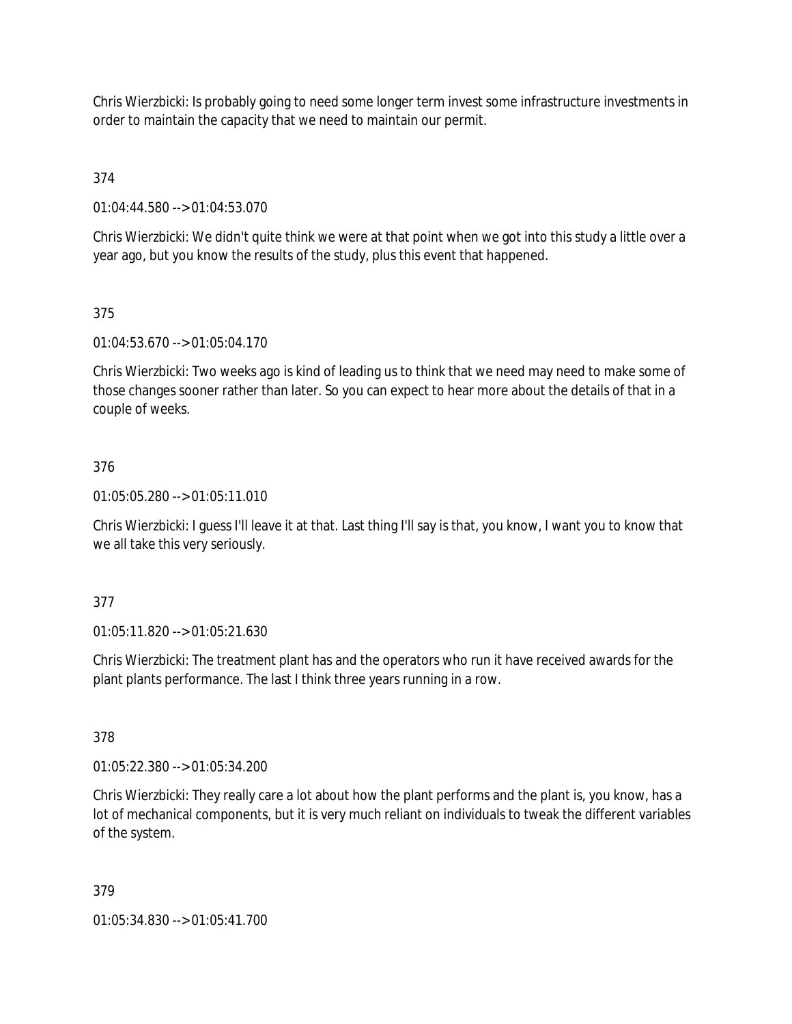Chris Wierzbicki: Is probably going to need some longer term invest some infrastructure investments in order to maintain the capacity that we need to maintain our permit.

374

01:04:44.580 --> 01:04:53.070

Chris Wierzbicki: We didn't quite think we were at that point when we got into this study a little over a year ago, but you know the results of the study, plus this event that happened.

## 375

01:04:53.670 --> 01:05:04.170

Chris Wierzbicki: Two weeks ago is kind of leading us to think that we need may need to make some of those changes sooner rather than later. So you can expect to hear more about the details of that in a couple of weeks.

## 376

01:05:05.280 --> 01:05:11.010

Chris Wierzbicki: I guess I'll leave it at that. Last thing I'll say is that, you know, I want you to know that we all take this very seriously.

### 377

01:05:11.820 --> 01:05:21.630

Chris Wierzbicki: The treatment plant has and the operators who run it have received awards for the plant plants performance. The last I think three years running in a row.

### 378

01:05:22.380 --> 01:05:34.200

Chris Wierzbicki: They really care a lot about how the plant performs and the plant is, you know, has a lot of mechanical components, but it is very much reliant on individuals to tweak the different variables of the system.

### 379

01:05:34.830 --> 01:05:41.700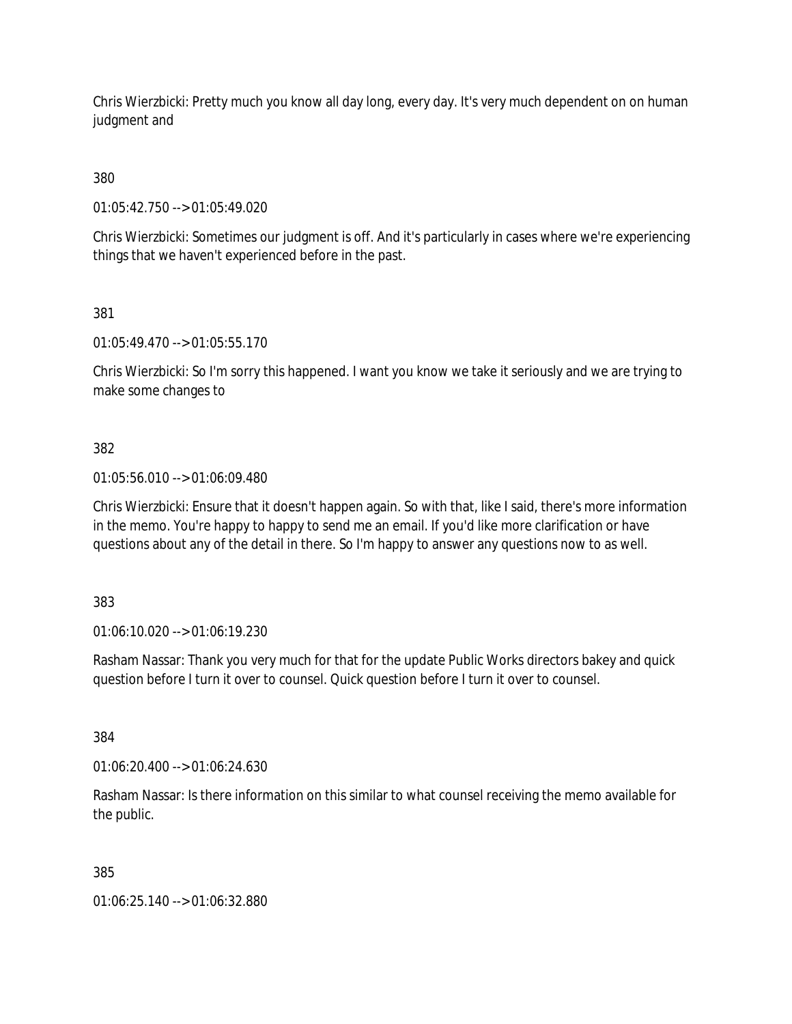Chris Wierzbicki: Pretty much you know all day long, every day. It's very much dependent on on human judgment and

380

01:05:42.750 --> 01:05:49.020

Chris Wierzbicki: Sometimes our judgment is off. And it's particularly in cases where we're experiencing things that we haven't experienced before in the past.

381

01:05:49.470 --> 01:05:55.170

Chris Wierzbicki: So I'm sorry this happened. I want you know we take it seriously and we are trying to make some changes to

# 382

01:05:56.010 --> 01:06:09.480

Chris Wierzbicki: Ensure that it doesn't happen again. So with that, like I said, there's more information in the memo. You're happy to happy to send me an email. If you'd like more clarification or have questions about any of the detail in there. So I'm happy to answer any questions now to as well.

383

01:06:10.020 --> 01:06:19.230

Rasham Nassar: Thank you very much for that for the update Public Works directors bakey and quick question before I turn it over to counsel. Quick question before I turn it over to counsel.

384

01:06:20.400 --> 01:06:24.630

Rasham Nassar: Is there information on this similar to what counsel receiving the memo available for the public.

385

01:06:25.140 --> 01:06:32.880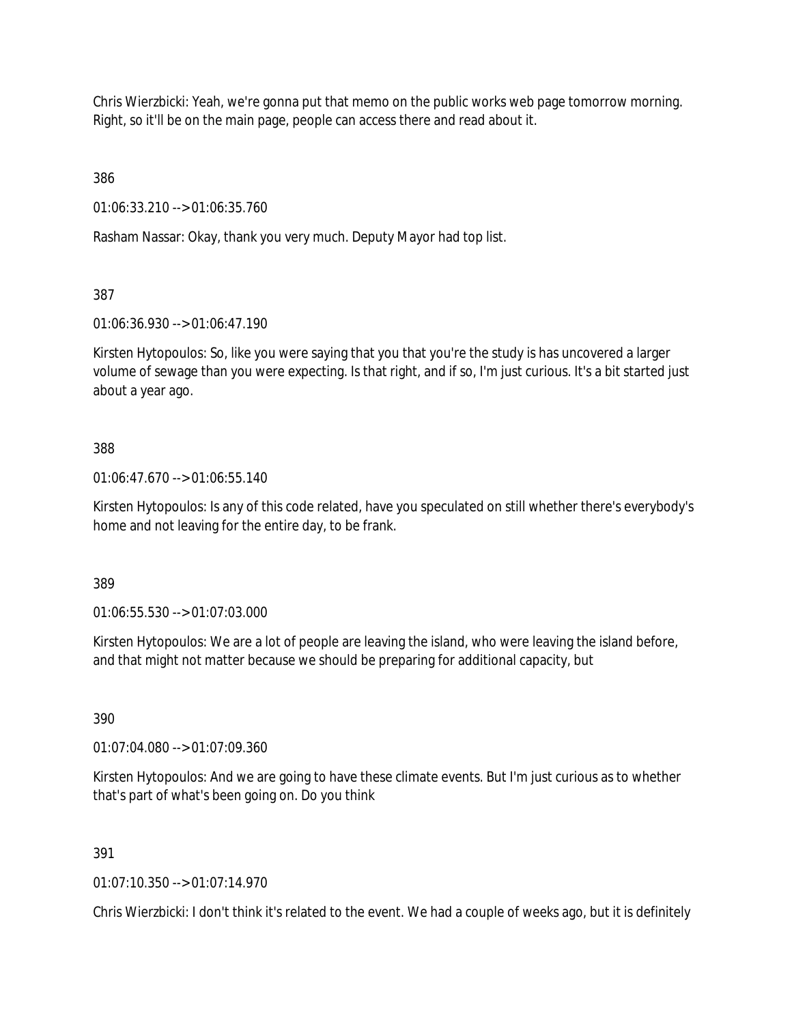Chris Wierzbicki: Yeah, we're gonna put that memo on the public works web page tomorrow morning. Right, so it'll be on the main page, people can access there and read about it.

386

01:06:33.210 --> 01:06:35.760

Rasham Nassar: Okay, thank you very much. Deputy Mayor had top list.

387

01:06:36.930 --> 01:06:47.190

Kirsten Hytopoulos: So, like you were saying that you that you're the study is has uncovered a larger volume of sewage than you were expecting. Is that right, and if so, I'm just curious. It's a bit started just about a year ago.

### 388

01:06:47.670 --> 01:06:55.140

Kirsten Hytopoulos: Is any of this code related, have you speculated on still whether there's everybody's home and not leaving for the entire day, to be frank.

389

01:06:55.530 --> 01:07:03.000

Kirsten Hytopoulos: We are a lot of people are leaving the island, who were leaving the island before, and that might not matter because we should be preparing for additional capacity, but

390

01:07:04.080 --> 01:07:09.360

Kirsten Hytopoulos: And we are going to have these climate events. But I'm just curious as to whether that's part of what's been going on. Do you think

391

01:07:10.350 --> 01:07:14.970

Chris Wierzbicki: I don't think it's related to the event. We had a couple of weeks ago, but it is definitely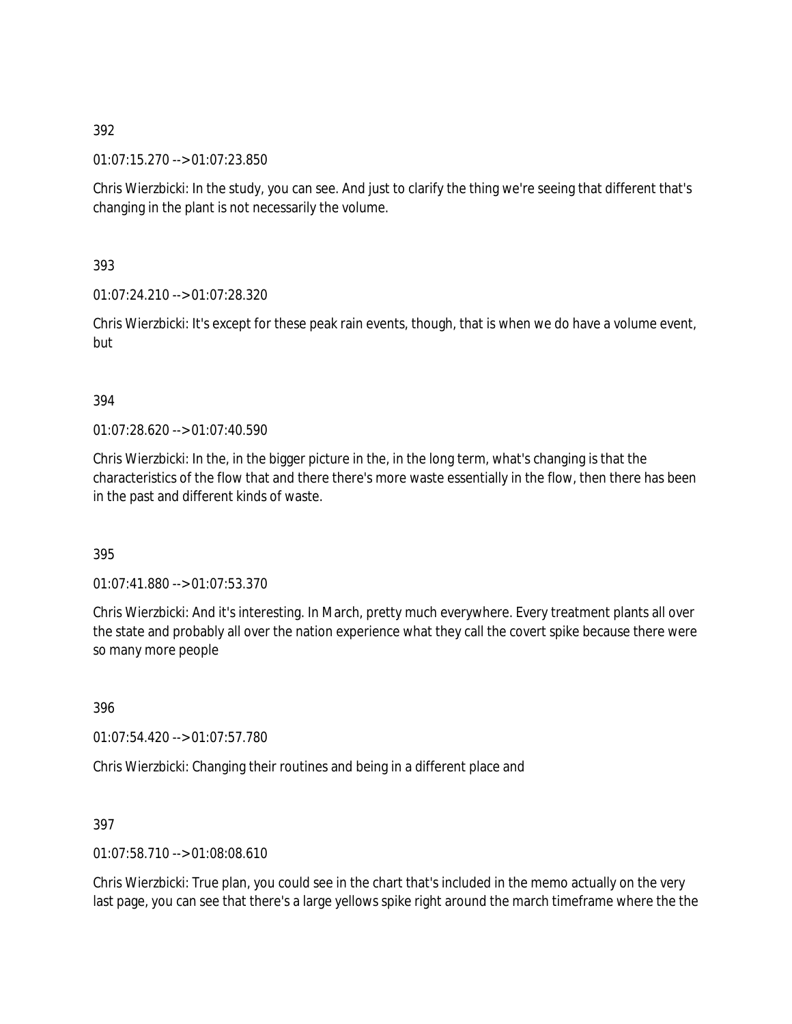01:07:15.270 --> 01:07:23.850

Chris Wierzbicki: In the study, you can see. And just to clarify the thing we're seeing that different that's changing in the plant is not necessarily the volume.

393

01:07:24.210 --> 01:07:28.320

Chris Wierzbicki: It's except for these peak rain events, though, that is when we do have a volume event, but

### 394

01:07:28.620 --> 01:07:40.590

Chris Wierzbicki: In the, in the bigger picture in the, in the long term, what's changing is that the characteristics of the flow that and there there's more waste essentially in the flow, then there has been in the past and different kinds of waste.

### 395

01:07:41.880 --> 01:07:53.370

Chris Wierzbicki: And it's interesting. In March, pretty much everywhere. Every treatment plants all over the state and probably all over the nation experience what they call the covert spike because there were so many more people

396

01:07:54.420 --> 01:07:57.780

Chris Wierzbicki: Changing their routines and being in a different place and

### 397

01:07:58.710 --> 01:08:08.610

Chris Wierzbicki: True plan, you could see in the chart that's included in the memo actually on the very last page, you can see that there's a large yellows spike right around the march timeframe where the the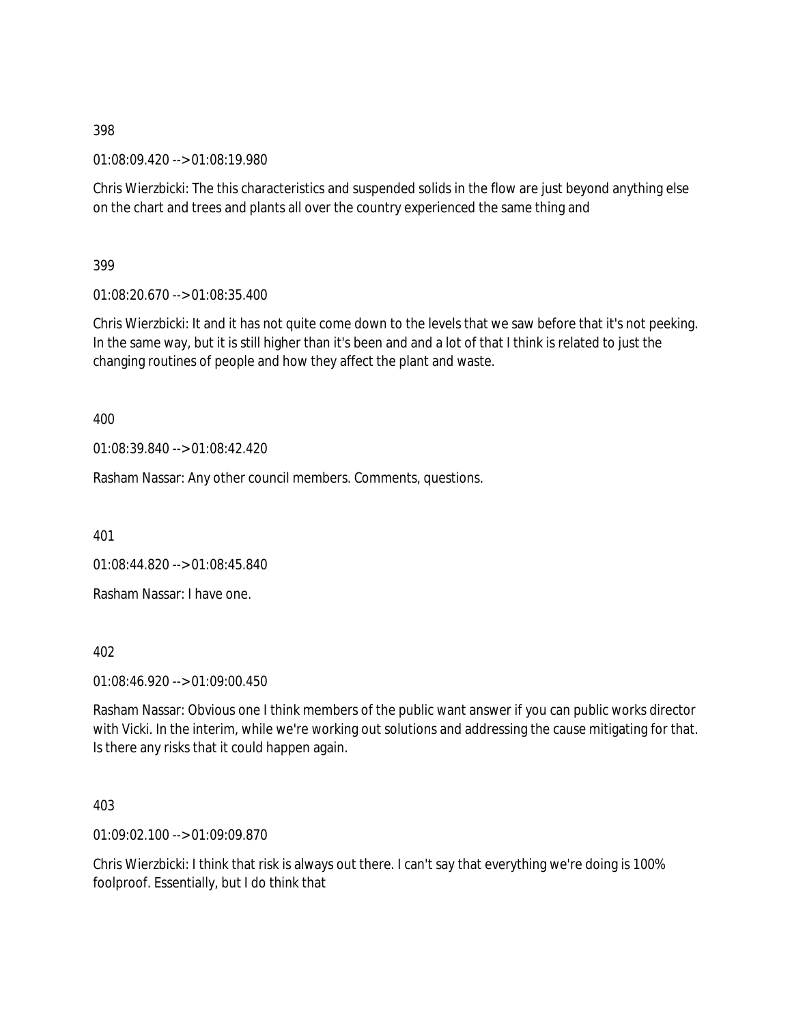01:08:09.420 --> 01:08:19.980

Chris Wierzbicki: The this characteristics and suspended solids in the flow are just beyond anything else on the chart and trees and plants all over the country experienced the same thing and

399

01:08:20.670 --> 01:08:35.400

Chris Wierzbicki: It and it has not quite come down to the levels that we saw before that it's not peeking. In the same way, but it is still higher than it's been and and a lot of that I think is related to just the changing routines of people and how they affect the plant and waste.

400

01:08:39.840 --> 01:08:42.420

Rasham Nassar: Any other council members. Comments, questions.

401

01:08:44.820 --> 01:08:45.840

Rasham Nassar: I have one.

402

01:08:46.920 --> 01:09:00.450

Rasham Nassar: Obvious one I think members of the public want answer if you can public works director with Vicki. In the interim, while we're working out solutions and addressing the cause mitigating for that. Is there any risks that it could happen again.

403

01:09:02.100 --> 01:09:09.870

Chris Wierzbicki: I think that risk is always out there. I can't say that everything we're doing is 100% foolproof. Essentially, but I do think that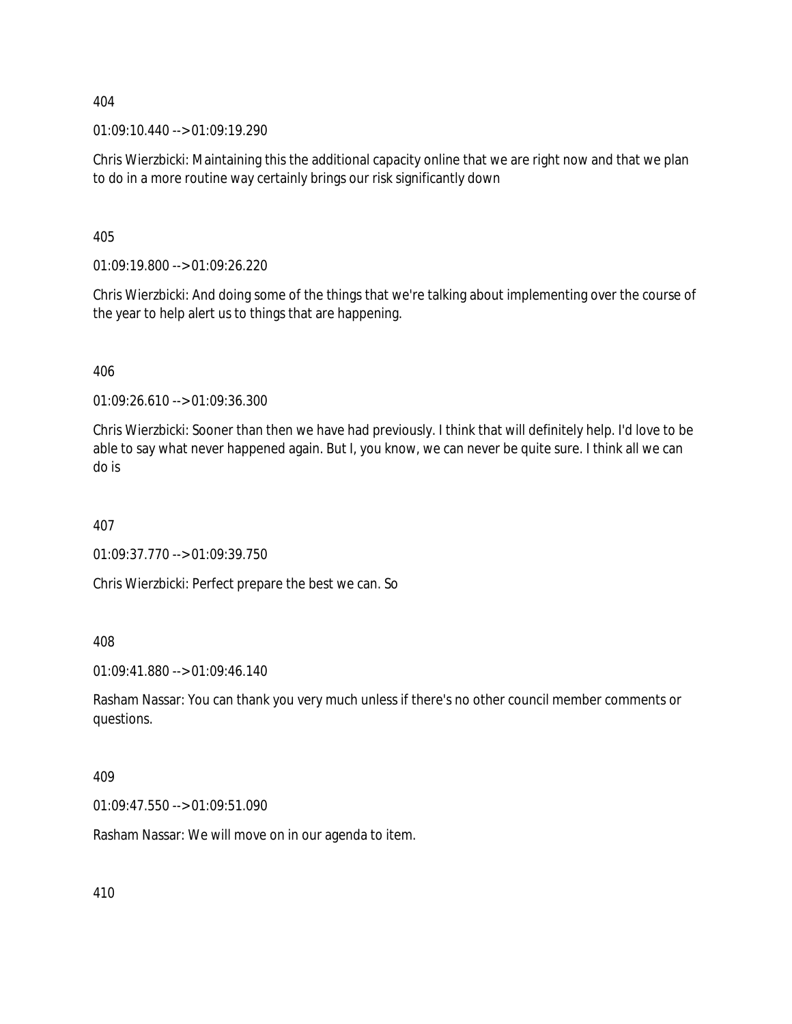01:09:10.440 --> 01:09:19.290

Chris Wierzbicki: Maintaining this the additional capacity online that we are right now and that we plan to do in a more routine way certainly brings our risk significantly down

405

01:09:19.800 --> 01:09:26.220

Chris Wierzbicki: And doing some of the things that we're talking about implementing over the course of the year to help alert us to things that are happening.

406

01:09:26.610 --> 01:09:36.300

Chris Wierzbicki: Sooner than then we have had previously. I think that will definitely help. I'd love to be able to say what never happened again. But I, you know, we can never be quite sure. I think all we can do is

407

01:09:37.770 --> 01:09:39.750

Chris Wierzbicki: Perfect prepare the best we can. So

408

01:09:41.880 --> 01:09:46.140

Rasham Nassar: You can thank you very much unless if there's no other council member comments or questions.

409

01:09:47.550 --> 01:09:51.090

Rasham Nassar: We will move on in our agenda to item.

410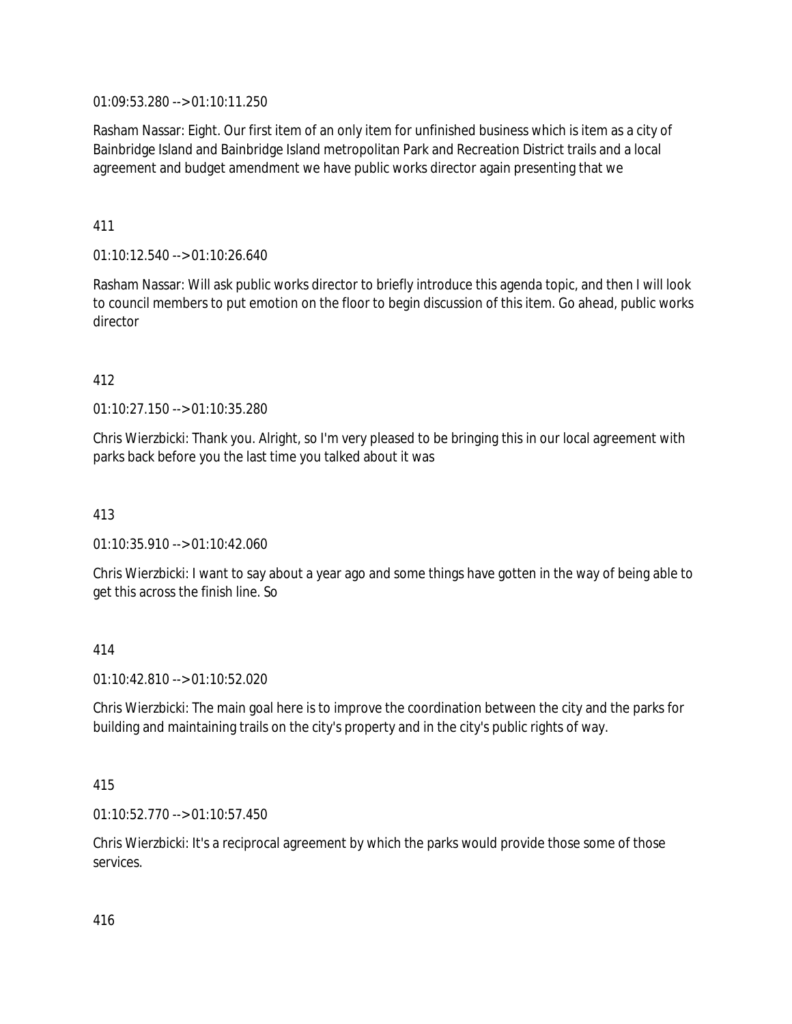01:09:53.280 --> 01:10:11.250

Rasham Nassar: Eight. Our first item of an only item for unfinished business which is item as a city of Bainbridge Island and Bainbridge Island metropolitan Park and Recreation District trails and a local agreement and budget amendment we have public works director again presenting that we

411

01:10:12.540 --> 01:10:26.640

Rasham Nassar: Will ask public works director to briefly introduce this agenda topic, and then I will look to council members to put emotion on the floor to begin discussion of this item. Go ahead, public works director

### 412

01:10:27.150 --> 01:10:35.280

Chris Wierzbicki: Thank you. Alright, so I'm very pleased to be bringing this in our local agreement with parks back before you the last time you talked about it was

413

01:10:35.910 --> 01:10:42.060

Chris Wierzbicki: I want to say about a year ago and some things have gotten in the way of being able to get this across the finish line. So

414

01:10:42.810 --> 01:10:52.020

Chris Wierzbicki: The main goal here is to improve the coordination between the city and the parks for building and maintaining trails on the city's property and in the city's public rights of way.

415

01:10:52.770 --> 01:10:57.450

Chris Wierzbicki: It's a reciprocal agreement by which the parks would provide those some of those services.

416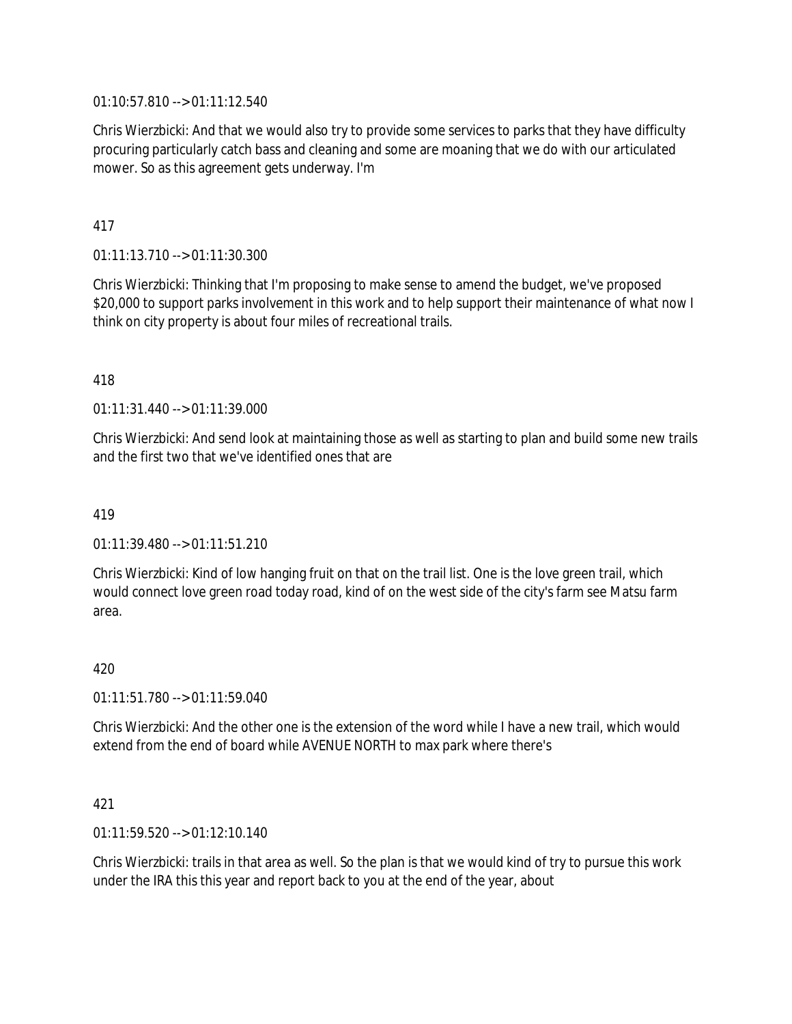01:10:57.810 --> 01:11:12.540

Chris Wierzbicki: And that we would also try to provide some services to parks that they have difficulty procuring particularly catch bass and cleaning and some are moaning that we do with our articulated mower. So as this agreement gets underway. I'm

417

01:11:13.710 --> 01:11:30.300

Chris Wierzbicki: Thinking that I'm proposing to make sense to amend the budget, we've proposed \$20,000 to support parks involvement in this work and to help support their maintenance of what now I think on city property is about four miles of recreational trails.

418

01:11:31.440 --> 01:11:39.000

Chris Wierzbicki: And send look at maintaining those as well as starting to plan and build some new trails and the first two that we've identified ones that are

419

 $01:11:39.480 \rightarrow 01:11:51.210$ 

Chris Wierzbicki: Kind of low hanging fruit on that on the trail list. One is the love green trail, which would connect love green road today road, kind of on the west side of the city's farm see Matsu farm area.

420

01:11:51.780 --> 01:11:59.040

Chris Wierzbicki: And the other one is the extension of the word while I have a new trail, which would extend from the end of board while AVENUE NORTH to max park where there's

421

01:11:59.520 --> 01:12:10.140

Chris Wierzbicki: trails in that area as well. So the plan is that we would kind of try to pursue this work under the IRA this this year and report back to you at the end of the year, about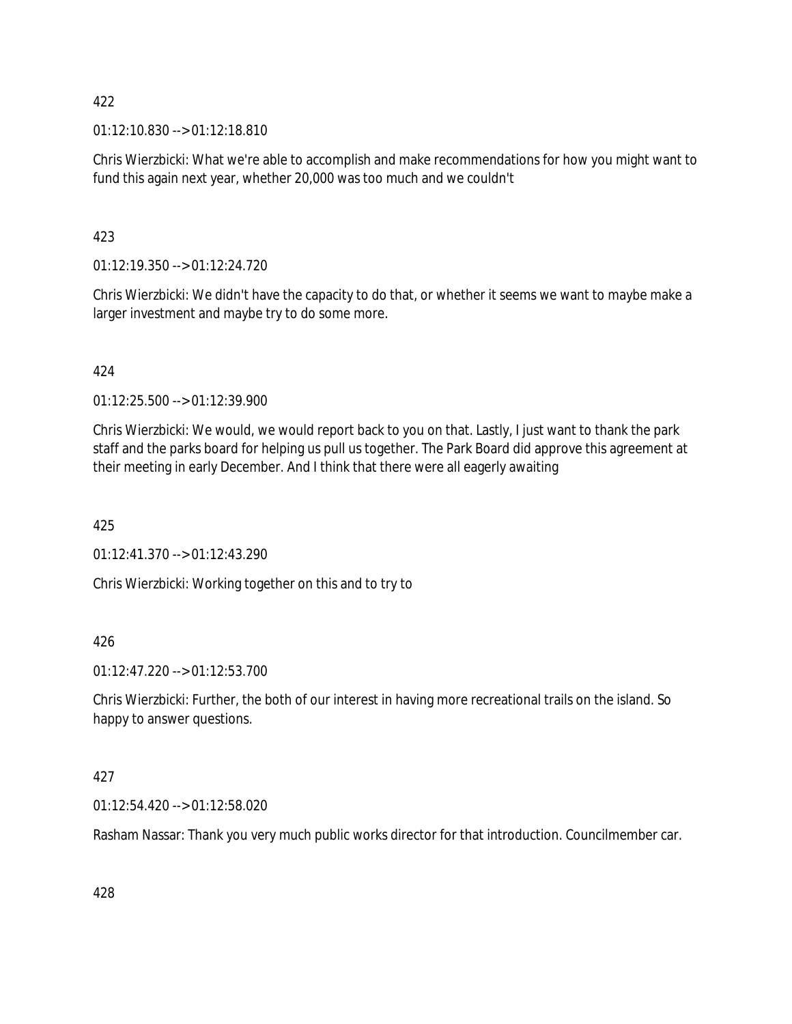01:12:10.830 --> 01:12:18.810

Chris Wierzbicki: What we're able to accomplish and make recommendations for how you might want to fund this again next year, whether 20,000 was too much and we couldn't

423

01:12:19.350 --> 01:12:24.720

Chris Wierzbicki: We didn't have the capacity to do that, or whether it seems we want to maybe make a larger investment and maybe try to do some more.

424

01:12:25.500 --> 01:12:39.900

Chris Wierzbicki: We would, we would report back to you on that. Lastly, I just want to thank the park staff and the parks board for helping us pull us together. The Park Board did approve this agreement at their meeting in early December. And I think that there were all eagerly awaiting

425

01:12:41.370 --> 01:12:43.290

Chris Wierzbicki: Working together on this and to try to

426

01:12:47.220 --> 01:12:53.700

Chris Wierzbicki: Further, the both of our interest in having more recreational trails on the island. So happy to answer questions.

427

01:12:54.420 --> 01:12:58.020

Rasham Nassar: Thank you very much public works director for that introduction. Councilmember car.

428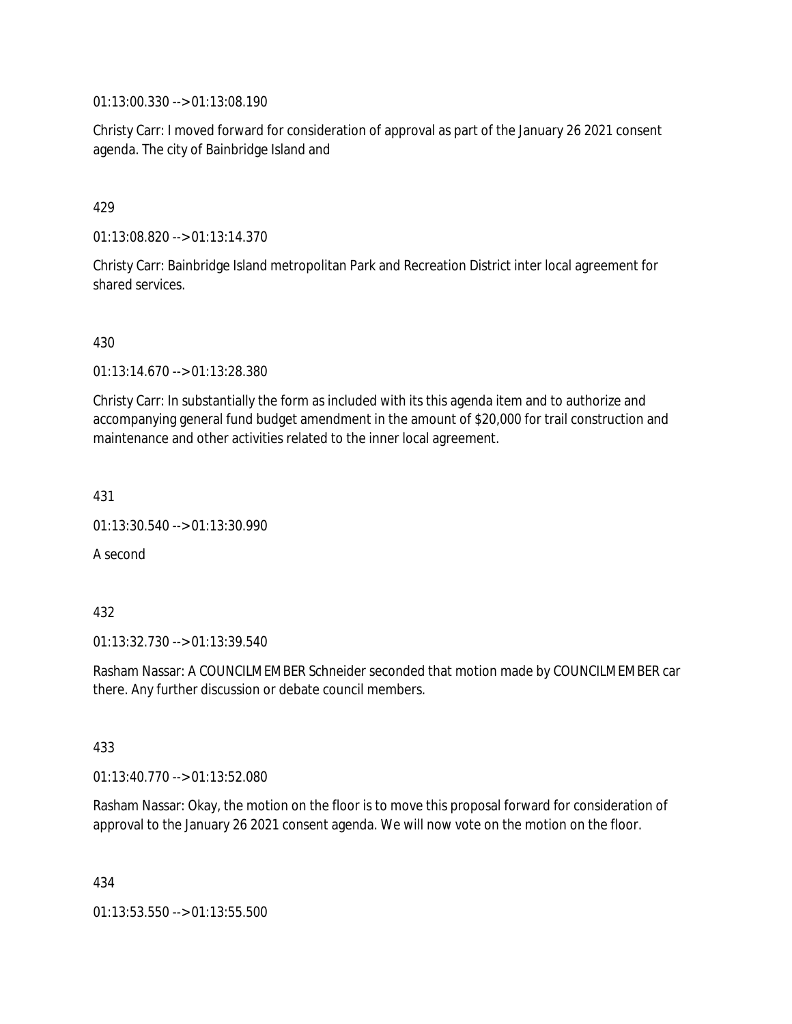01:13:00.330 --> 01:13:08.190

Christy Carr: I moved forward for consideration of approval as part of the January 26 2021 consent agenda. The city of Bainbridge Island and

### 429

01:13:08.820 --> 01:13:14.370

Christy Carr: Bainbridge Island metropolitan Park and Recreation District inter local agreement for shared services.

### 430

01:13:14.670 --> 01:13:28.380

Christy Carr: In substantially the form as included with its this agenda item and to authorize and accompanying general fund budget amendment in the amount of \$20,000 for trail construction and maintenance and other activities related to the inner local agreement.

431

01:13:30.540 --> 01:13:30.990

A second

### 432

01:13:32.730 --> 01:13:39.540

Rasham Nassar: A COUNCILMEMBER Schneider seconded that motion made by COUNCILMEMBER car there. Any further discussion or debate council members.

#### 433

01:13:40.770 --> 01:13:52.080

Rasham Nassar: Okay, the motion on the floor is to move this proposal forward for consideration of approval to the January 26 2021 consent agenda. We will now vote on the motion on the floor.

434

01:13:53.550 --> 01:13:55.500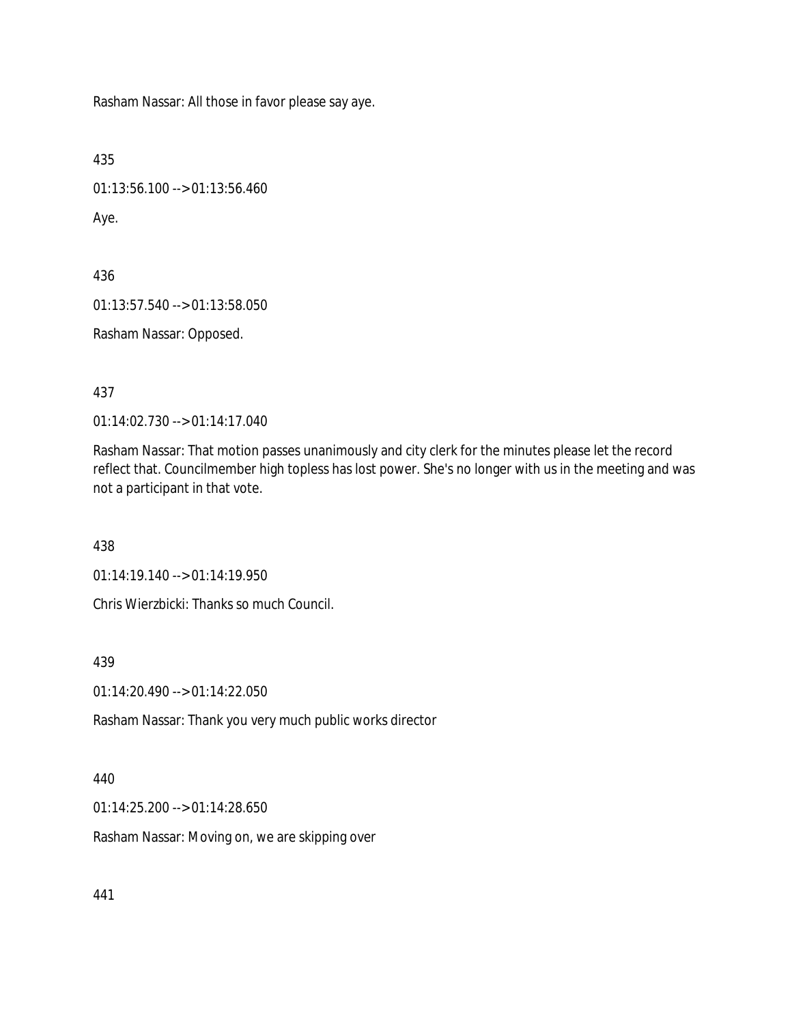Rasham Nassar: All those in favor please say aye.

```
435
```
01:13:56.100 --> 01:13:56.460

Aye.

436 01:13:57.540 --> 01:13:58.050

Rasham Nassar: Opposed.

437

01:14:02.730 --> 01:14:17.040

Rasham Nassar: That motion passes unanimously and city clerk for the minutes please let the record reflect that. Councilmember high topless has lost power. She's no longer with us in the meeting and was not a participant in that vote.

438

01:14:19.140 --> 01:14:19.950

Chris Wierzbicki: Thanks so much Council.

439

01:14:20.490 --> 01:14:22.050

Rasham Nassar: Thank you very much public works director

440

01:14:25.200 --> 01:14:28.650

Rasham Nassar: Moving on, we are skipping over

441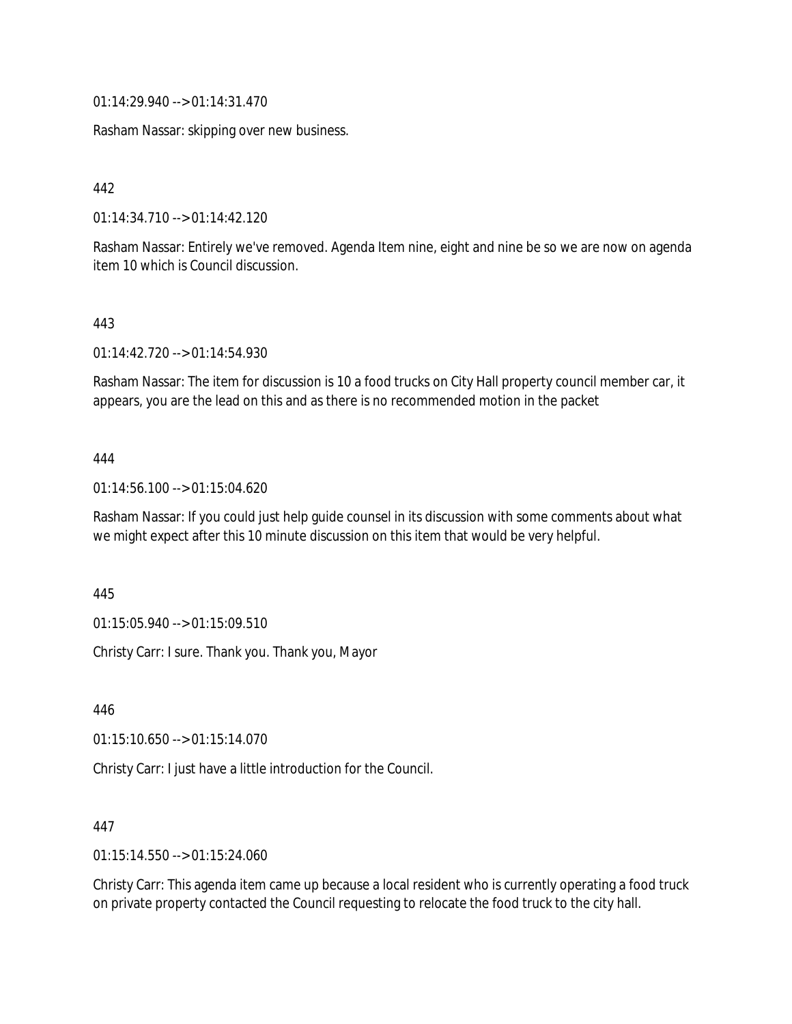01:14:29.940 --> 01:14:31.470

Rasham Nassar: skipping over new business.

442

01:14:34.710 --> 01:14:42.120

Rasham Nassar: Entirely we've removed. Agenda Item nine, eight and nine be so we are now on agenda item 10 which is Council discussion.

#### 443

01:14:42.720 --> 01:14:54.930

Rasham Nassar: The item for discussion is 10 a food trucks on City Hall property council member car, it appears, you are the lead on this and as there is no recommended motion in the packet

### 444

01:14:56.100 --> 01:15:04.620

Rasham Nassar: If you could just help guide counsel in its discussion with some comments about what we might expect after this 10 minute discussion on this item that would be very helpful.

445

01:15:05.940 --> 01:15:09.510

Christy Carr: I sure. Thank you. Thank you, Mayor

446

01:15:10.650 --> 01:15:14.070

Christy Carr: I just have a little introduction for the Council.

### 447

01:15:14.550 --> 01:15:24.060

Christy Carr: This agenda item came up because a local resident who is currently operating a food truck on private property contacted the Council requesting to relocate the food truck to the city hall.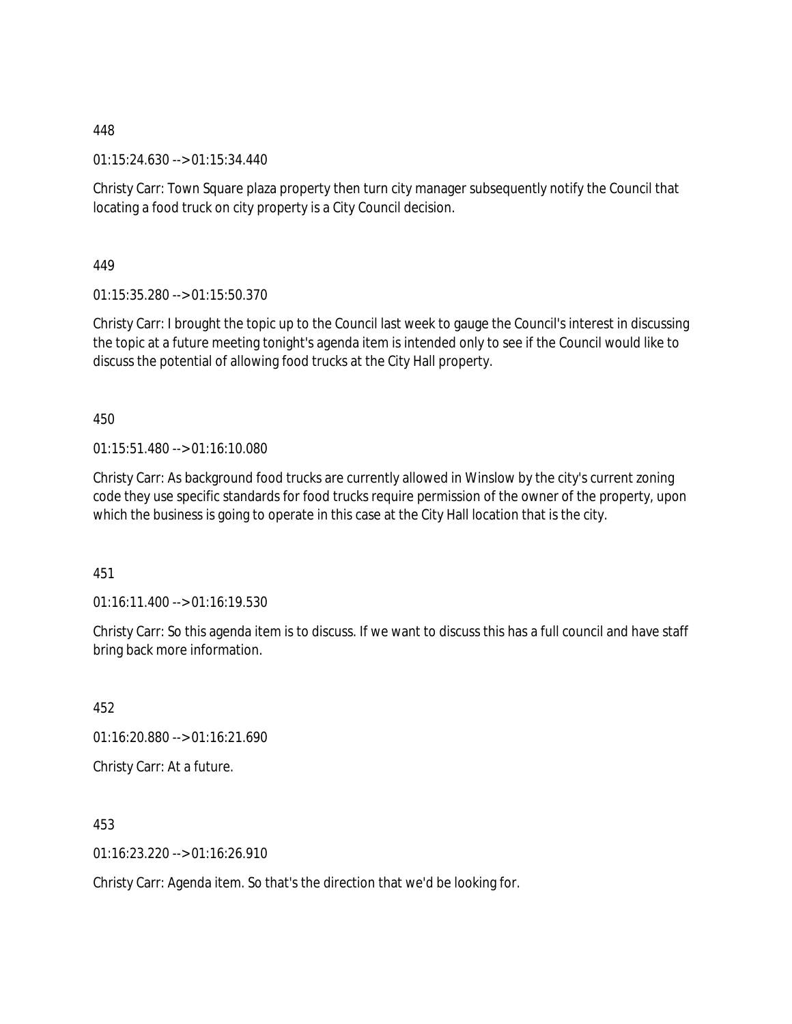01:15:24.630 --> 01:15:34.440

Christy Carr: Town Square plaza property then turn city manager subsequently notify the Council that locating a food truck on city property is a City Council decision.

449

01:15:35.280 --> 01:15:50.370

Christy Carr: I brought the topic up to the Council last week to gauge the Council's interest in discussing the topic at a future meeting tonight's agenda item is intended only to see if the Council would like to discuss the potential of allowing food trucks at the City Hall property.

450

01:15:51.480 --> 01:16:10.080

Christy Carr: As background food trucks are currently allowed in Winslow by the city's current zoning code they use specific standards for food trucks require permission of the owner of the property, upon which the business is going to operate in this case at the City Hall location that is the city.

451

 $01:16:11.400 \rightarrow 01:16:19.530$ 

Christy Carr: So this agenda item is to discuss. If we want to discuss this has a full council and have staff bring back more information.

452 01:16:20.880 --> 01:16:21.690 Christy Carr: At a future.

453

01:16:23.220 --> 01:16:26.910

Christy Carr: Agenda item. So that's the direction that we'd be looking for.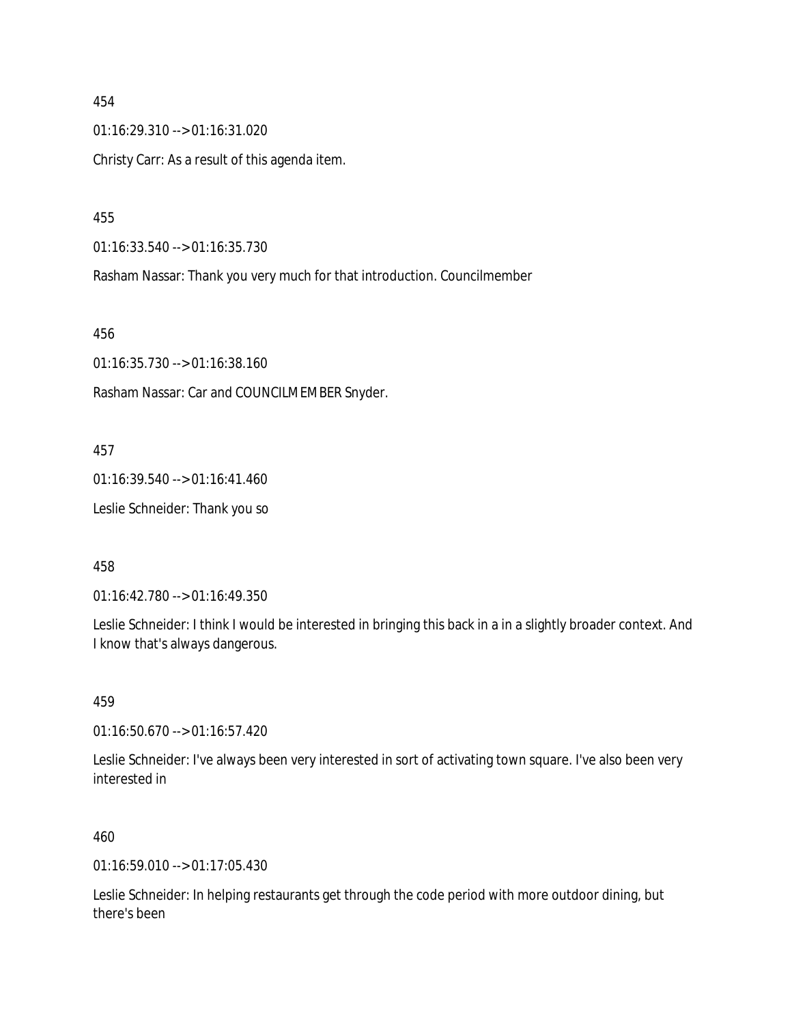454 01:16:29.310 --> 01:16:31.020 Christy Carr: As a result of this agenda item.

455

01:16:33.540 --> 01:16:35.730

Rasham Nassar: Thank you very much for that introduction. Councilmember

456

01:16:35.730 --> 01:16:38.160

Rasham Nassar: Car and COUNCILMEMBER Snyder.

457

01:16:39.540 --> 01:16:41.460

Leslie Schneider: Thank you so

458

01:16:42.780 --> 01:16:49.350

Leslie Schneider: I think I would be interested in bringing this back in a in a slightly broader context. And I know that's always dangerous.

459

01:16:50.670 --> 01:16:57.420

Leslie Schneider: I've always been very interested in sort of activating town square. I've also been very interested in

460

01:16:59.010 --> 01:17:05.430

Leslie Schneider: In helping restaurants get through the code period with more outdoor dining, but there's been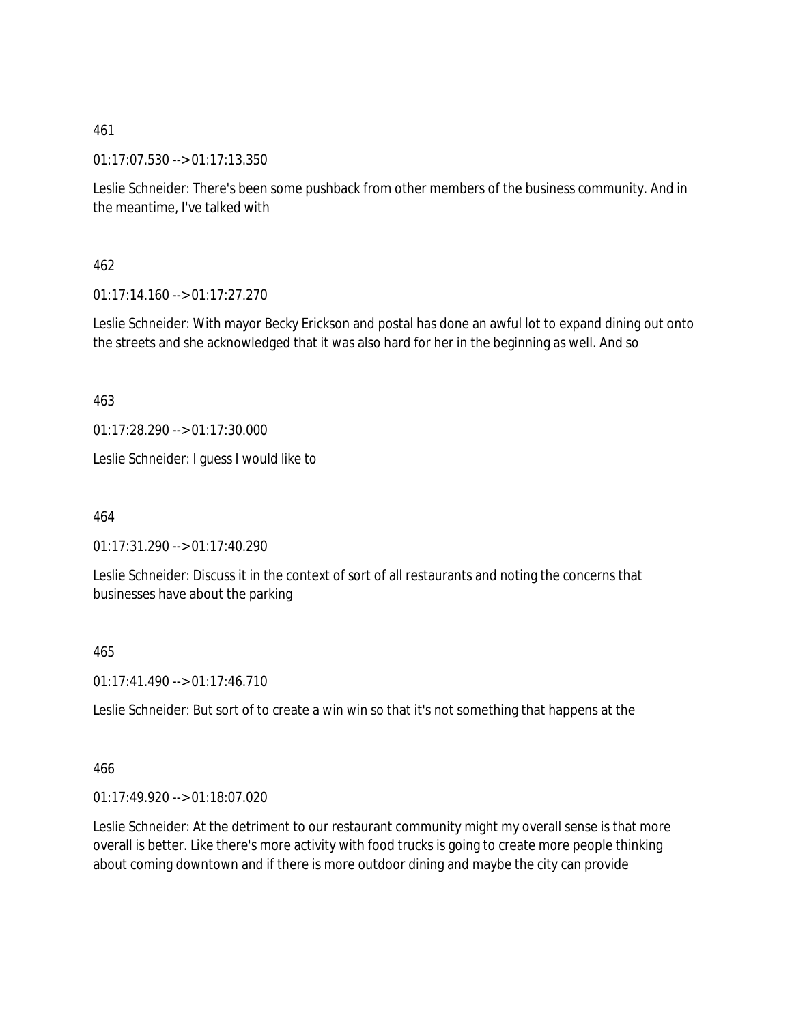01:17:07.530 --> 01:17:13.350

Leslie Schneider: There's been some pushback from other members of the business community. And in the meantime, I've talked with

462

 $01:17:14.160 \rightarrow 01:17:27.270$ 

Leslie Schneider: With mayor Becky Erickson and postal has done an awful lot to expand dining out onto the streets and she acknowledged that it was also hard for her in the beginning as well. And so

463

01:17:28.290 --> 01:17:30.000

Leslie Schneider: I guess I would like to

464

01:17:31.290 --> 01:17:40.290

Leslie Schneider: Discuss it in the context of sort of all restaurants and noting the concerns that businesses have about the parking

465

01:17:41.490 --> 01:17:46.710

Leslie Schneider: But sort of to create a win win so that it's not something that happens at the

466

01:17:49.920 --> 01:18:07.020

Leslie Schneider: At the detriment to our restaurant community might my overall sense is that more overall is better. Like there's more activity with food trucks is going to create more people thinking about coming downtown and if there is more outdoor dining and maybe the city can provide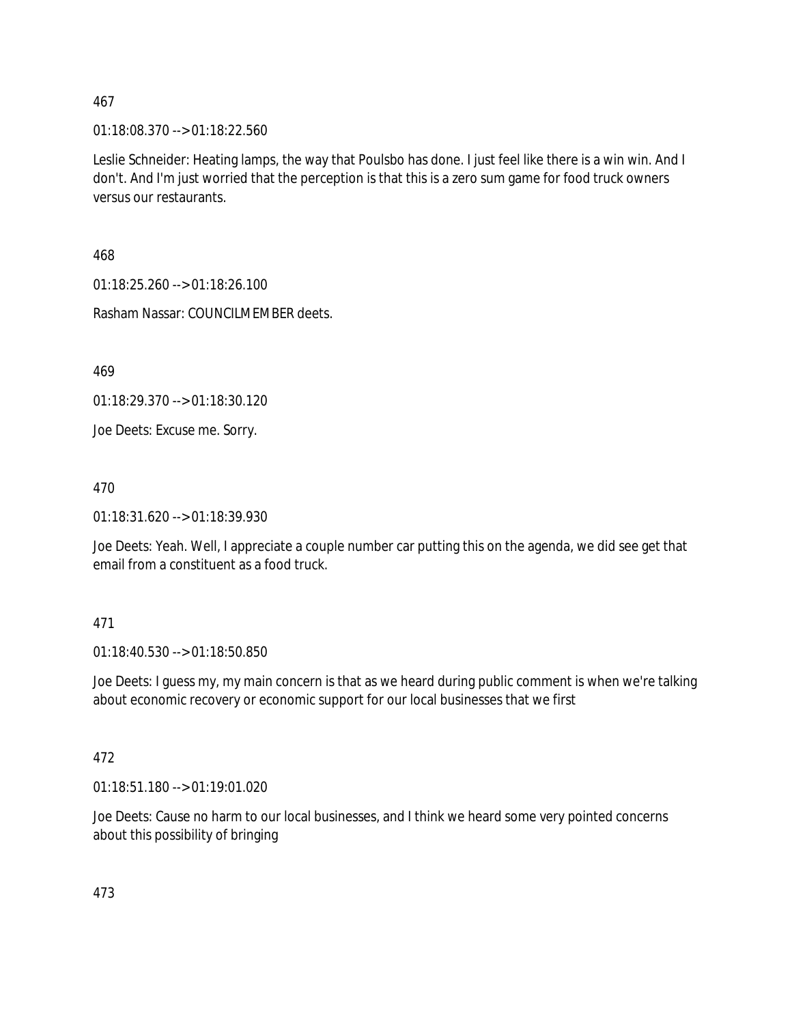01:18:08.370 --> 01:18:22.560

Leslie Schneider: Heating lamps, the way that Poulsbo has done. I just feel like there is a win win. And I don't. And I'm just worried that the perception is that this is a zero sum game for food truck owners versus our restaurants.

468

01:18:25.260 --> 01:18:26.100

Rasham Nassar: COUNCILMEMBER deets.

469

01:18:29.370 --> 01:18:30.120

Joe Deets: Excuse me. Sorry.

470

01:18:31.620 --> 01:18:39.930

Joe Deets: Yeah. Well, I appreciate a couple number car putting this on the agenda, we did see get that email from a constituent as a food truck.

### 471

01:18:40.530 --> 01:18:50.850

Joe Deets: I guess my, my main concern is that as we heard during public comment is when we're talking about economic recovery or economic support for our local businesses that we first

### 472

01:18:51.180 --> 01:19:01.020

Joe Deets: Cause no harm to our local businesses, and I think we heard some very pointed concerns about this possibility of bringing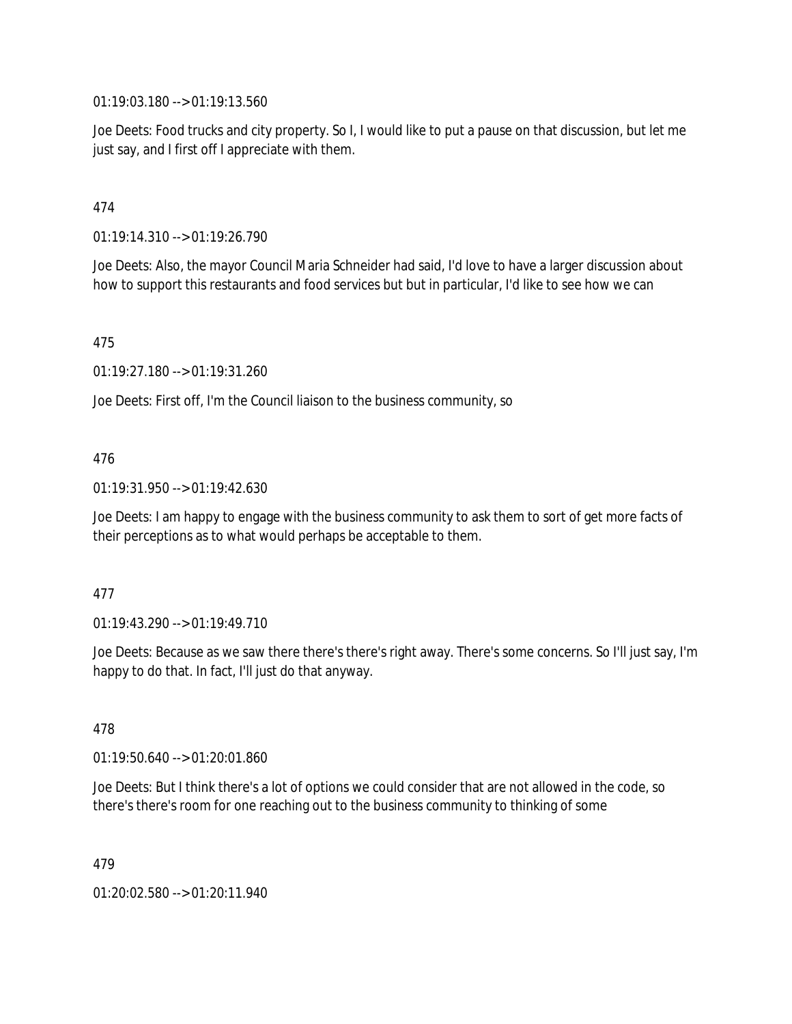01:19:03.180 --> 01:19:13.560

Joe Deets: Food trucks and city property. So I, I would like to put a pause on that discussion, but let me just say, and I first off I appreciate with them.

## 474

01:19:14.310 --> 01:19:26.790

Joe Deets: Also, the mayor Council Maria Schneider had said, I'd love to have a larger discussion about how to support this restaurants and food services but but in particular, I'd like to see how we can

475

01:19:27.180 --> 01:19:31.260

Joe Deets: First off, I'm the Council liaison to the business community, so

### 476

01:19:31.950 --> 01:19:42.630

Joe Deets: I am happy to engage with the business community to ask them to sort of get more facts of their perceptions as to what would perhaps be acceptable to them.

### 477

01:19:43.290 --> 01:19:49.710

Joe Deets: Because as we saw there there's there's right away. There's some concerns. So I'll just say, I'm happy to do that. In fact, I'll just do that anyway.

### 478

01:19:50.640 --> 01:20:01.860

Joe Deets: But I think there's a lot of options we could consider that are not allowed in the code, so there's there's room for one reaching out to the business community to thinking of some

479

01:20:02.580 --> 01:20:11.940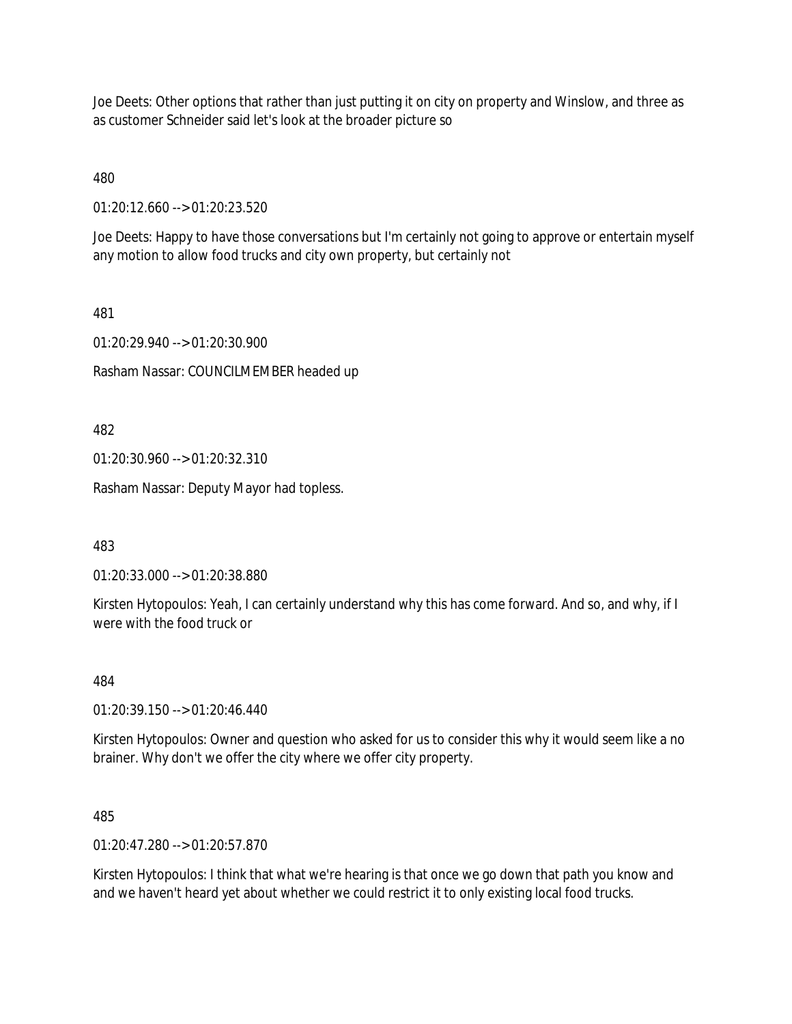Joe Deets: Other options that rather than just putting it on city on property and Winslow, and three as as customer Schneider said let's look at the broader picture so

480

01:20:12.660 --> 01:20:23.520

Joe Deets: Happy to have those conversations but I'm certainly not going to approve or entertain myself any motion to allow food trucks and city own property, but certainly not

481

01:20:29.940 --> 01:20:30.900

Rasham Nassar: COUNCILMEMBER headed up

482

01:20:30.960 --> 01:20:32.310

Rasham Nassar: Deputy Mayor had topless.

483

01:20:33.000 --> 01:20:38.880

Kirsten Hytopoulos: Yeah, I can certainly understand why this has come forward. And so, and why, if I were with the food truck or

484

01:20:39.150 --> 01:20:46.440

Kirsten Hytopoulos: Owner and question who asked for us to consider this why it would seem like a no brainer. Why don't we offer the city where we offer city property.

485

01:20:47.280 --> 01:20:57.870

Kirsten Hytopoulos: I think that what we're hearing is that once we go down that path you know and and we haven't heard yet about whether we could restrict it to only existing local food trucks.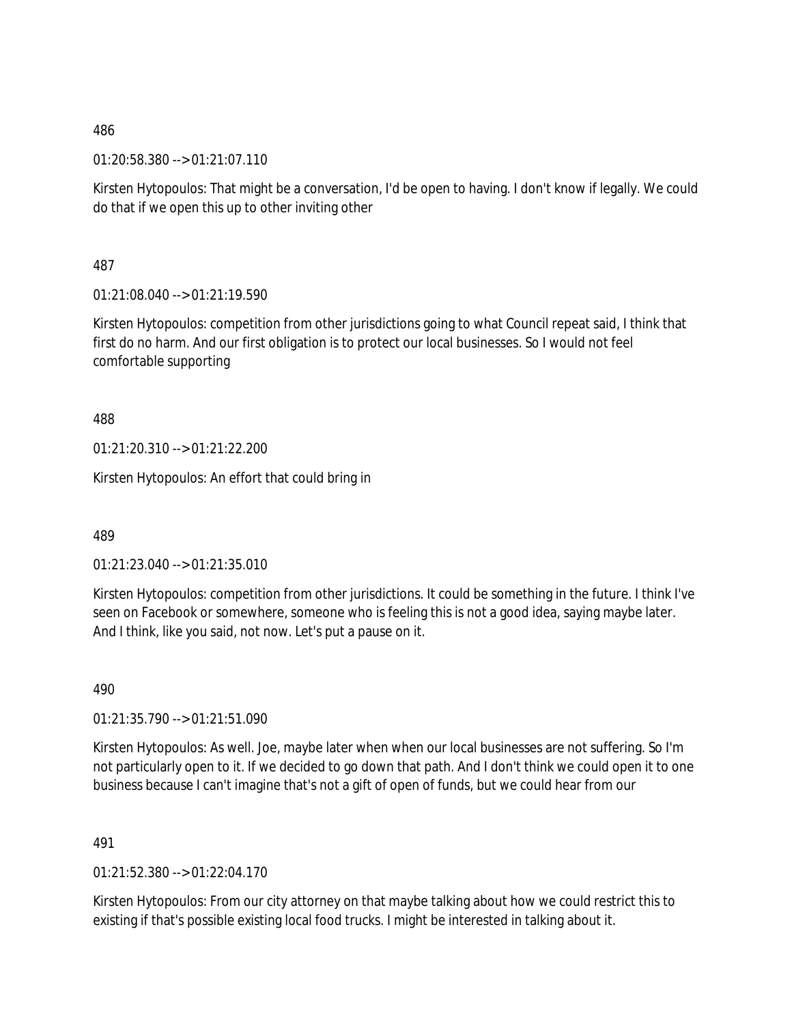01:20:58.380 --> 01:21:07.110

Kirsten Hytopoulos: That might be a conversation, I'd be open to having. I don't know if legally. We could do that if we open this up to other inviting other

487

01:21:08.040 --> 01:21:19.590

Kirsten Hytopoulos: competition from other jurisdictions going to what Council repeat said, I think that first do no harm. And our first obligation is to protect our local businesses. So I would not feel comfortable supporting

488

01:21:20.310 --> 01:21:22.200

Kirsten Hytopoulos: An effort that could bring in

489

01:21:23.040 --> 01:21:35.010

Kirsten Hytopoulos: competition from other jurisdictions. It could be something in the future. I think I've seen on Facebook or somewhere, someone who is feeling this is not a good idea, saying maybe later. And I think, like you said, not now. Let's put a pause on it.

490

01:21:35.790 --> 01:21:51.090

Kirsten Hytopoulos: As well. Joe, maybe later when when our local businesses are not suffering. So I'm not particularly open to it. If we decided to go down that path. And I don't think we could open it to one business because I can't imagine that's not a gift of open of funds, but we could hear from our

491

01:21:52.380 --> 01:22:04.170

Kirsten Hytopoulos: From our city attorney on that maybe talking about how we could restrict this to existing if that's possible existing local food trucks. I might be interested in talking about it.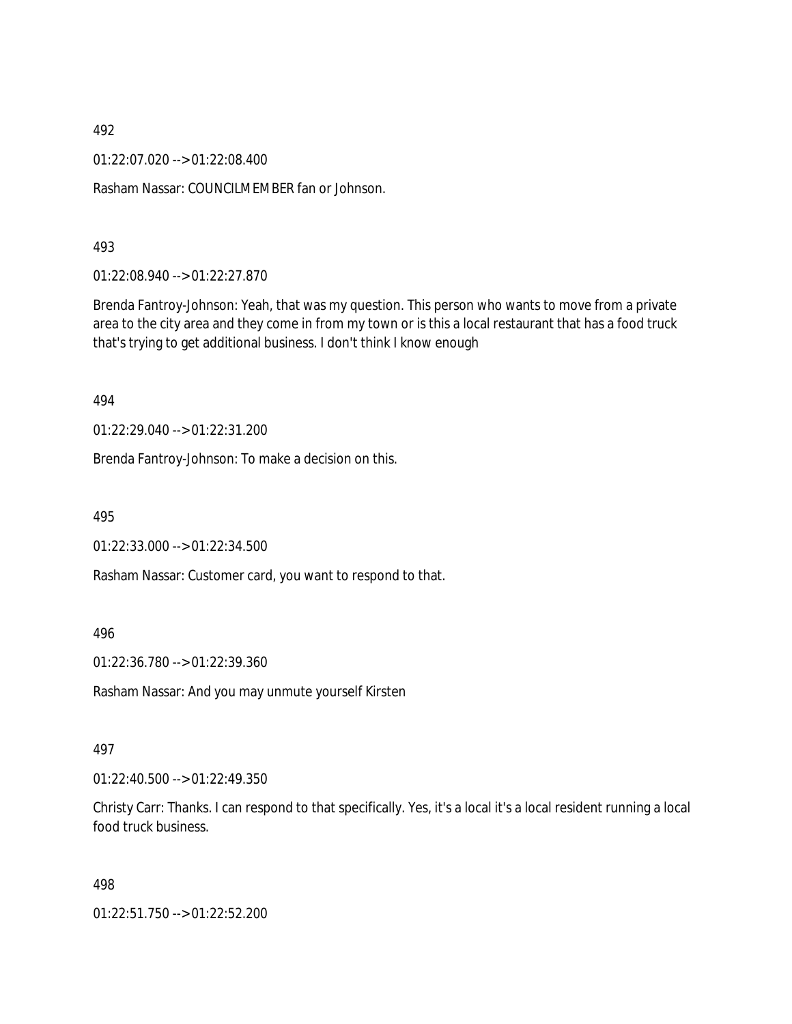01:22:07.020 --> 01:22:08.400

Rasham Nassar: COUNCILMEMBER fan or Johnson.

#### 493

01:22:08.940 --> 01:22:27.870

Brenda Fantroy-Johnson: Yeah, that was my question. This person who wants to move from a private area to the city area and they come in from my town or is this a local restaurant that has a food truck that's trying to get additional business. I don't think I know enough

#### 494

01:22:29.040 --> 01:22:31.200

Brenda Fantroy-Johnson: To make a decision on this.

495

01:22:33.000 --> 01:22:34.500

Rasham Nassar: Customer card, you want to respond to that.

### 496

01:22:36.780 --> 01:22:39.360

Rasham Nassar: And you may unmute yourself Kirsten

#### 497

01:22:40.500 --> 01:22:49.350

Christy Carr: Thanks. I can respond to that specifically. Yes, it's a local it's a local resident running a local food truck business.

#### 498

01:22:51.750 --> 01:22:52.200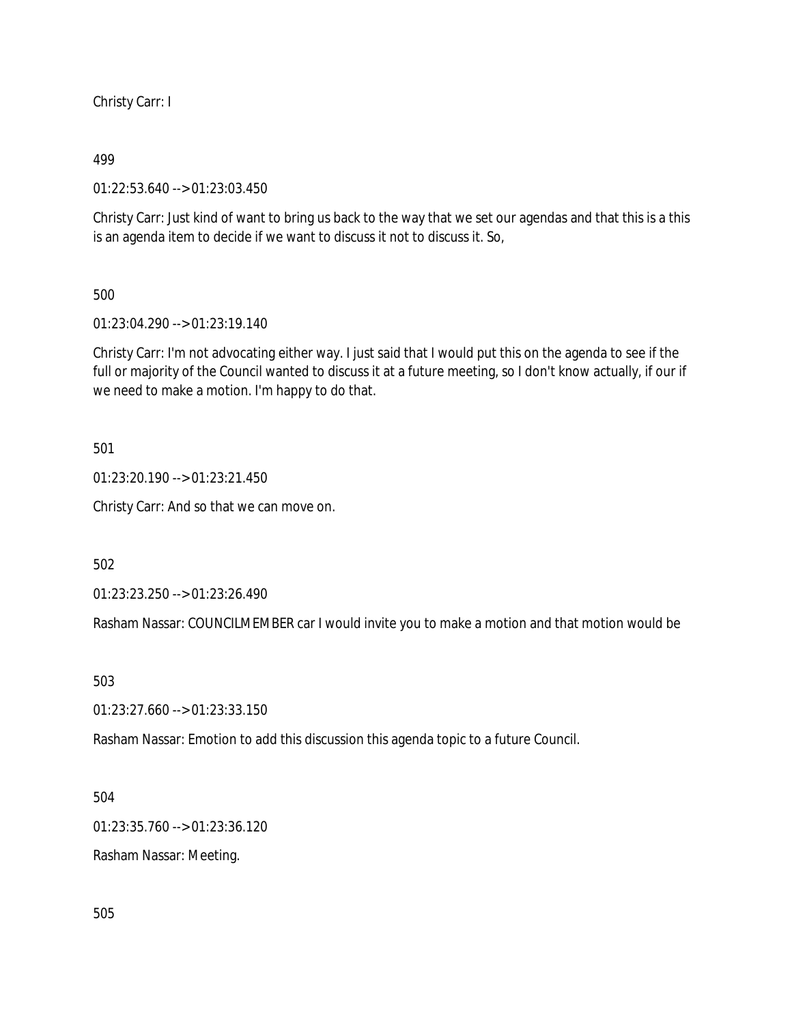Christy Carr: I

### 499

01:22:53.640 --> 01:23:03.450

Christy Carr: Just kind of want to bring us back to the way that we set our agendas and that this is a this is an agenda item to decide if we want to discuss it not to discuss it. So,

# 500

01:23:04.290 --> 01:23:19.140

Christy Carr: I'm not advocating either way. I just said that I would put this on the agenda to see if the full or majority of the Council wanted to discuss it at a future meeting, so I don't know actually, if our if we need to make a motion. I'm happy to do that.

501

01:23:20.190 --> 01:23:21.450

Christy Carr: And so that we can move on.

502

01:23:23.250 --> 01:23:26.490

Rasham Nassar: COUNCILMEMBER car I would invite you to make a motion and that motion would be

503

01:23:27.660 --> 01:23:33.150

Rasham Nassar: Emotion to add this discussion this agenda topic to a future Council.

504

01:23:35.760 --> 01:23:36.120

Rasham Nassar: Meeting.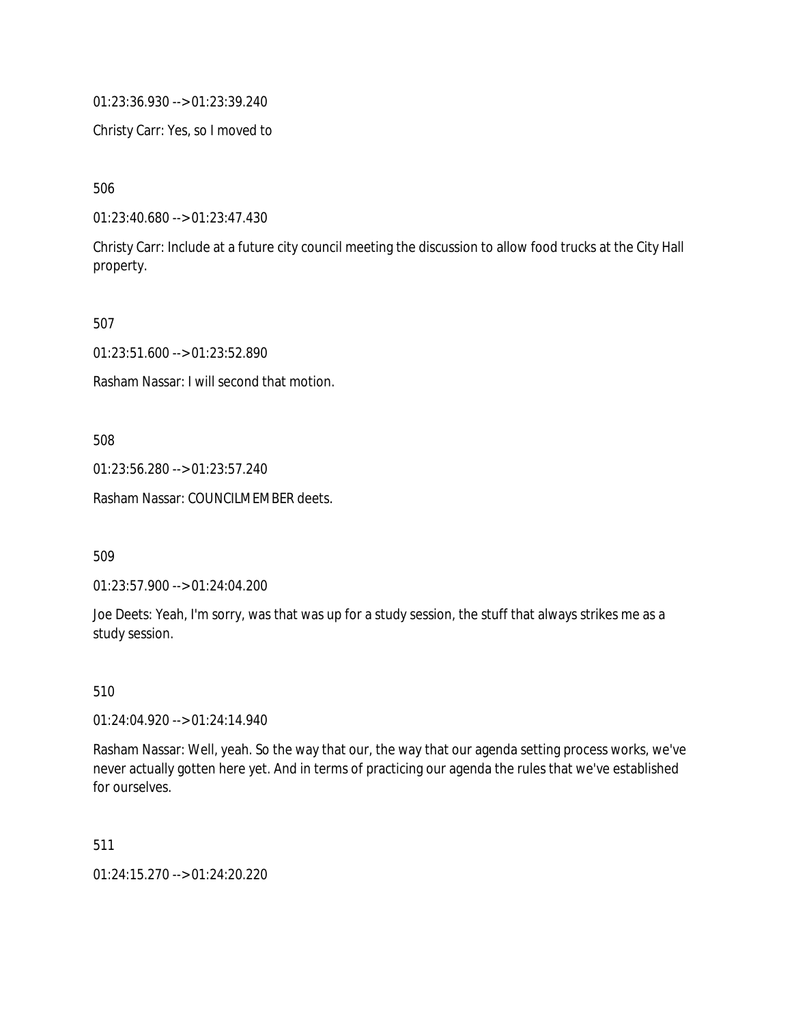01:23:36.930 --> 01:23:39.240

Christy Carr: Yes, so I moved to

506

01:23:40.680 --> 01:23:47.430

Christy Carr: Include at a future city council meeting the discussion to allow food trucks at the City Hall property.

507

01:23:51.600 --> 01:23:52.890

Rasham Nassar: I will second that motion.

508

01:23:56.280 --> 01:23:57.240

Rasham Nassar: COUNCILMEMBER deets.

509

01:23:57.900 --> 01:24:04.200

Joe Deets: Yeah, I'm sorry, was that was up for a study session, the stuff that always strikes me as a study session.

510

01:24:04.920 --> 01:24:14.940

Rasham Nassar: Well, yeah. So the way that our, the way that our agenda setting process works, we've never actually gotten here yet. And in terms of practicing our agenda the rules that we've established for ourselves.

511

01:24:15.270 --> 01:24:20.220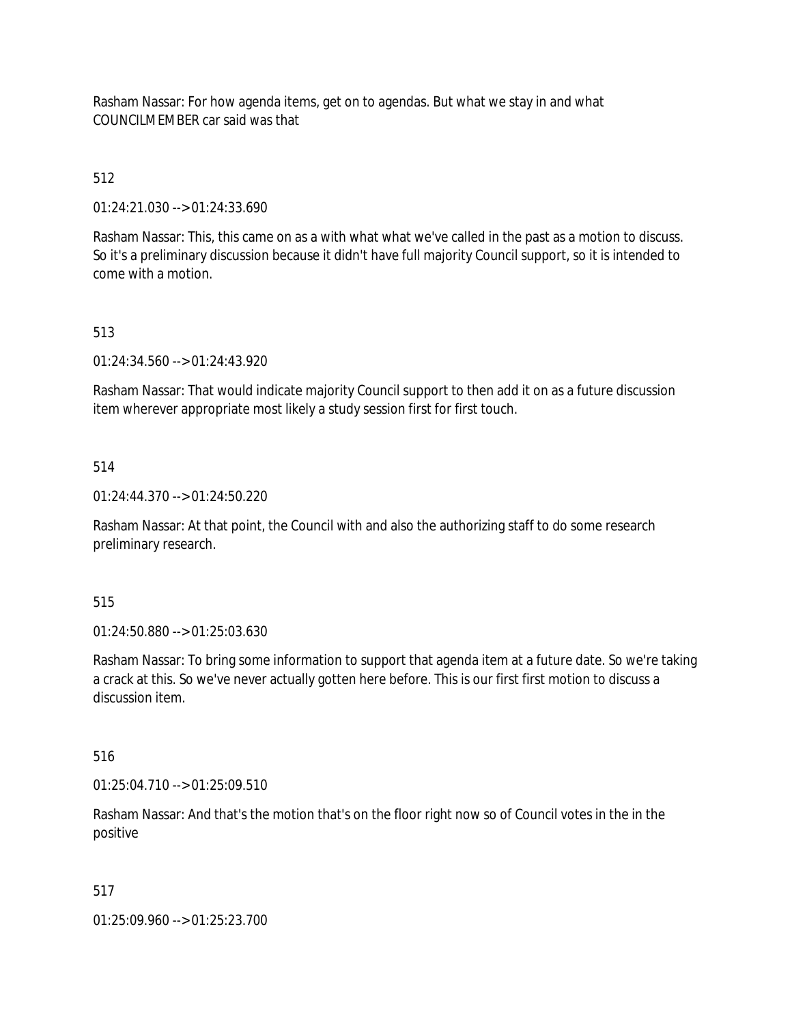Rasham Nassar: For how agenda items, get on to agendas. But what we stay in and what COUNCILMEMBER car said was that

# 512

01:24:21.030 --> 01:24:33.690

Rasham Nassar: This, this came on as a with what what we've called in the past as a motion to discuss. So it's a preliminary discussion because it didn't have full majority Council support, so it is intended to come with a motion.

# 513

01:24:34.560 --> 01:24:43.920

Rasham Nassar: That would indicate majority Council support to then add it on as a future discussion item wherever appropriate most likely a study session first for first touch.

# 514

01:24:44.370 --> 01:24:50.220

Rasham Nassar: At that point, the Council with and also the authorizing staff to do some research preliminary research.

# 515

01:24:50.880 --> 01:25:03.630

Rasham Nassar: To bring some information to support that agenda item at a future date. So we're taking a crack at this. So we've never actually gotten here before. This is our first first motion to discuss a discussion item.

# 516

01:25:04.710 --> 01:25:09.510

Rasham Nassar: And that's the motion that's on the floor right now so of Council votes in the in the positive

# 517

01:25:09.960 --> 01:25:23.700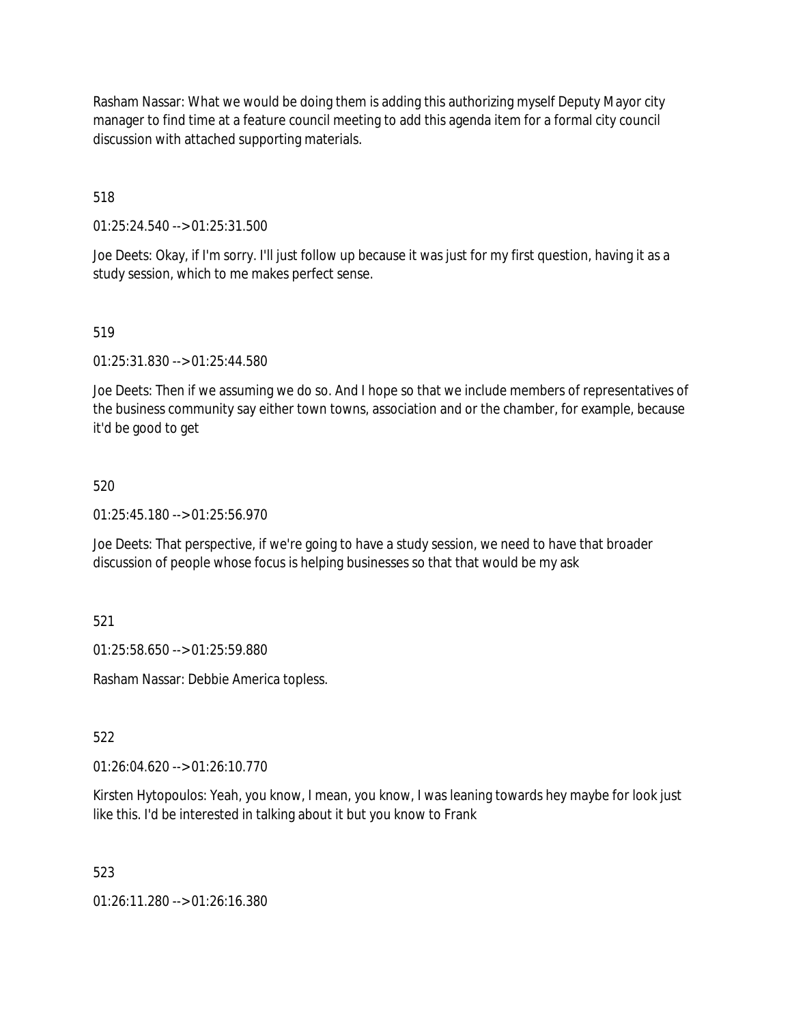Rasham Nassar: What we would be doing them is adding this authorizing myself Deputy Mayor city manager to find time at a feature council meeting to add this agenda item for a formal city council discussion with attached supporting materials.

518

01:25:24.540 --> 01:25:31.500

Joe Deets: Okay, if I'm sorry. I'll just follow up because it was just for my first question, having it as a study session, which to me makes perfect sense.

519

01:25:31.830 --> 01:25:44.580

Joe Deets: Then if we assuming we do so. And I hope so that we include members of representatives of the business community say either town towns, association and or the chamber, for example, because it'd be good to get

### 520

01:25:45.180 --> 01:25:56.970

Joe Deets: That perspective, if we're going to have a study session, we need to have that broader discussion of people whose focus is helping businesses so that that would be my ask

521

01:25:58.650 --> 01:25:59.880

Rasham Nassar: Debbie America topless.

522

01:26:04.620 --> 01:26:10.770

Kirsten Hytopoulos: Yeah, you know, I mean, you know, I was leaning towards hey maybe for look just like this. I'd be interested in talking about it but you know to Frank

523

01:26:11.280 --> 01:26:16.380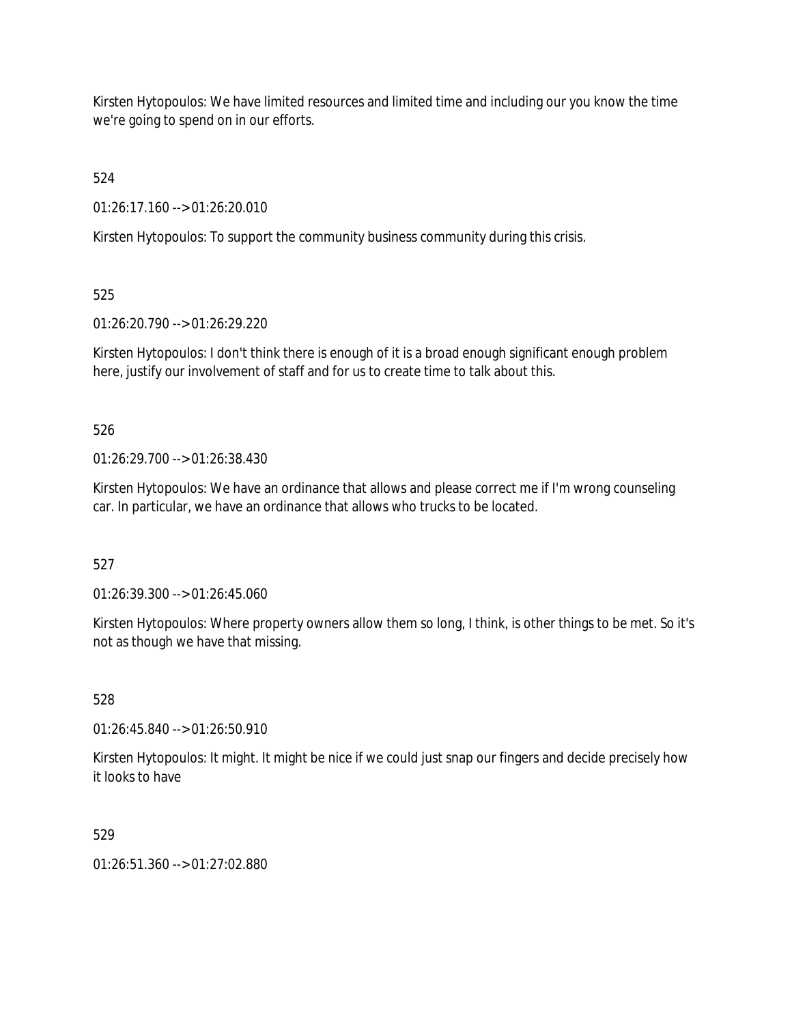Kirsten Hytopoulos: We have limited resources and limited time and including our you know the time we're going to spend on in our efforts.

524

01:26:17.160 --> 01:26:20.010

Kirsten Hytopoulos: To support the community business community during this crisis.

525

01:26:20.790 --> 01:26:29.220

Kirsten Hytopoulos: I don't think there is enough of it is a broad enough significant enough problem here, justify our involvement of staff and for us to create time to talk about this.

526

 $01:26:29.700 \rightarrow 01:26:38.430$ 

Kirsten Hytopoulos: We have an ordinance that allows and please correct me if I'm wrong counseling car. In particular, we have an ordinance that allows who trucks to be located.

527

01:26:39.300 --> 01:26:45.060

Kirsten Hytopoulos: Where property owners allow them so long, I think, is other things to be met. So it's not as though we have that missing.

528

01:26:45.840 --> 01:26:50.910

Kirsten Hytopoulos: It might. It might be nice if we could just snap our fingers and decide precisely how it looks to have

529

 $01:26:51.360 \rightarrow 01:27:02.880$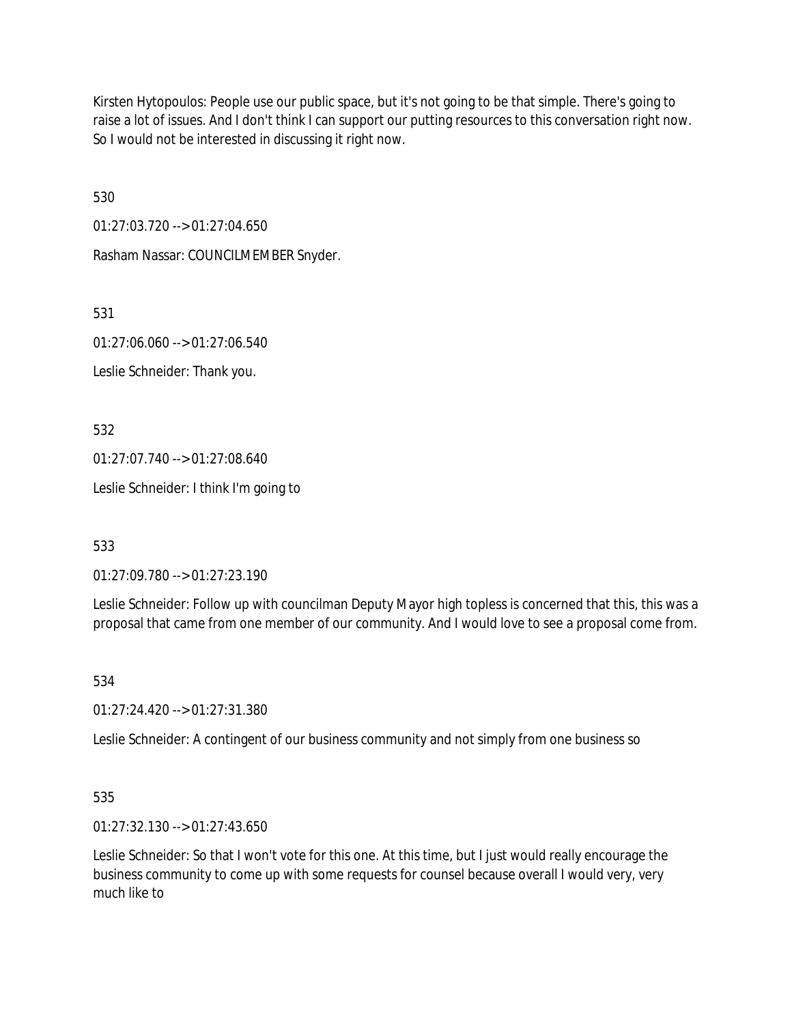Kirsten Hytopoulos: People use our public space, but it's not going to be that simple. There's going to raise a lot of issues. And I don't think I can support our putting resources to this conversation right now. So I would not be interested in discussing it right now.

530

01:27:03.720 --> 01:27:04.650

Rasham Nassar: COUNCILMEMBER Snyder.

531

01:27:06.060 --> 01:27:06.540

Leslie Schneider: Thank you.

532

01:27:07.740 --> 01:27:08.640

Leslie Schneider: I think I'm going to

533

01:27:09.780 --> 01:27:23.190

Leslie Schneider: Follow up with councilman Deputy Mayor high topless is concerned that this, this was a proposal that came from one member of our community. And I would love to see a proposal come from.

534

01:27:24.420 --> 01:27:31.380

Leslie Schneider: A contingent of our business community and not simply from one business so

535

01:27:32.130 --> 01:27:43.650

Leslie Schneider: So that I won't vote for this one. At this time, but I just would really encourage the business community to come up with some requests for counsel because overall I would very, very much like to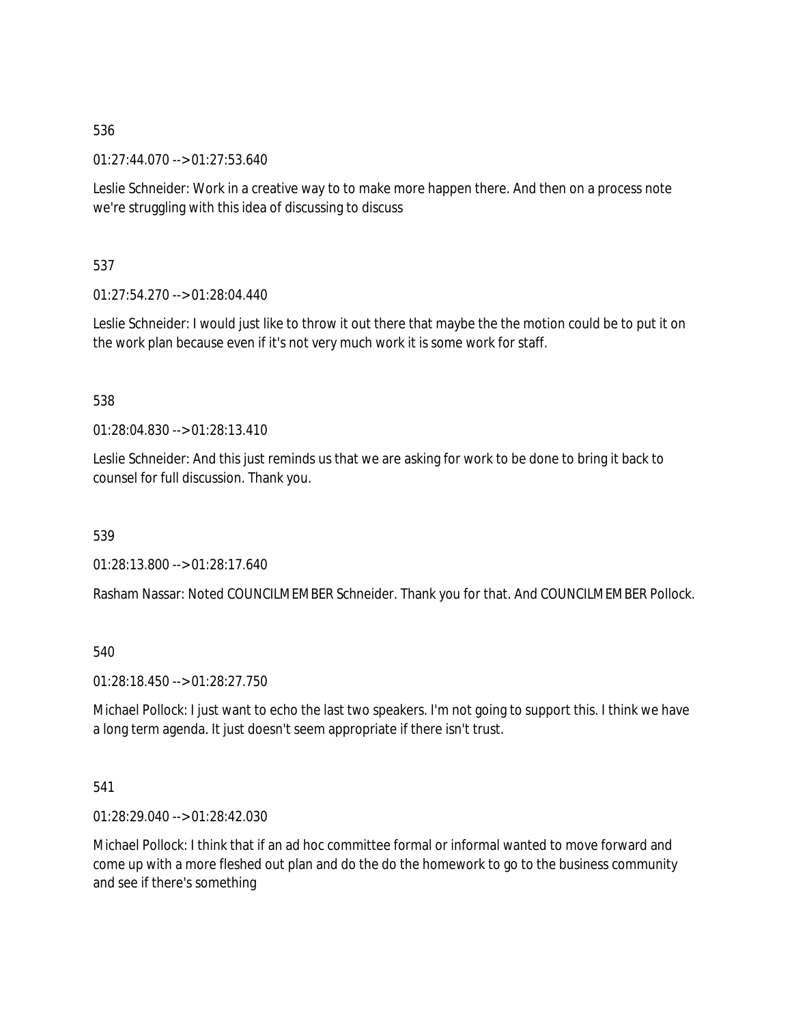01:27:44.070 --> 01:27:53.640

Leslie Schneider: Work in a creative way to to make more happen there. And then on a process note we're struggling with this idea of discussing to discuss

537

01:27:54.270 --> 01:28:04.440

Leslie Schneider: I would just like to throw it out there that maybe the the motion could be to put it on the work plan because even if it's not very much work it is some work for staff.

### 538

 $01.28:04.830 \rightarrow 01.28:13.410$ 

Leslie Schneider: And this just reminds us that we are asking for work to be done to bring it back to counsel for full discussion. Thank you.

539

01:28:13.800 --> 01:28:17.640

Rasham Nassar: Noted COUNCILMEMBER Schneider. Thank you for that. And COUNCILMEMBER Pollock.

540

01:28:18.450 --> 01:28:27.750

Michael Pollock: I just want to echo the last two speakers. I'm not going to support this. I think we have a long term agenda. It just doesn't seem appropriate if there isn't trust.

### 541

01:28:29.040 --> 01:28:42.030

Michael Pollock: I think that if an ad hoc committee formal or informal wanted to move forward and come up with a more fleshed out plan and do the do the homework to go to the business community and see if there's something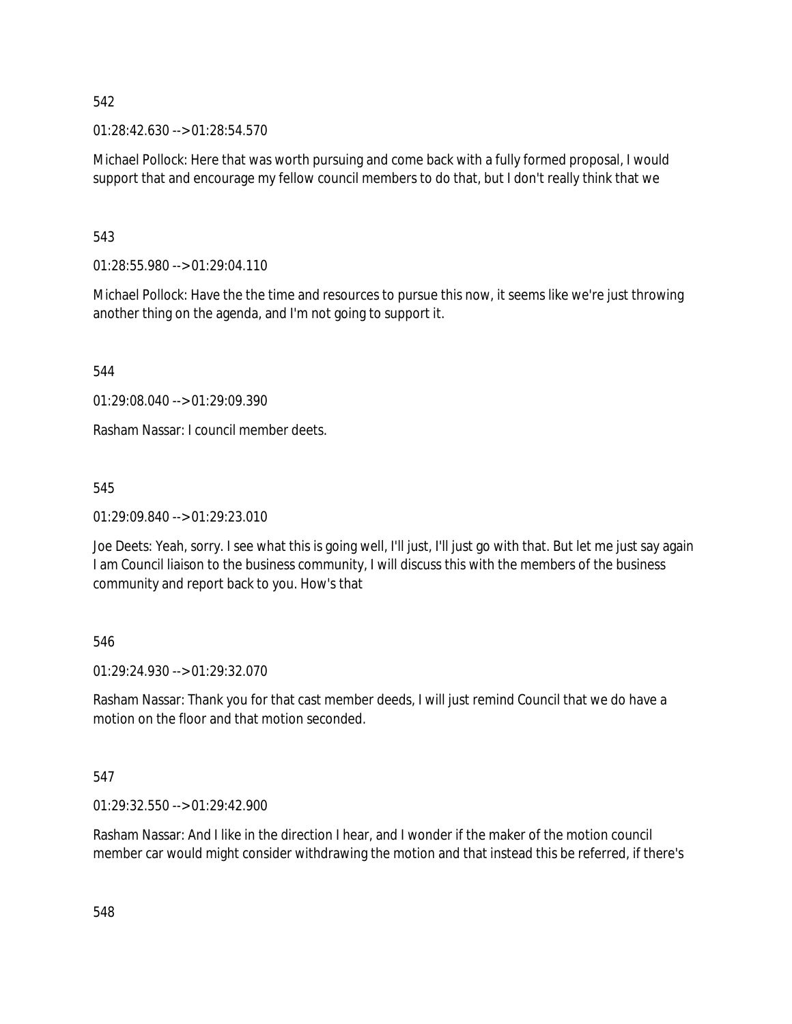01:28:42.630 --> 01:28:54.570

Michael Pollock: Here that was worth pursuing and come back with a fully formed proposal, I would support that and encourage my fellow council members to do that, but I don't really think that we

543

01:28:55.980 --> 01:29:04.110

Michael Pollock: Have the the time and resources to pursue this now, it seems like we're just throwing another thing on the agenda, and I'm not going to support it.

544

 $01.29.08.040 - 0.01.29.09.390$ 

Rasham Nassar: I council member deets.

545

01:29:09.840 --> 01:29:23.010

Joe Deets: Yeah, sorry. I see what this is going well, I'll just, I'll just go with that. But let me just say again I am Council liaison to the business community, I will discuss this with the members of the business community and report back to you. How's that

546

01:29:24.930 --> 01:29:32.070

Rasham Nassar: Thank you for that cast member deeds, I will just remind Council that we do have a motion on the floor and that motion seconded.

547

01:29:32.550 --> 01:29:42.900

Rasham Nassar: And I like in the direction I hear, and I wonder if the maker of the motion council member car would might consider withdrawing the motion and that instead this be referred, if there's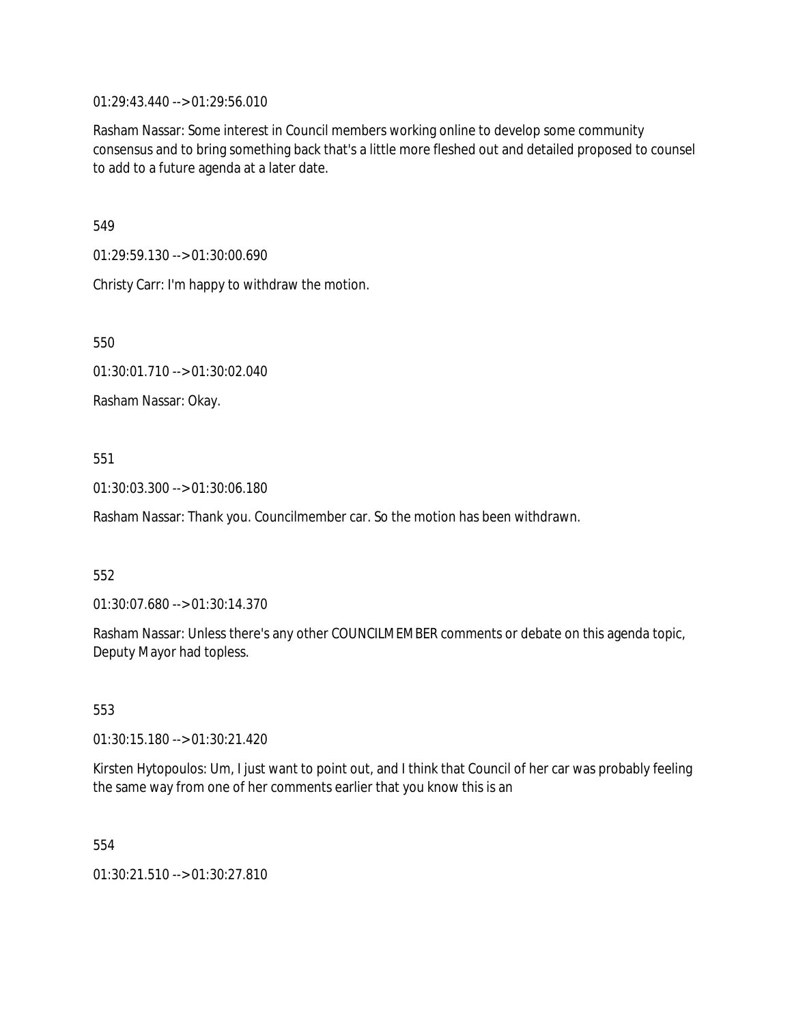01:29:43.440 --> 01:29:56.010

Rasham Nassar: Some interest in Council members working online to develop some community consensus and to bring something back that's a little more fleshed out and detailed proposed to counsel to add to a future agenda at a later date.

549

01:29:59.130 --> 01:30:00.690

Christy Carr: I'm happy to withdraw the motion.

550

01:30:01.710 --> 01:30:02.040

Rasham Nassar: Okay.

## 551

01:30:03.300 --> 01:30:06.180

Rasham Nassar: Thank you. Councilmember car. So the motion has been withdrawn.

### 552

01:30:07.680 --> 01:30:14.370

Rasham Nassar: Unless there's any other COUNCILMEMBER comments or debate on this agenda topic, Deputy Mayor had topless.

### 553

01:30:15.180 --> 01:30:21.420

Kirsten Hytopoulos: Um, I just want to point out, and I think that Council of her car was probably feeling the same way from one of her comments earlier that you know this is an

554

01:30:21.510 --> 01:30:27.810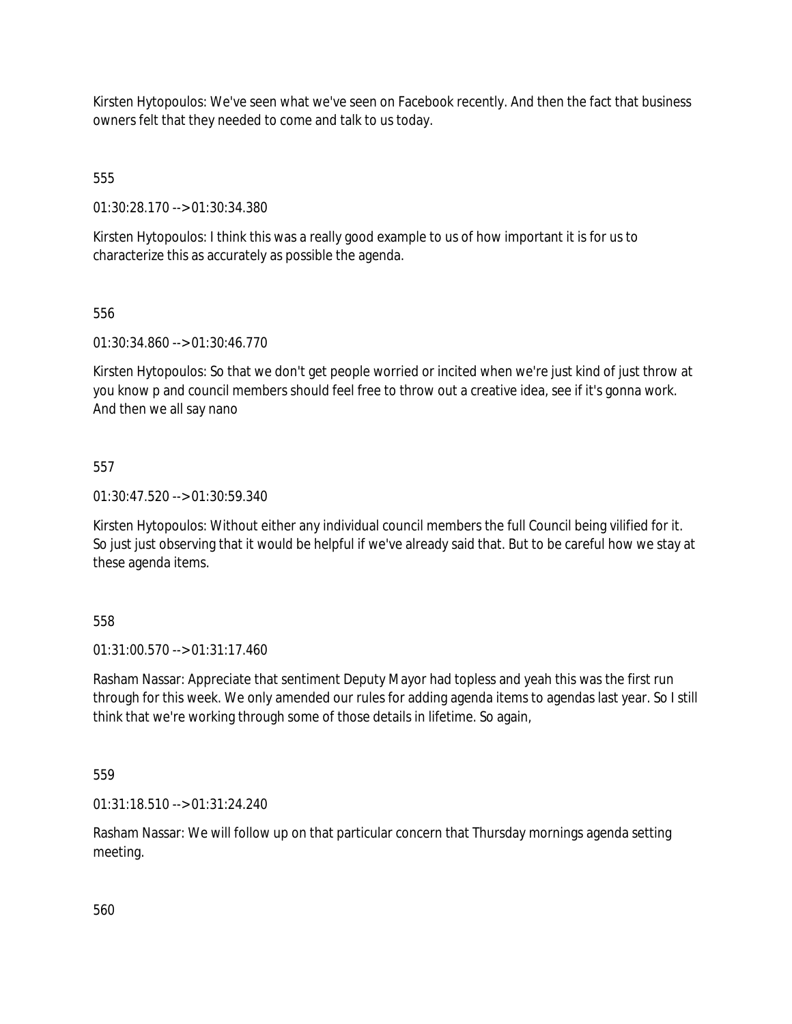Kirsten Hytopoulos: We've seen what we've seen on Facebook recently. And then the fact that business owners felt that they needed to come and talk to us today.

555

01:30:28.170 --> 01:30:34.380

Kirsten Hytopoulos: I think this was a really good example to us of how important it is for us to characterize this as accurately as possible the agenda.

556

01:30:34.860 --> 01:30:46.770

Kirsten Hytopoulos: So that we don't get people worried or incited when we're just kind of just throw at you know p and council members should feel free to throw out a creative idea, see if it's gonna work. And then we all say nano

557

01:30:47.520 --> 01:30:59.340

Kirsten Hytopoulos: Without either any individual council members the full Council being vilified for it. So just just observing that it would be helpful if we've already said that. But to be careful how we stay at these agenda items.

558

01:31:00.570 --> 01:31:17.460

Rasham Nassar: Appreciate that sentiment Deputy Mayor had topless and yeah this was the first run through for this week. We only amended our rules for adding agenda items to agendas last year. So I still think that we're working through some of those details in lifetime. So again,

559

01:31:18.510 --> 01:31:24.240

Rasham Nassar: We will follow up on that particular concern that Thursday mornings agenda setting meeting.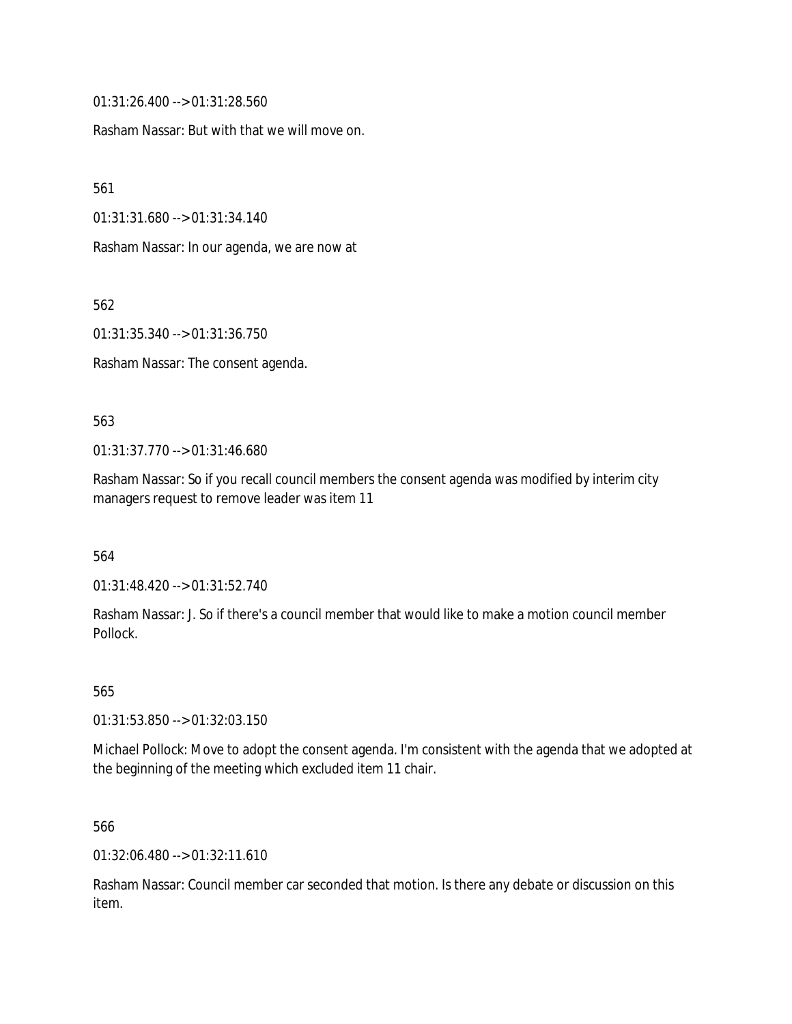01:31:26.400 --> 01:31:28.560

Rasham Nassar: But with that we will move on.

561

01:31:31.680 --> 01:31:34.140

Rasham Nassar: In our agenda, we are now at

562

01:31:35.340 --> 01:31:36.750

Rasham Nassar: The consent agenda.

#### 563

01:31:37.770 --> 01:31:46.680

Rasham Nassar: So if you recall council members the consent agenda was modified by interim city managers request to remove leader was item 11

564

01:31:48.420 --> 01:31:52.740

Rasham Nassar: J. So if there's a council member that would like to make a motion council member Pollock.

565

01:31:53.850 --> 01:32:03.150

Michael Pollock: Move to adopt the consent agenda. I'm consistent with the agenda that we adopted at the beginning of the meeting which excluded item 11 chair.

566

01:32:06.480 --> 01:32:11.610

Rasham Nassar: Council member car seconded that motion. Is there any debate or discussion on this item.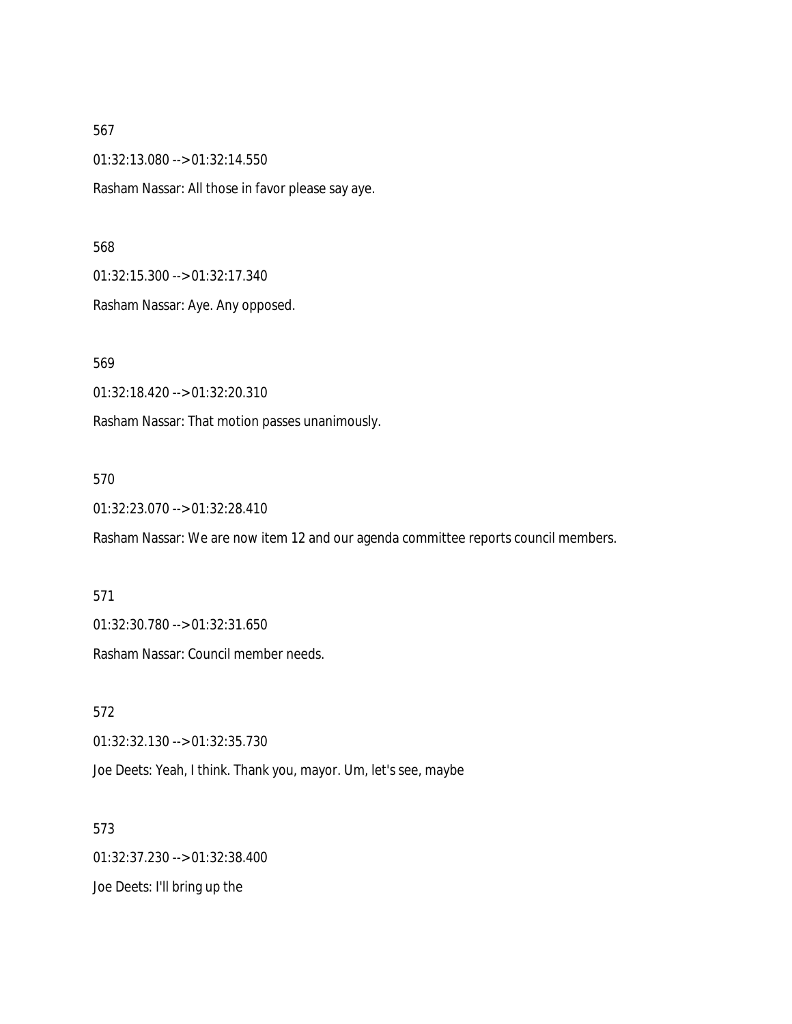01:32:13.080 --> 01:32:14.550

Rasham Nassar: All those in favor please say aye.

#### 568

01:32:15.300 --> 01:32:17.340

Rasham Nassar: Aye. Any opposed.

569

01:32:18.420 --> 01:32:20.310

Rasham Nassar: That motion passes unanimously.

#### 570

01:32:23.070 --> 01:32:28.410

Rasham Nassar: We are now item 12 and our agenda committee reports council members.

#### 571

01:32:30.780 --> 01:32:31.650

Rasham Nassar: Council member needs.

572 01:32:32.130 --> 01:32:35.730 Joe Deets: Yeah, I think. Thank you, mayor. Um, let's see, maybe

573 01:32:37.230 --> 01:32:38.400 Joe Deets: I'll bring up the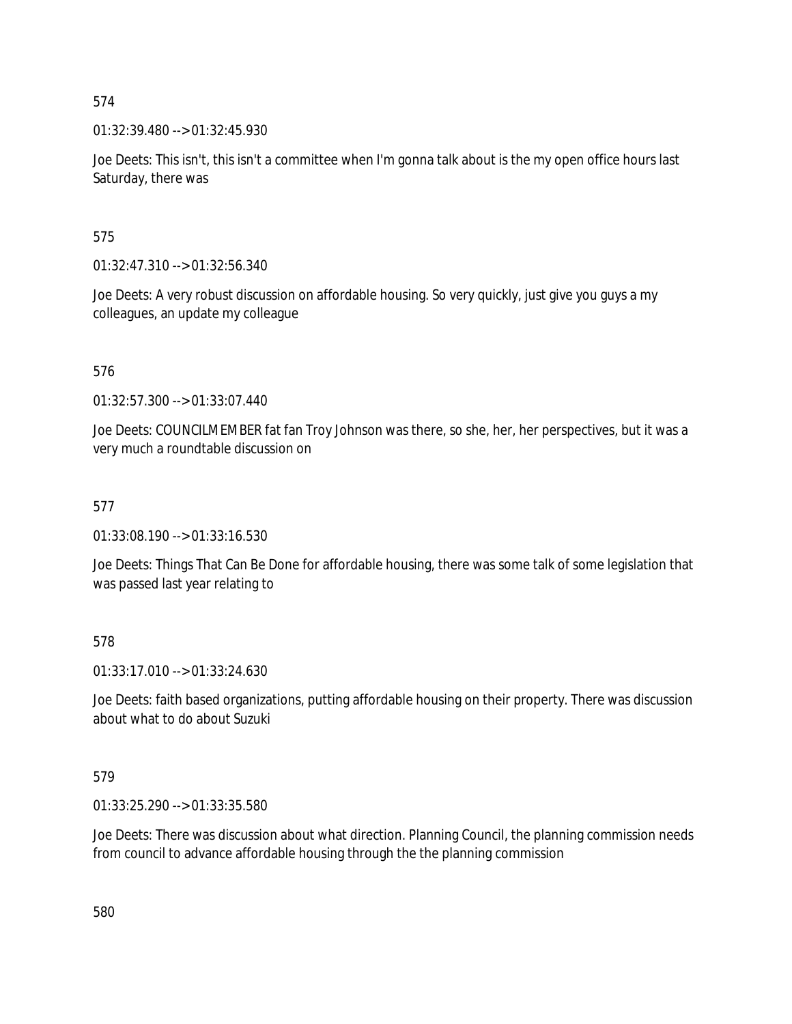01:32:39.480 --> 01:32:45.930

Joe Deets: This isn't, this isn't a committee when I'm gonna talk about is the my open office hours last Saturday, there was

575

01:32:47.310 --> 01:32:56.340

Joe Deets: A very robust discussion on affordable housing. So very quickly, just give you guys a my colleagues, an update my colleague

576

01:32:57.300 --> 01:33:07.440

Joe Deets: COUNCILMEMBER fat fan Troy Johnson was there, so she, her, her perspectives, but it was a very much a roundtable discussion on

577

01:33:08.190 --> 01:33:16.530

Joe Deets: Things That Can Be Done for affordable housing, there was some talk of some legislation that was passed last year relating to

578

01:33:17.010 --> 01:33:24.630

Joe Deets: faith based organizations, putting affordable housing on their property. There was discussion about what to do about Suzuki

579

01:33:25.290 --> 01:33:35.580

Joe Deets: There was discussion about what direction. Planning Council, the planning commission needs from council to advance affordable housing through the the planning commission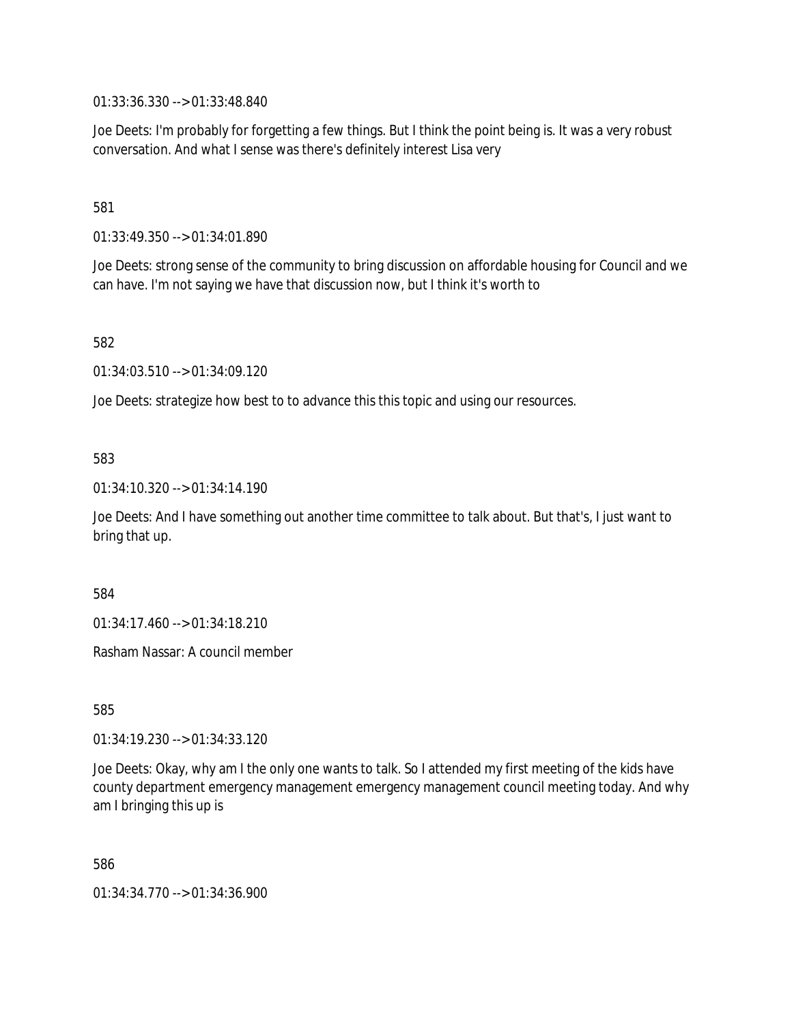01:33:36.330 --> 01:33:48.840

Joe Deets: I'm probably for forgetting a few things. But I think the point being is. It was a very robust conversation. And what I sense was there's definitely interest Lisa very

581

01:33:49.350 --> 01:34:01.890

Joe Deets: strong sense of the community to bring discussion on affordable housing for Council and we can have. I'm not saying we have that discussion now, but I think it's worth to

582

01:34:03.510 --> 01:34:09.120

Joe Deets: strategize how best to to advance this this topic and using our resources.

583

01:34:10.320 --> 01:34:14.190

Joe Deets: And I have something out another time committee to talk about. But that's, I just want to bring that up.

584

01:34:17.460 --> 01:34:18.210

Rasham Nassar: A council member

585

01:34:19.230 --> 01:34:33.120

Joe Deets: Okay, why am I the only one wants to talk. So I attended my first meeting of the kids have county department emergency management emergency management council meeting today. And why am I bringing this up is

586

01:34:34.770 --> 01:34:36.900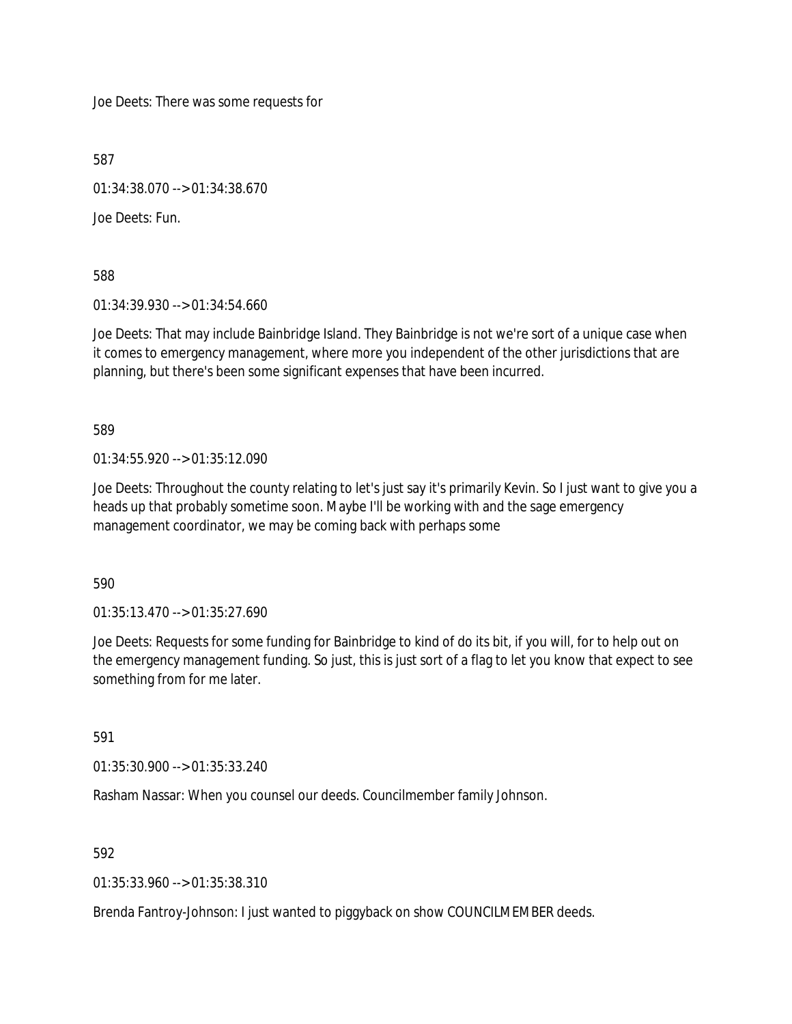Joe Deets: There was some requests for

587

01:34:38.070 --> 01:34:38.670

Joe Deets: Fun.

588

01:34:39.930 --> 01:34:54.660

Joe Deets: That may include Bainbridge Island. They Bainbridge is not we're sort of a unique case when it comes to emergency management, where more you independent of the other jurisdictions that are planning, but there's been some significant expenses that have been incurred.

589

01:34:55.920 --> 01:35:12.090

Joe Deets: Throughout the county relating to let's just say it's primarily Kevin. So I just want to give you a heads up that probably sometime soon. Maybe I'll be working with and the sage emergency management coordinator, we may be coming back with perhaps some

590

01:35:13.470 --> 01:35:27.690

Joe Deets: Requests for some funding for Bainbridge to kind of do its bit, if you will, for to help out on the emergency management funding. So just, this is just sort of a flag to let you know that expect to see something from for me later.

591

01:35:30.900 --> 01:35:33.240

Rasham Nassar: When you counsel our deeds. Councilmember family Johnson.

592

01:35:33.960 --> 01:35:38.310

Brenda Fantroy-Johnson: I just wanted to piggyback on show COUNCILMEMBER deeds.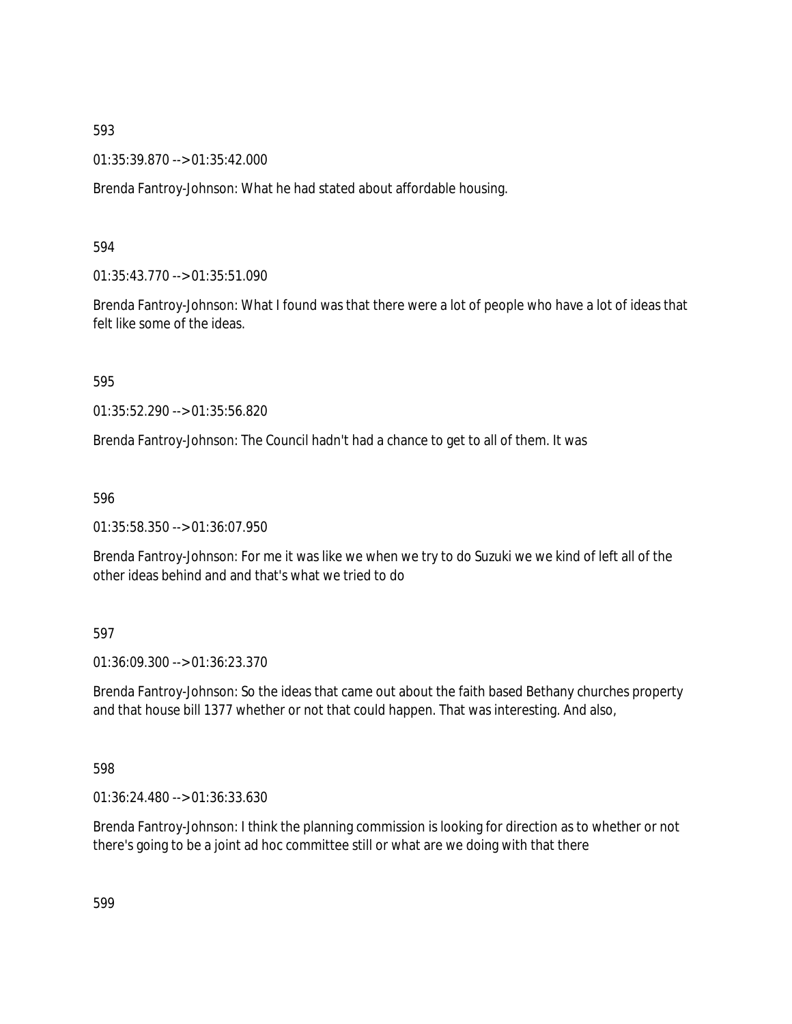01:35:39.870 --> 01:35:42.000

Brenda Fantroy-Johnson: What he had stated about affordable housing.

### 594

01:35:43.770 --> 01:35:51.090

Brenda Fantroy-Johnson: What I found was that there were a lot of people who have a lot of ideas that felt like some of the ideas.

#### 595

01:35:52.290 --> 01:35:56.820

Brenda Fantroy-Johnson: The Council hadn't had a chance to get to all of them. It was

#### 596

01:35:58.350 --> 01:36:07.950

Brenda Fantroy-Johnson: For me it was like we when we try to do Suzuki we we kind of left all of the other ideas behind and and that's what we tried to do

### 597

01:36:09.300 --> 01:36:23.370

Brenda Fantroy-Johnson: So the ideas that came out about the faith based Bethany churches property and that house bill 1377 whether or not that could happen. That was interesting. And also,

### 598

01:36:24.480 --> 01:36:33.630

Brenda Fantroy-Johnson: I think the planning commission is looking for direction as to whether or not there's going to be a joint ad hoc committee still or what are we doing with that there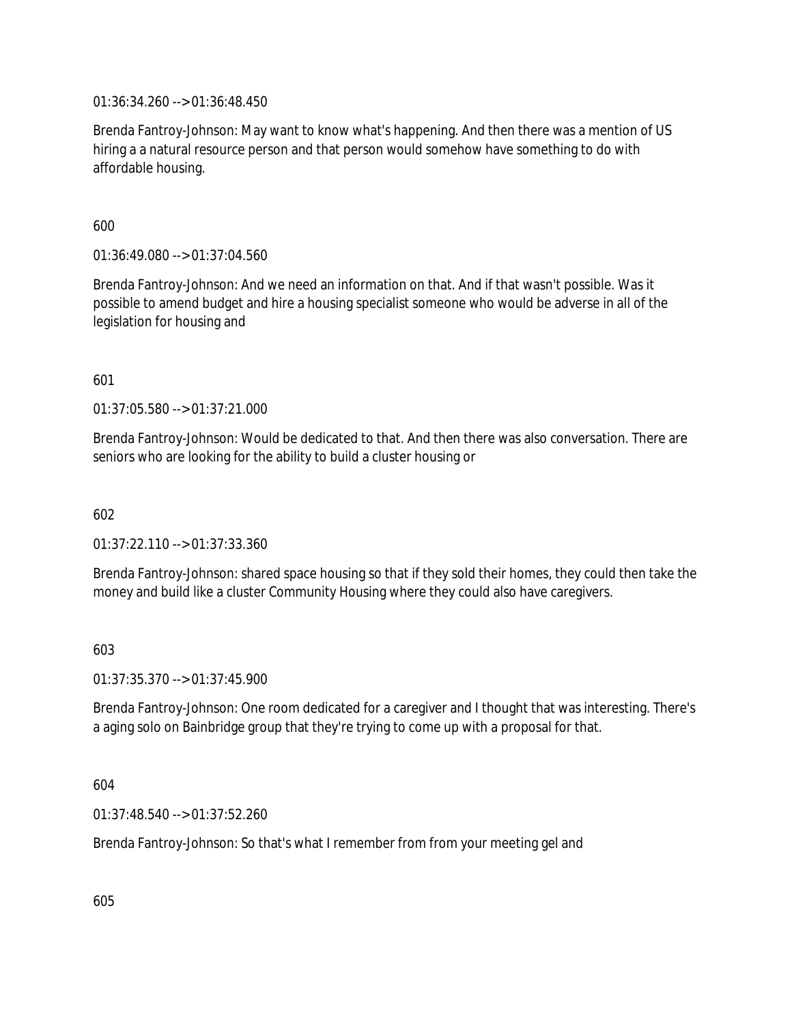01:36:34.260 --> 01:36:48.450

Brenda Fantroy-Johnson: May want to know what's happening. And then there was a mention of US hiring a a natural resource person and that person would somehow have something to do with affordable housing.

600

01:36:49.080 --> 01:37:04.560

Brenda Fantroy-Johnson: And we need an information on that. And if that wasn't possible. Was it possible to amend budget and hire a housing specialist someone who would be adverse in all of the legislation for housing and

601

01:37:05.580 --> 01:37:21.000

Brenda Fantroy-Johnson: Would be dedicated to that. And then there was also conversation. There are seniors who are looking for the ability to build a cluster housing or

602

01:37:22.110 --> 01:37:33.360

Brenda Fantroy-Johnson: shared space housing so that if they sold their homes, they could then take the money and build like a cluster Community Housing where they could also have caregivers.

603

01:37:35.370 --> 01:37:45.900

Brenda Fantroy-Johnson: One room dedicated for a caregiver and I thought that was interesting. There's a aging solo on Bainbridge group that they're trying to come up with a proposal for that.

604

01:37:48.540 --> 01:37:52.260

Brenda Fantroy-Johnson: So that's what I remember from from your meeting gel and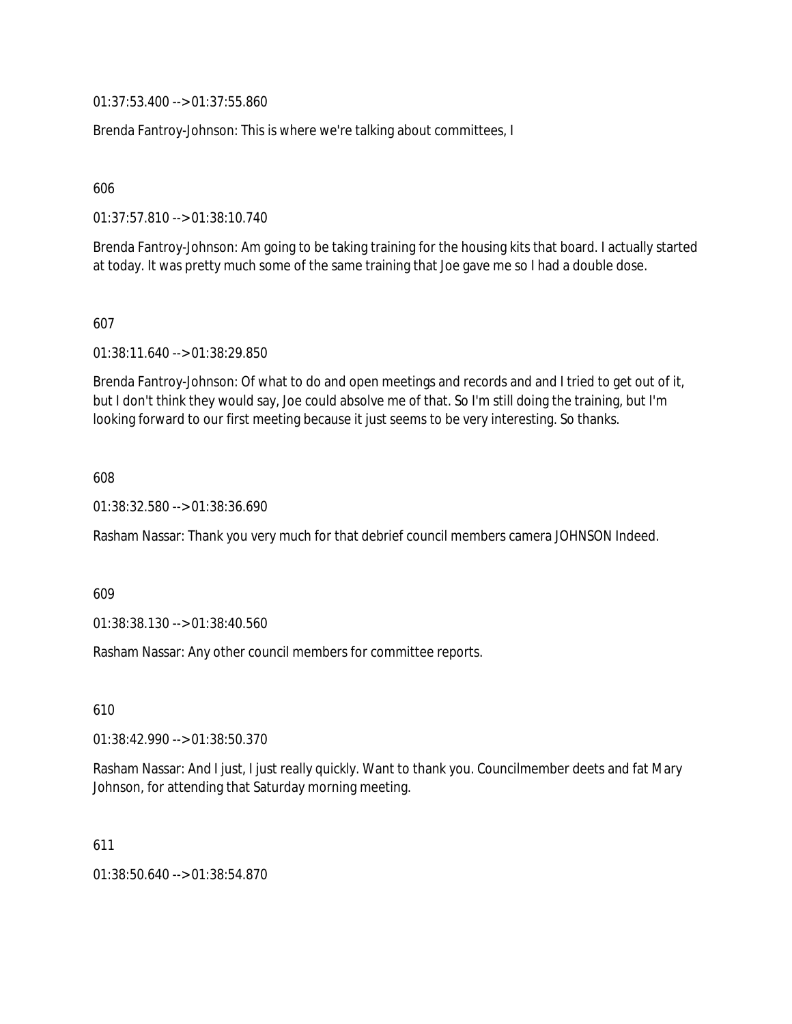01:37:53.400 --> 01:37:55.860

Brenda Fantroy-Johnson: This is where we're talking about committees, I

606

01:37:57.810 --> 01:38:10.740

Brenda Fantroy-Johnson: Am going to be taking training for the housing kits that board. I actually started at today. It was pretty much some of the same training that Joe gave me so I had a double dose.

607

01:38:11.640 --> 01:38:29.850

Brenda Fantroy-Johnson: Of what to do and open meetings and records and and I tried to get out of it, but I don't think they would say, Joe could absolve me of that. So I'm still doing the training, but I'm looking forward to our first meeting because it just seems to be very interesting. So thanks.

608

01:38:32.580 --> 01:38:36.690

Rasham Nassar: Thank you very much for that debrief council members camera JOHNSON Indeed.

609

01:38:38.130 --> 01:38:40.560

Rasham Nassar: Any other council members for committee reports.

610

01:38:42.990 --> 01:38:50.370

Rasham Nassar: And I just, I just really quickly. Want to thank you. Councilmember deets and fat Mary Johnson, for attending that Saturday morning meeting.

611

01:38:50.640 --> 01:38:54.870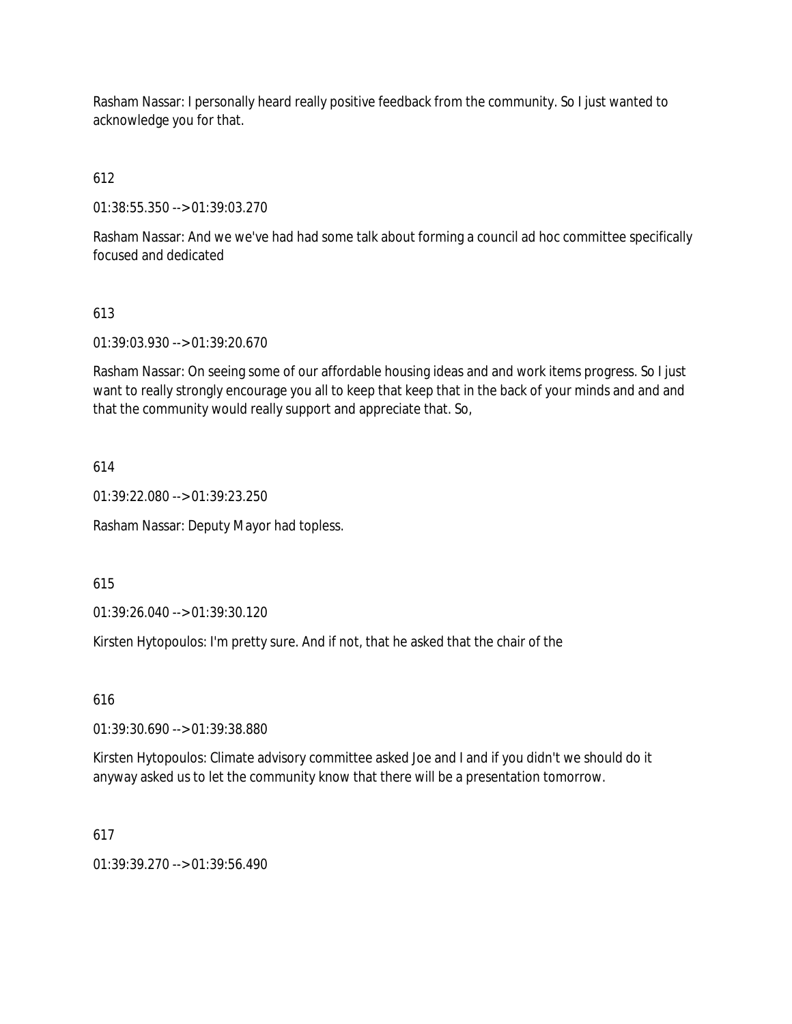Rasham Nassar: I personally heard really positive feedback from the community. So I just wanted to acknowledge you for that.

612

01:38:55.350 --> 01:39:03.270

Rasham Nassar: And we we've had had some talk about forming a council ad hoc committee specifically focused and dedicated

# 613

01:39:03.930 --> 01:39:20.670

Rasham Nassar: On seeing some of our affordable housing ideas and and work items progress. So I just want to really strongly encourage you all to keep that keep that in the back of your minds and and and that the community would really support and appreciate that. So,

## 614

01:39:22.080 --> 01:39:23.250

Rasham Nassar: Deputy Mayor had topless.

615

01:39:26.040 --> 01:39:30.120

Kirsten Hytopoulos: I'm pretty sure. And if not, that he asked that the chair of the

616

01:39:30.690 --> 01:39:38.880

Kirsten Hytopoulos: Climate advisory committee asked Joe and I and if you didn't we should do it anyway asked us to let the community know that there will be a presentation tomorrow.

### 617

01:39:39.270 --> 01:39:56.490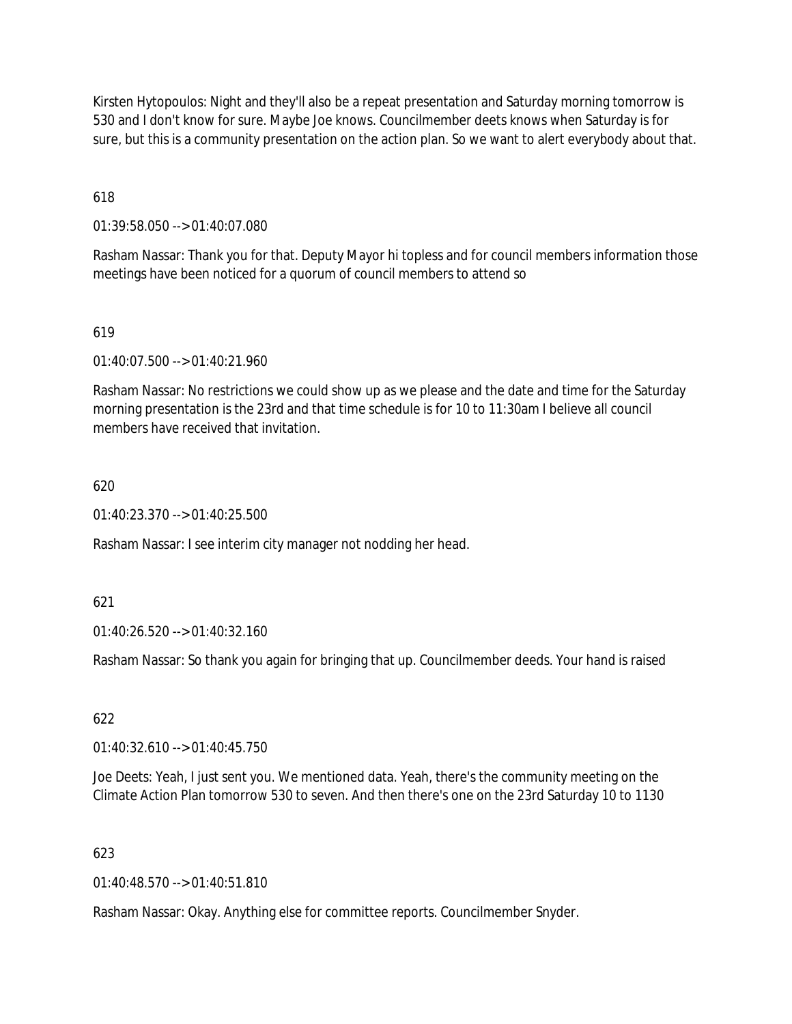Kirsten Hytopoulos: Night and they'll also be a repeat presentation and Saturday morning tomorrow is 530 and I don't know for sure. Maybe Joe knows. Councilmember deets knows when Saturday is for sure, but this is a community presentation on the action plan. So we want to alert everybody about that.

618

01:39:58.050 --> 01:40:07.080

Rasham Nassar: Thank you for that. Deputy Mayor hi topless and for council members information those meetings have been noticed for a quorum of council members to attend so

### 619

01:40:07.500 --> 01:40:21.960

Rasham Nassar: No restrictions we could show up as we please and the date and time for the Saturday morning presentation is the 23rd and that time schedule is for 10 to 11:30am I believe all council members have received that invitation.

#### 620

01:40:23.370 --> 01:40:25.500

Rasham Nassar: I see interim city manager not nodding her head.

621

01:40:26.520 --> 01:40:32.160

Rasham Nassar: So thank you again for bringing that up. Councilmember deeds. Your hand is raised

622

01:40:32.610 --> 01:40:45.750

Joe Deets: Yeah, I just sent you. We mentioned data. Yeah, there's the community meeting on the Climate Action Plan tomorrow 530 to seven. And then there's one on the 23rd Saturday 10 to 1130

### 623

01:40:48.570 --> 01:40:51.810

Rasham Nassar: Okay. Anything else for committee reports. Councilmember Snyder.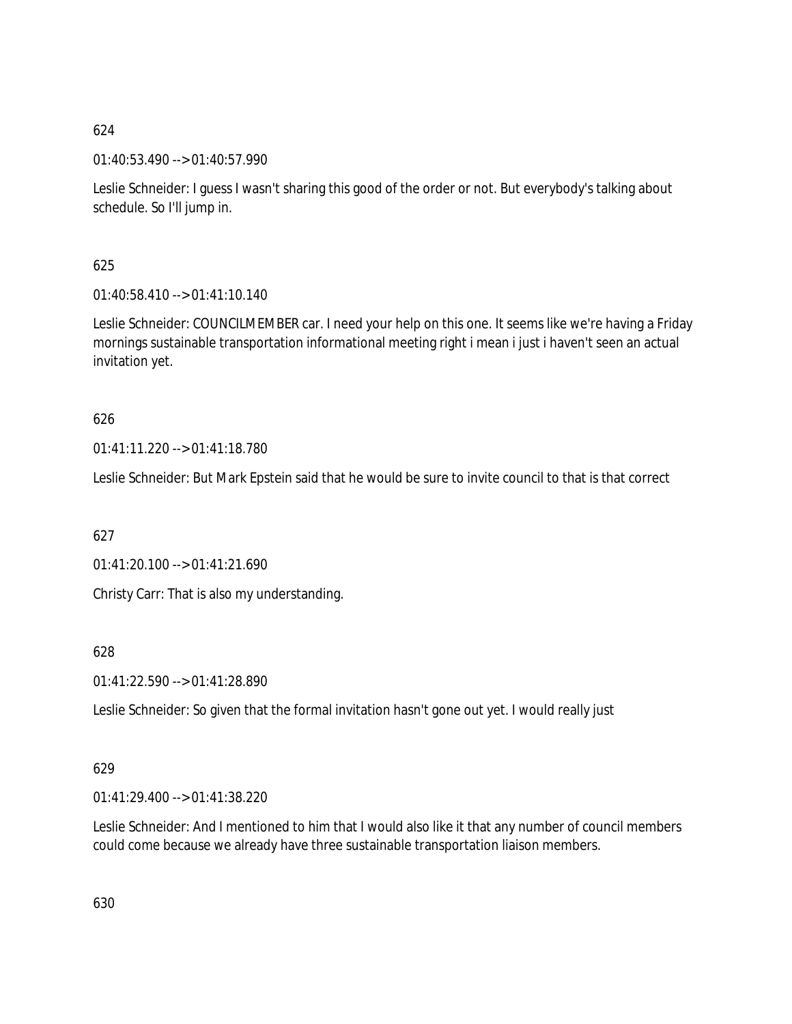01:40:53.490 --> 01:40:57.990

Leslie Schneider: I guess I wasn't sharing this good of the order or not. But everybody's talking about schedule. So I'll jump in.

625

01:40:58.410 --> 01:41:10.140

Leslie Schneider: COUNCILMEMBER car. I need your help on this one. It seems like we're having a Friday mornings sustainable transportation informational meeting right i mean i just i haven't seen an actual invitation yet.

# 626

01:41:11.220 --> 01:41:18.780

Leslie Schneider: But Mark Epstein said that he would be sure to invite council to that is that correct

627

01:41:20.100 --> 01:41:21.690

Christy Carr: That is also my understanding.

628

01:41:22.590 --> 01:41:28.890

Leslie Schneider: So given that the formal invitation hasn't gone out yet. I would really just

# 629

01:41:29.400 --> 01:41:38.220

Leslie Schneider: And I mentioned to him that I would also like it that any number of council members could come because we already have three sustainable transportation liaison members.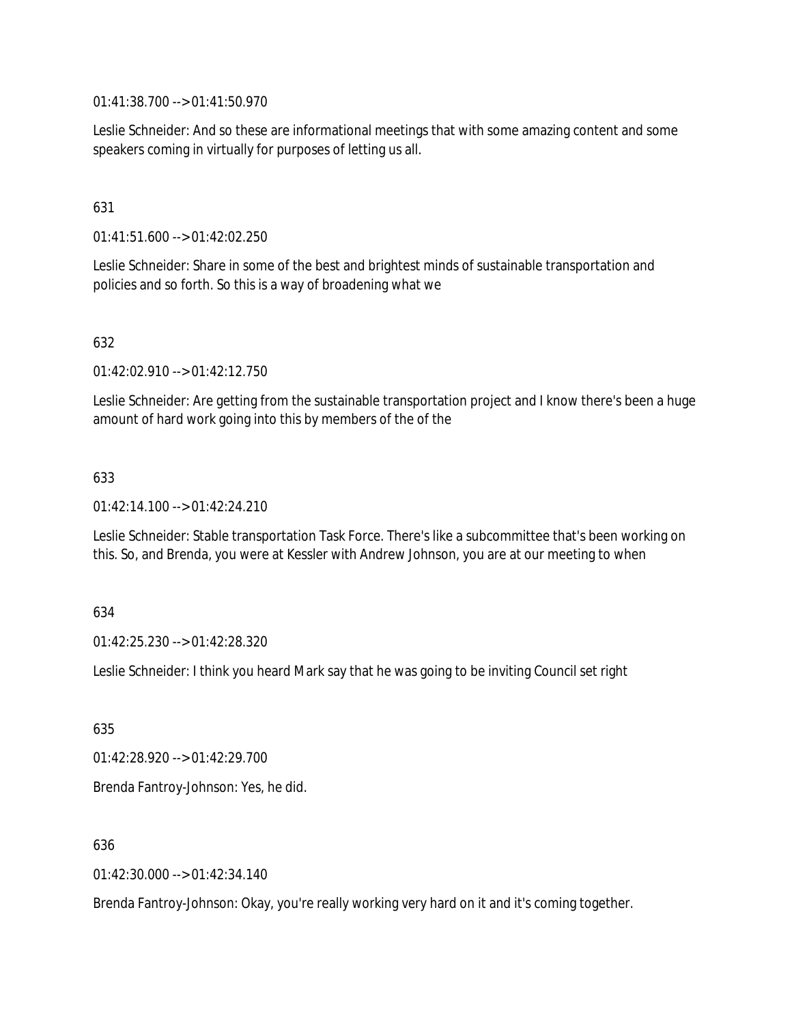01:41:38.700 --> 01:41:50.970

Leslie Schneider: And so these are informational meetings that with some amazing content and some speakers coming in virtually for purposes of letting us all.

## 631

01:41:51.600 --> 01:42:02.250

Leslie Schneider: Share in some of the best and brightest minds of sustainable transportation and policies and so forth. So this is a way of broadening what we

### 632

01:42:02.910 --> 01:42:12.750

Leslie Schneider: Are getting from the sustainable transportation project and I know there's been a huge amount of hard work going into this by members of the of the

### 633

01:42:14.100 --> 01:42:24.210

Leslie Schneider: Stable transportation Task Force. There's like a subcommittee that's been working on this. So, and Brenda, you were at Kessler with Andrew Johnson, you are at our meeting to when

### 634

01:42:25.230 --> 01:42:28.320

Leslie Schneider: I think you heard Mark say that he was going to be inviting Council set right

635

01:42:28.920 --> 01:42:29.700

Brenda Fantroy-Johnson: Yes, he did.

### 636

01:42:30.000 --> 01:42:34.140

Brenda Fantroy-Johnson: Okay, you're really working very hard on it and it's coming together.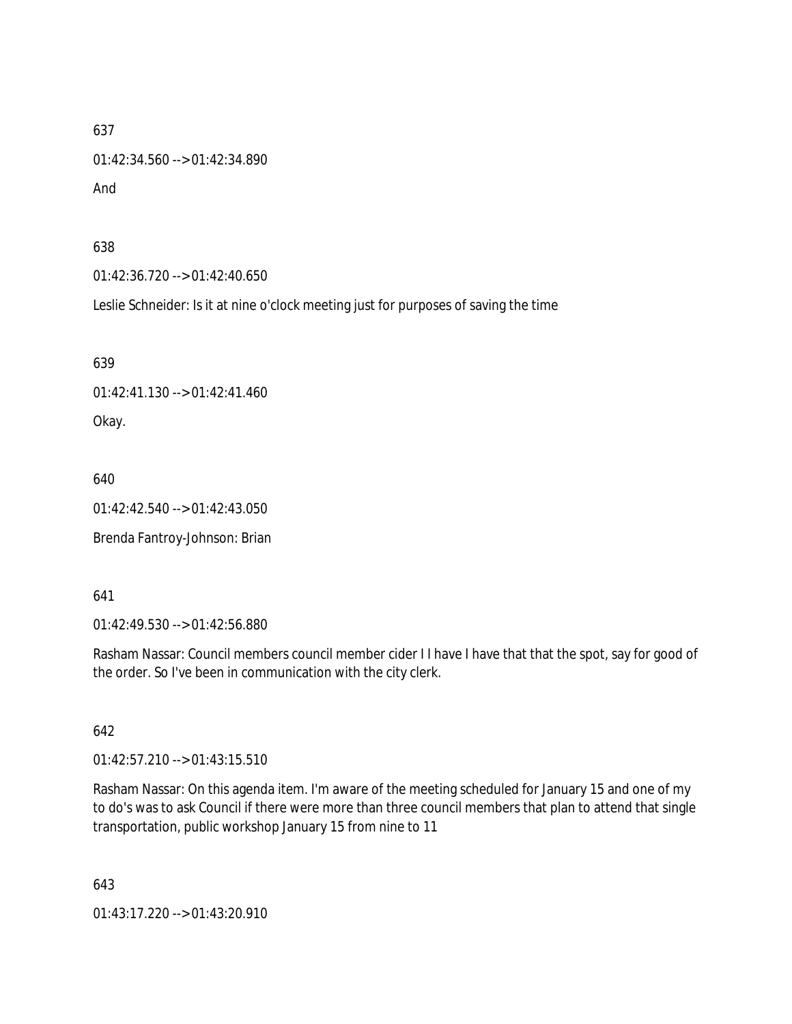01:42:34.560 --> 01:42:34.890

And

638

01:42:36.720 --> 01:42:40.650

Leslie Schneider: Is it at nine o'clock meeting just for purposes of saving the time

639

01:42:41.130 --> 01:42:41.460

Okay.

640

01:42:42.540 --> 01:42:43.050

Brenda Fantroy-Johnson: Brian

641

01:42:49.530 --> 01:42:56.880

Rasham Nassar: Council members council member cider I I have I have that that the spot, say for good of the order. So I've been in communication with the city clerk.

642

01:42:57.210 --> 01:43:15.510

Rasham Nassar: On this agenda item. I'm aware of the meeting scheduled for January 15 and one of my to do's was to ask Council if there were more than three council members that plan to attend that single transportation, public workshop January 15 from nine to 11

643

01:43:17.220 --> 01:43:20.910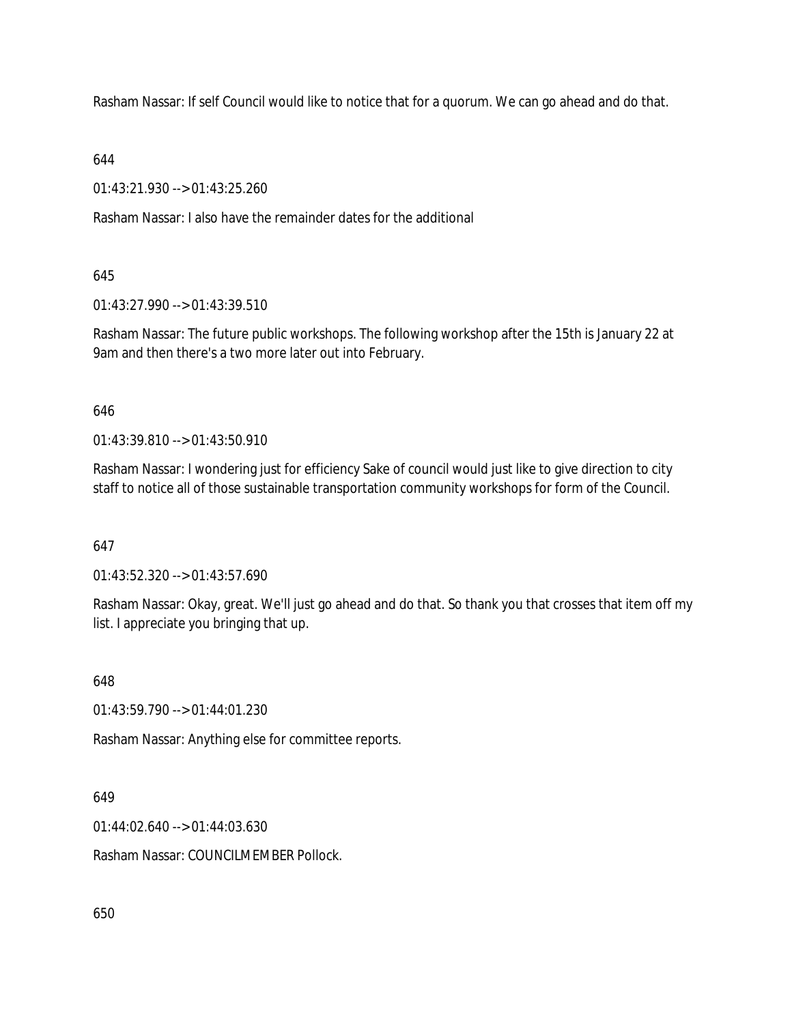Rasham Nassar: If self Council would like to notice that for a quorum. We can go ahead and do that.

644

01:43:21.930 --> 01:43:25.260

Rasham Nassar: I also have the remainder dates for the additional

645

01:43:27.990 --> 01:43:39.510

Rasham Nassar: The future public workshops. The following workshop after the 15th is January 22 at 9am and then there's a two more later out into February.

646

01:43:39.810 --> 01:43:50.910

Rasham Nassar: I wondering just for efficiency Sake of council would just like to give direction to city staff to notice all of those sustainable transportation community workshops for form of the Council.

647

01:43:52.320 --> 01:43:57.690

Rasham Nassar: Okay, great. We'll just go ahead and do that. So thank you that crosses that item off my list. I appreciate you bringing that up.

648

01:43:59.790 --> 01:44:01.230

Rasham Nassar: Anything else for committee reports.

649

01:44:02.640 --> 01:44:03.630

Rasham Nassar: COUNCILMEMBER Pollock.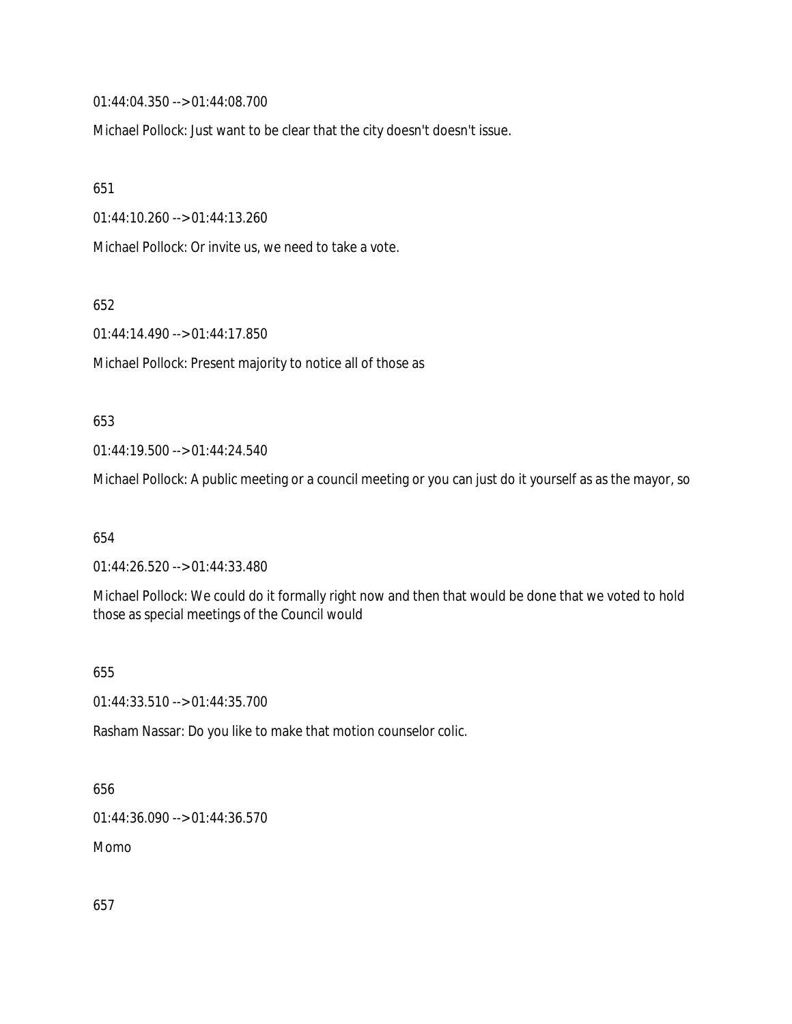01:44:04.350 --> 01:44:08.700

Michael Pollock: Just want to be clear that the city doesn't doesn't issue.

651

01:44:10.260 --> 01:44:13.260

Michael Pollock: Or invite us, we need to take a vote.

652

01:44:14.490 --> 01:44:17.850

Michael Pollock: Present majority to notice all of those as

#### 653

01:44:19.500 --> 01:44:24.540

Michael Pollock: A public meeting or a council meeting or you can just do it yourself as as the mayor, so

654

01:44:26.520 --> 01:44:33.480

Michael Pollock: We could do it formally right now and then that would be done that we voted to hold those as special meetings of the Council would

655

01:44:33.510 --> 01:44:35.700

Rasham Nassar: Do you like to make that motion counselor colic.

## 656

01:44:36.090 --> 01:44:36.570

Momo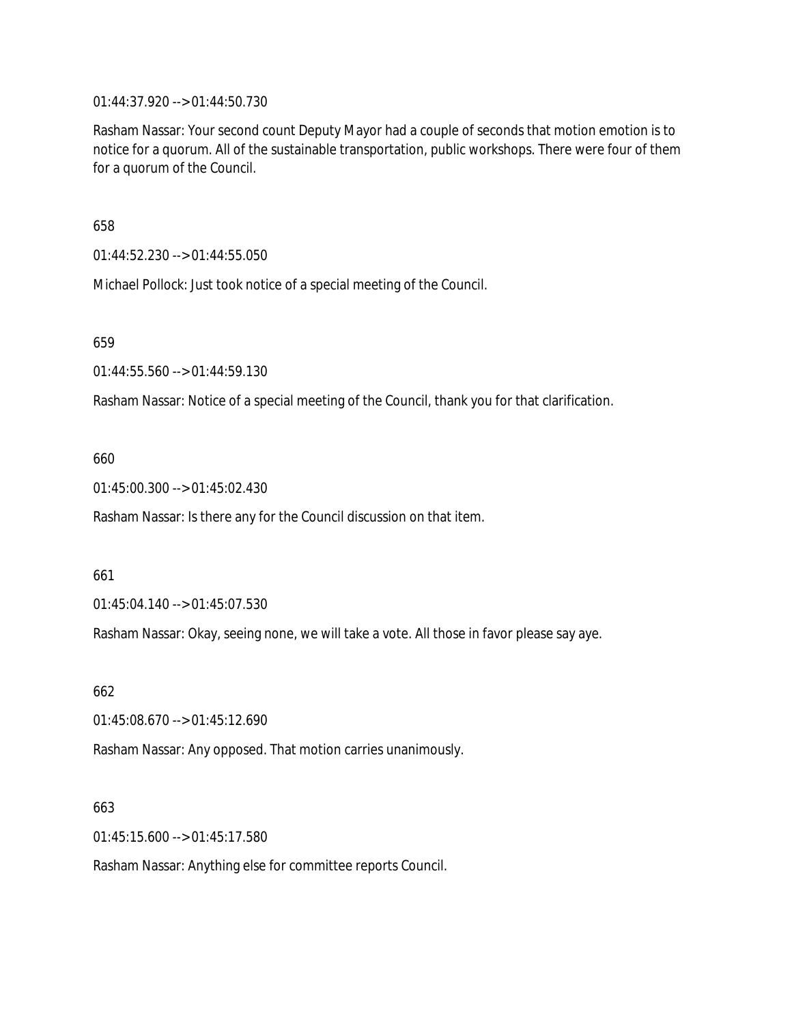01:44:37.920 --> 01:44:50.730

Rasham Nassar: Your second count Deputy Mayor had a couple of seconds that motion emotion is to notice for a quorum. All of the sustainable transportation, public workshops. There were four of them for a quorum of the Council.

658

01:44:52.230 --> 01:44:55.050

Michael Pollock: Just took notice of a special meeting of the Council.

659

01:44:55.560 --> 01:44:59.130

Rasham Nassar: Notice of a special meeting of the Council, thank you for that clarification.

#### 660

01:45:00.300 --> 01:45:02.430

Rasham Nassar: Is there any for the Council discussion on that item.

#### 661

01:45:04.140 --> 01:45:07.530

Rasham Nassar: Okay, seeing none, we will take a vote. All those in favor please say aye.

662

01:45:08.670 --> 01:45:12.690

Rasham Nassar: Any opposed. That motion carries unanimously.

#### 663

01:45:15.600 --> 01:45:17.580

Rasham Nassar: Anything else for committee reports Council.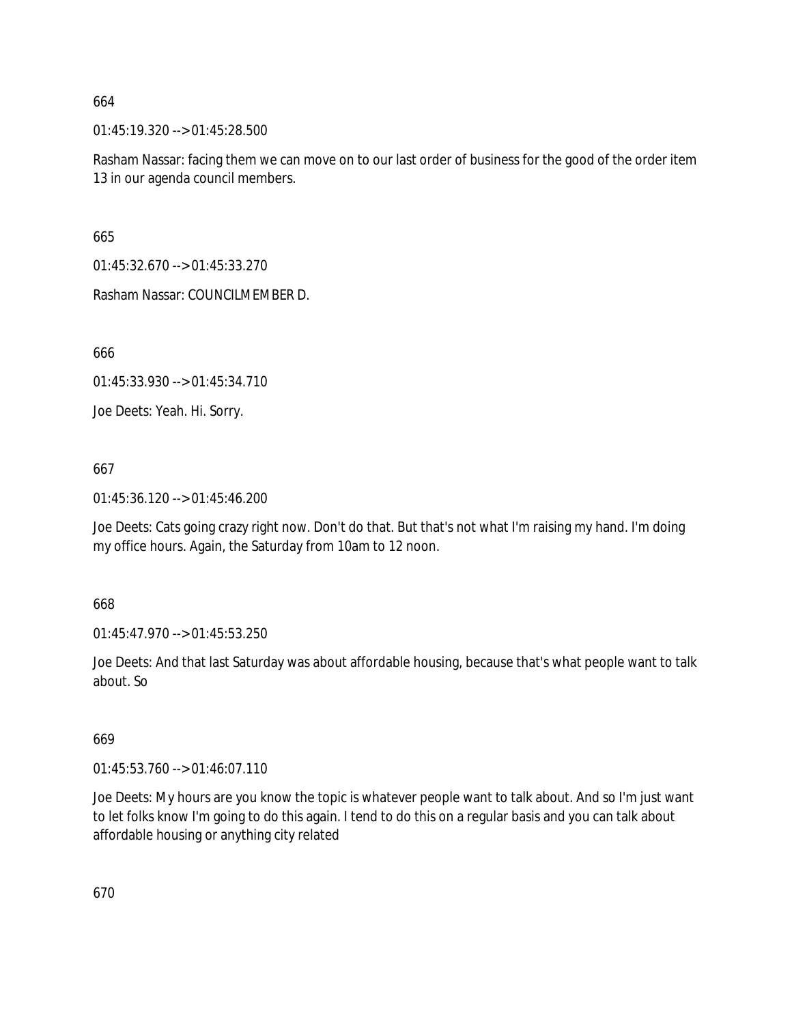01:45:19.320 --> 01:45:28.500

Rasham Nassar: facing them we can move on to our last order of business for the good of the order item 13 in our agenda council members.

665

01:45:32.670 --> 01:45:33.270

Rasham Nassar: COUNCILMEMBER D.

666

01:45:33.930 --> 01:45:34.710

Joe Deets: Yeah. Hi. Sorry.

667

01:45:36.120 --> 01:45:46.200

Joe Deets: Cats going crazy right now. Don't do that. But that's not what I'm raising my hand. I'm doing my office hours. Again, the Saturday from 10am to 12 noon.

668

01:45:47.970 --> 01:45:53.250

Joe Deets: And that last Saturday was about affordable housing, because that's what people want to talk about. So

669

01:45:53.760 --> 01:46:07.110

Joe Deets: My hours are you know the topic is whatever people want to talk about. And so I'm just want to let folks know I'm going to do this again. I tend to do this on a regular basis and you can talk about affordable housing or anything city related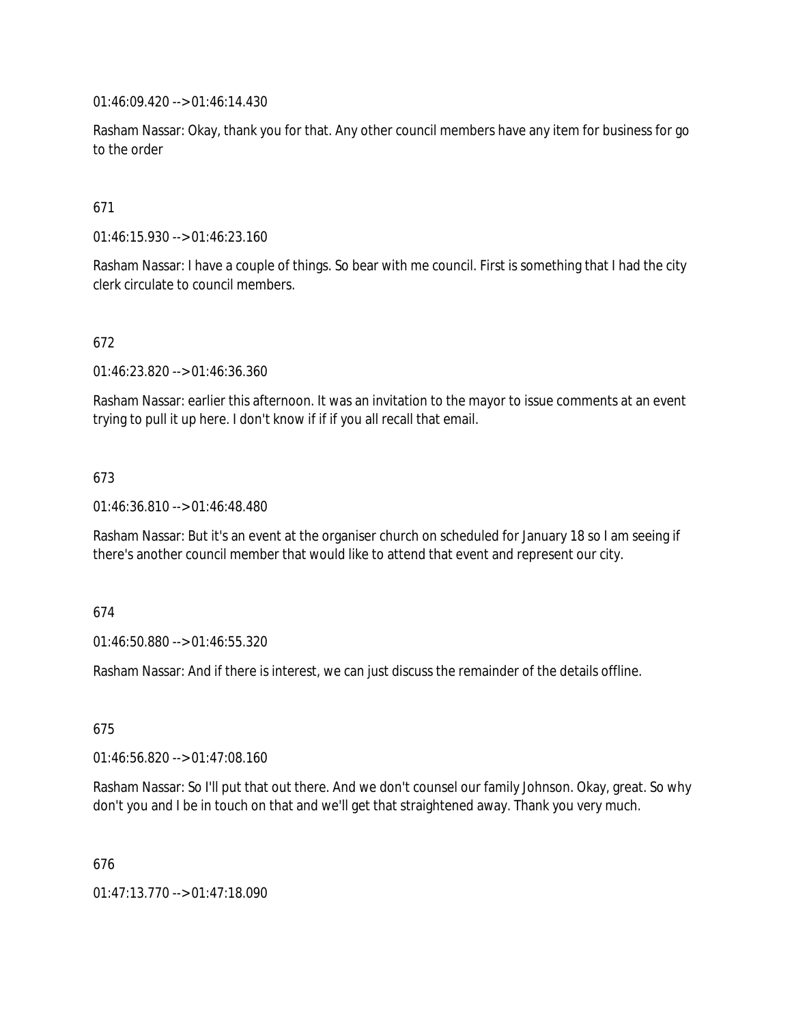01:46:09.420 --> 01:46:14.430

Rasham Nassar: Okay, thank you for that. Any other council members have any item for business for go to the order

## 671

01:46:15.930 --> 01:46:23.160

Rasham Nassar: I have a couple of things. So bear with me council. First is something that I had the city clerk circulate to council members.

## 672

01:46:23.820 --> 01:46:36.360

Rasham Nassar: earlier this afternoon. It was an invitation to the mayor to issue comments at an event trying to pull it up here. I don't know if if if you all recall that email.

## 673

01:46:36.810 --> 01:46:48.480

Rasham Nassar: But it's an event at the organiser church on scheduled for January 18 so I am seeing if there's another council member that would like to attend that event and represent our city.

### 674

01:46:50.880 --> 01:46:55.320

Rasham Nassar: And if there is interest, we can just discuss the remainder of the details offline.

### 675

01:46:56.820 --> 01:47:08.160

Rasham Nassar: So I'll put that out there. And we don't counsel our family Johnson. Okay, great. So why don't you and I be in touch on that and we'll get that straightened away. Thank you very much.

676

01:47:13.770 --> 01:47:18.090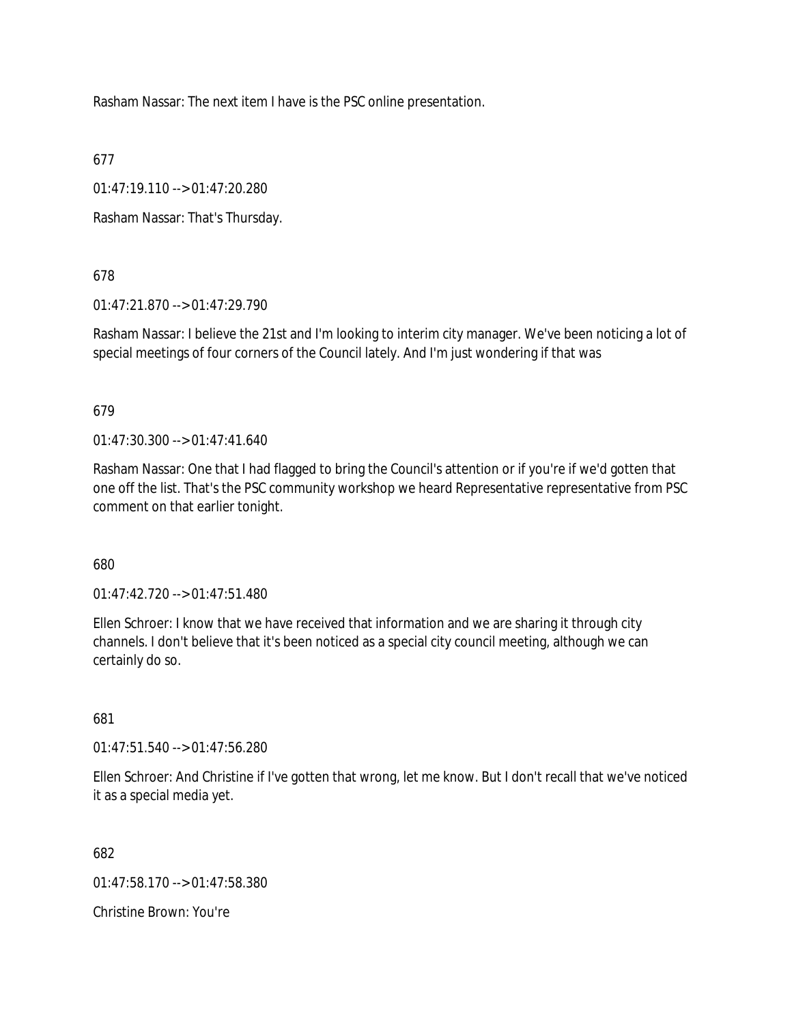Rasham Nassar: The next item I have is the PSC online presentation.

677

01:47:19.110 --> 01:47:20.280

Rasham Nassar: That's Thursday.

678

01:47:21.870 --> 01:47:29.790

Rasham Nassar: I believe the 21st and I'm looking to interim city manager. We've been noticing a lot of special meetings of four corners of the Council lately. And I'm just wondering if that was

679

01:47:30.300 --> 01:47:41.640

Rasham Nassar: One that I had flagged to bring the Council's attention or if you're if we'd gotten that one off the list. That's the PSC community workshop we heard Representative representative from PSC comment on that earlier tonight.

680

01:47:42.720 --> 01:47:51.480

Ellen Schroer: I know that we have received that information and we are sharing it through city channels. I don't believe that it's been noticed as a special city council meeting, although we can certainly do so.

681

01:47:51.540 --> 01:47:56.280

Ellen Schroer: And Christine if I've gotten that wrong, let me know. But I don't recall that we've noticed it as a special media yet.

682

01:47:58.170 --> 01:47:58.380

Christine Brown: You're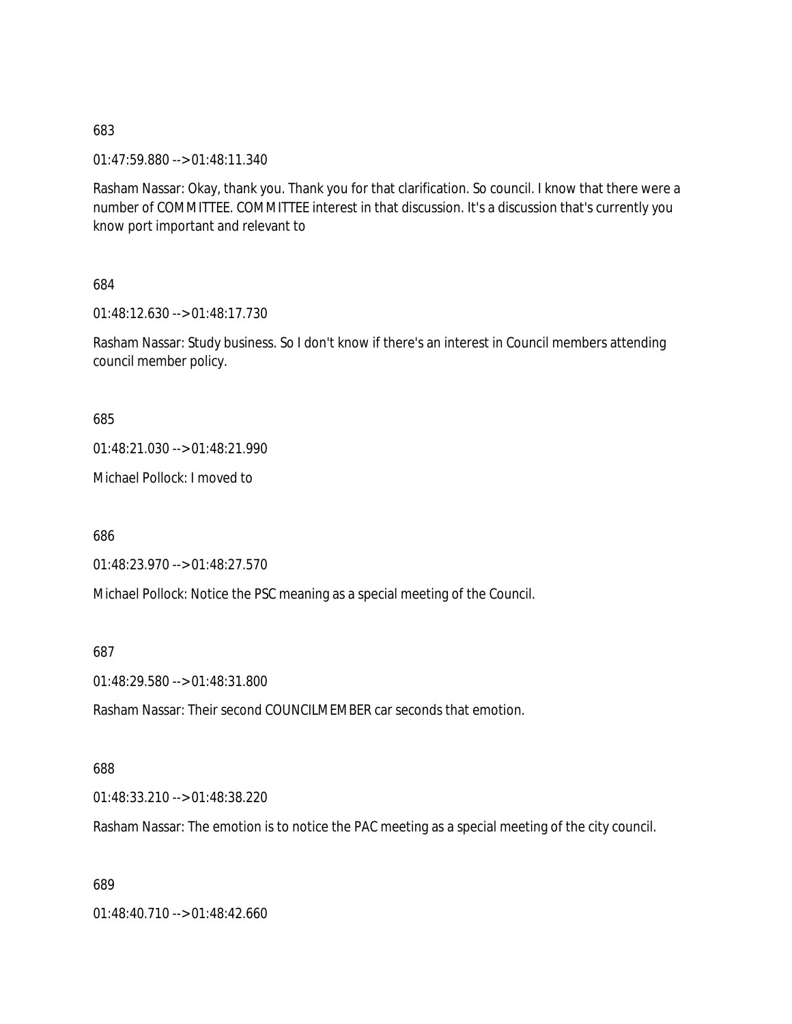683

01:47:59.880 --> 01:48:11.340

Rasham Nassar: Okay, thank you. Thank you for that clarification. So council. I know that there were a number of COMMITTEE. COMMITTEE interest in that discussion. It's a discussion that's currently you know port important and relevant to

684

01:48:12.630 --> 01:48:17.730

Rasham Nassar: Study business. So I don't know if there's an interest in Council members attending council member policy.

685

01:48:21.030 --> 01:48:21.990

Michael Pollock: I moved to

686

01:48:23.970 --> 01:48:27.570

Michael Pollock: Notice the PSC meaning as a special meeting of the Council.

687

01:48:29.580 --> 01:48:31.800

Rasham Nassar: Their second COUNCILMEMBER car seconds that emotion.

### 688

01:48:33.210 --> 01:48:38.220

Rasham Nassar: The emotion is to notice the PAC meeting as a special meeting of the city council.

689

01:48:40.710 --> 01:48:42.660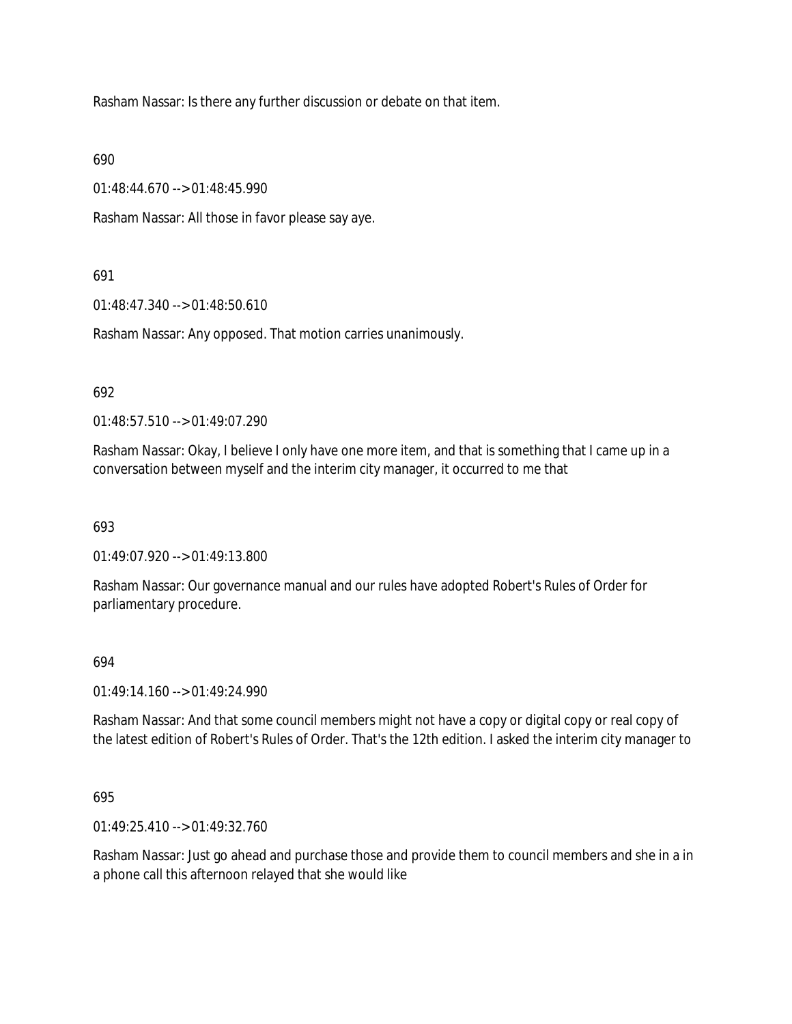Rasham Nassar: Is there any further discussion or debate on that item.

690

01:48:44.670 --> 01:48:45.990

Rasham Nassar: All those in favor please say aye.

# 691

01:48:47.340 --> 01:48:50.610

Rasham Nassar: Any opposed. That motion carries unanimously.

### 692

01:48:57.510 --> 01:49:07.290

Rasham Nassar: Okay, I believe I only have one more item, and that is something that I came up in a conversation between myself and the interim city manager, it occurred to me that

# 693

01:49:07.920 --> 01:49:13.800

Rasham Nassar: Our governance manual and our rules have adopted Robert's Rules of Order for parliamentary procedure.

# 694

01:49:14.160 --> 01:49:24.990

Rasham Nassar: And that some council members might not have a copy or digital copy or real copy of the latest edition of Robert's Rules of Order. That's the 12th edition. I asked the interim city manager to

# 695

01:49:25.410 --> 01:49:32.760

Rasham Nassar: Just go ahead and purchase those and provide them to council members and she in a in a phone call this afternoon relayed that she would like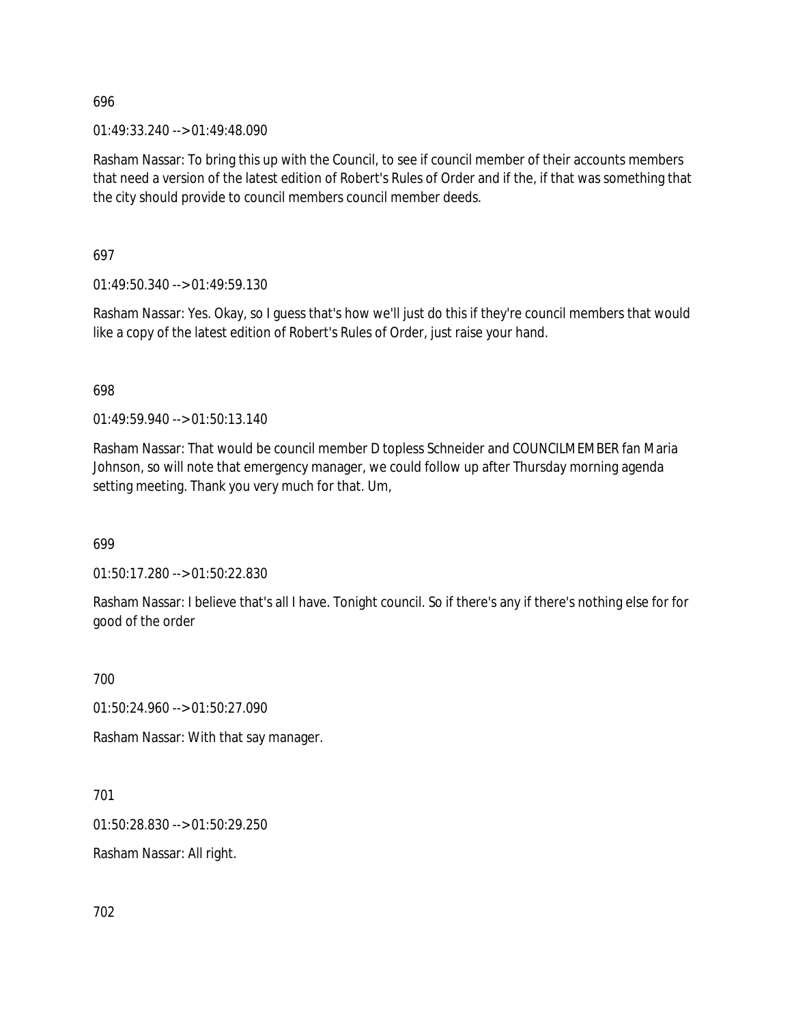696

01:49:33.240 --> 01:49:48.090

Rasham Nassar: To bring this up with the Council, to see if council member of their accounts members that need a version of the latest edition of Robert's Rules of Order and if the, if that was something that the city should provide to council members council member deeds.

697

01:49:50.340 --> 01:49:59.130

Rasham Nassar: Yes. Okay, so I guess that's how we'll just do this if they're council members that would like a copy of the latest edition of Robert's Rules of Order, just raise your hand.

698

01:49:59.940 --> 01:50:13.140

Rasham Nassar: That would be council member D topless Schneider and COUNCILMEMBER fan Maria Johnson, so will note that emergency manager, we could follow up after Thursday morning agenda setting meeting. Thank you very much for that. Um,

699

01:50:17.280 --> 01:50:22.830

Rasham Nassar: I believe that's all I have. Tonight council. So if there's any if there's nothing else for for good of the order

700

01:50:24.960 --> 01:50:27.090

Rasham Nassar: With that say manager.

701

01:50:28.830 --> 01:50:29.250

Rasham Nassar: All right.

702